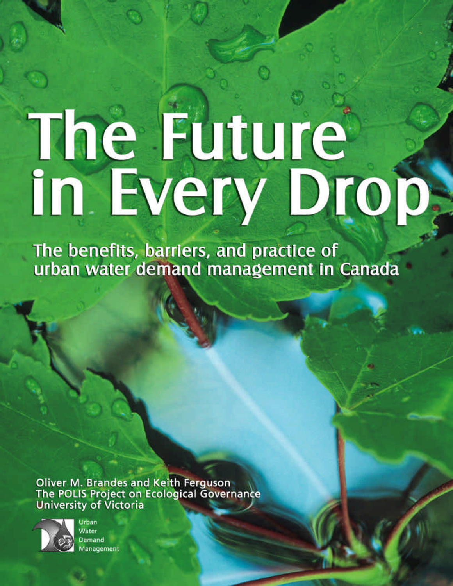# The Future

The benefits, barriers, and practice of urban water demand management in Canada

**Oliver M. Brandes and Keith Ferguson**<br>The POLIS Project on Ecological Governance University of Victoria



Urban Water Demand Management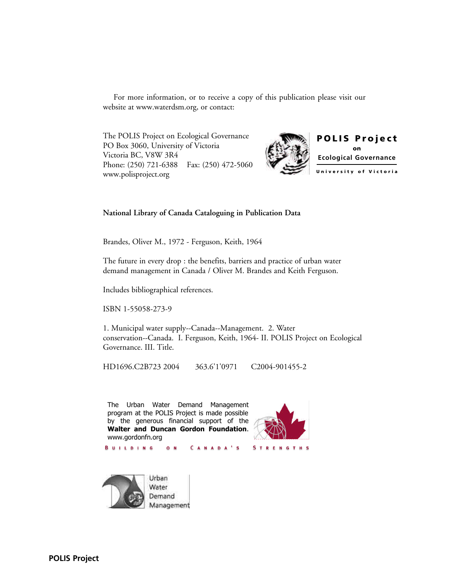For more information, or to receive a copy of this publication please visit our website at www.waterdsm.org, or contact:

The POLIS Project on Ecological Governance PO Box 3060, University of Victoria Victoria BC, V8W 3R4 Phone: (250) 721-6388 Fax: (250) 472-5060 www.polisproject.org



#### **National Library of Canada Cataloguing in Publication Data**

Brandes, Oliver M., 1972 - Ferguson, Keith, 1964

The future in every drop : the benefits, barriers and practice of urban water demand management in Canada / Oliver M. Brandes and Keith Ferguson.

Includes bibliographical references.

ISBN 1-55058-273-9

1. Municipal water supply--Canada--Management. 2. Water conservation--Canada. I. Ferguson, Keith, 1964- II. POLIS Project on Ecological Governance. III. Title.

HD1696.C2B723 2004 363.6'1'0971 C2004-901455-2

The Urban Water Demand Management program at the POLIS Project is made possible by the generous financial support of the **Walter and Duncan Gordon Foundation**. www.gordonfn.org

c

 $O N$ 



Urban Water Demand Management

**BUILDING** 

**POLIS Project**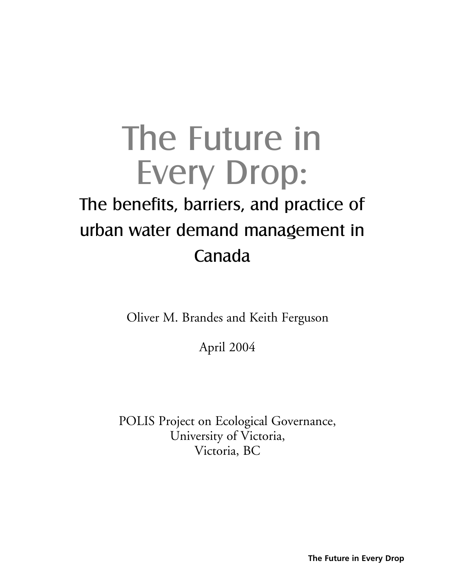# The Future in Every Drop: The benefits, barriers, and practice of urban water demand management in Canada

Oliver M. Brandes and Keith Ferguson

April 2004

POLIS Project on Ecological Governance, University of Victoria, Victoria, BC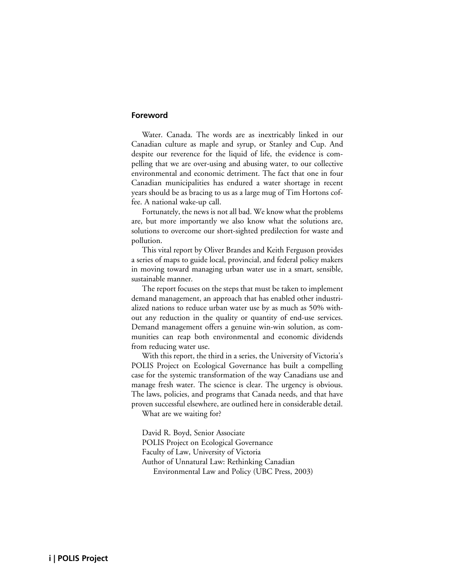#### **Foreword**

Water. Canada. The words are as inextricably linked in our Canadian culture as maple and syrup, or Stanley and Cup. And despite our reverence for the liquid of life, the evidence is compelling that we are over-using and abusing water, to our collective environmental and economic detriment. The fact that one in four Canadian municipalities has endured a water shortage in recent years should be as bracing to us as a large mug of Tim Hortons coffee. A national wake-up call.

Fortunately, the news is not all bad. We know what the problems are, but more importantly we also know what the solutions are, solutions to overcome our short-sighted predilection for waste and pollution.

This vital report by Oliver Brandes and Keith Ferguson provides a series of maps to guide local, provincial, and federal policy makers in moving toward managing urban water use in a smart, sensible, sustainable manner.

The report focuses on the steps that must be taken to implement demand management, an approach that has enabled other industrialized nations to reduce urban water use by as much as 50% without any reduction in the quality or quantity of end-use services. Demand management offers a genuine win-win solution, as communities can reap both environmental and economic dividends from reducing water use.

With this report, the third in a series, the University of Victoria's POLIS Project on Ecological Governance has built a compelling case for the systemic transformation of the way Canadians use and manage fresh water. The science is clear. The urgency is obvious. The laws, policies, and programs that Canada needs, and that have proven successful elsewhere, are outlined here in considerable detail.

What are we waiting for?

David R. Boyd, Senior Associate POLIS Project on Ecological Governance Faculty of Law, University of Victoria Author of Unnatural Law: Rethinking Canadian Environmental Law and Policy (UBC Press, 2003)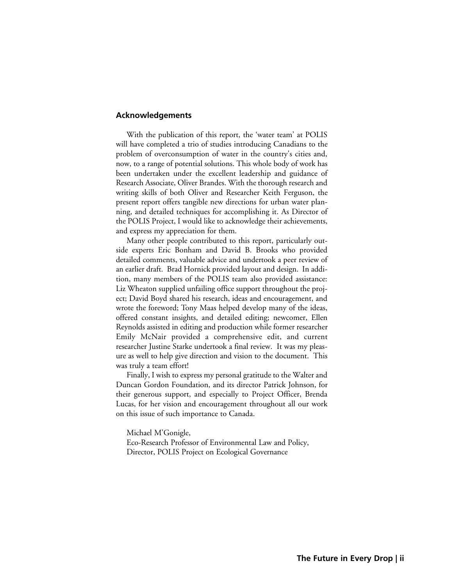#### **Acknowledgements**

With the publication of this report, the 'water team' at POLIS will have completed a trio of studies introducing Canadians to the problem of overconsumption of water in the country's cities and, now, to a range of potential solutions. This whole body of work has been undertaken under the excellent leadership and guidance of Research Associate, Oliver Brandes. With the thorough research and writing skills of both Oliver and Researcher Keith Ferguson, the present report offers tangible new directions for urban water planning, and detailed techniques for accomplishing it. As Director of the POLIS Project, I would like to acknowledge their achievements, and express my appreciation for them.

Many other people contributed to this report, particularly outside experts Eric Bonham and David B. Brooks who provided detailed comments, valuable advice and undertook a peer review of an earlier draft. Brad Hornick provided layout and design. In addition, many members of the POLIS team also provided assistance: Liz Wheaton supplied unfailing office support throughout the project; David Boyd shared his research, ideas and encouragement, and wrote the foreword; Tony Maas helped develop many of the ideas, offered constant insights, and detailed editing; newcomer, Ellen Reynolds assisted in editing and production while former researcher Emily McNair provided a comprehensive edit, and current researcher Justine Starke undertook a final review. It was my pleasure as well to help give direction and vision to the document. This was truly a team effort!

Finally, I wish to express my personal gratitude to the Walter and Duncan Gordon Foundation, and its director Patrick Johnson, for their generous support, and especially to Project Officer, Brenda Lucas, for her vision and encouragement throughout all our work on this issue of such importance to Canada.

Michael M'Gonigle,

Eco-Research Professor of Environmental Law and Policy, Director, POLIS Project on Ecological Governance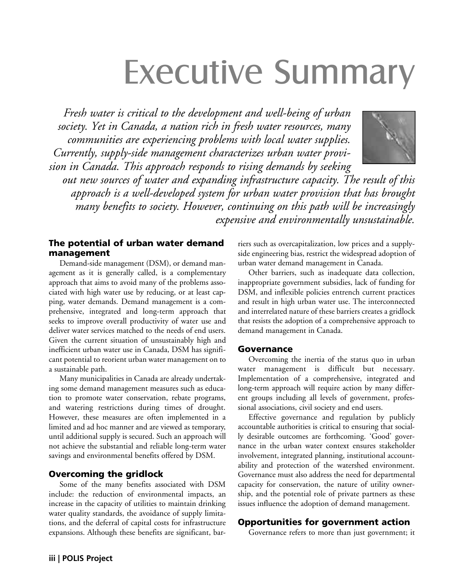# Executive Summary

*Fresh water is critical to the development and well-being of urban society. Yet in Canada, a nation rich in fresh water resources, many communities are experiencing problems with local water supplies. Currently, supply-side management characterizes urban water provision in Canada. This approach responds to rising demands by seeking*



*out new sources of water and expanding infrastructure capacity. The result of this approach is a well-developed system for urban water provision that has brought many benefits to society. However, continuing on this path will be increasingly expensive and environmentally unsustainable.*

#### The potential of urban water demand management

Demand-side management (DSM), or demand management as it is generally called, is a complementary approach that aims to avoid many of the problems associated with high water use by reducing, or at least capping, water demands. Demand management is a comprehensive, integrated and long-term approach that seeks to improve overall productivity of water use and deliver water services matched to the needs of end users. Given the current situation of unsustainably high and inefficient urban water use in Canada, DSM has significant potential to reorient urban water management on to a sustainable path.

Many municipalities in Canada are already undertaking some demand management measures such as education to promote water conservation, rebate programs, and watering restrictions during times of drought. However, these measures are often implemented in a limited and ad hoc manner and are viewed as temporary, until additional supply is secured. Such an approach will not achieve the substantial and reliable long-term water savings and environmental benefits offered by DSM.

#### Overcoming the gridlock

Some of the many benefits associated with DSM include: the reduction of environmental impacts, an increase in the capacity of utilities to maintain drinking water quality standards, the avoidance of supply limitations, and the deferral of capital costs for infrastructure expansions. Although these benefits are significant, barriers such as overcapitalization, low prices and a supplyside engineering bias, restrict the widespread adoption of urban water demand management in Canada.

Other barriers, such as inadequate data collection, inappropriate government subsidies, lack of funding for DSM, and inflexible policies entrench current practices and result in high urban water use. The interconnected and interrelated nature of these barriers creates a gridlock that resists the adoption of a comprehensive approach to demand management in Canada.

#### Governance

Overcoming the inertia of the status quo in urban water management is difficult but necessary. Implementation of a comprehensive, integrated and long-term approach will require action by many different groups including all levels of government, professional associations, civil society and end users.

Effective governance and regulation by publicly accountable authorities is critical to ensuring that socially desirable outcomes are forthcoming. 'Good' governance in the urban water context ensures stakeholder involvement, integrated planning, institutional accountability and protection of the watershed environment. Governance must also address the need for departmental capacity for conservation, the nature of utility ownership, and the potential role of private partners as these issues influence the adoption of demand management.

#### Opportunities for government action

Governance refers to more than just government; it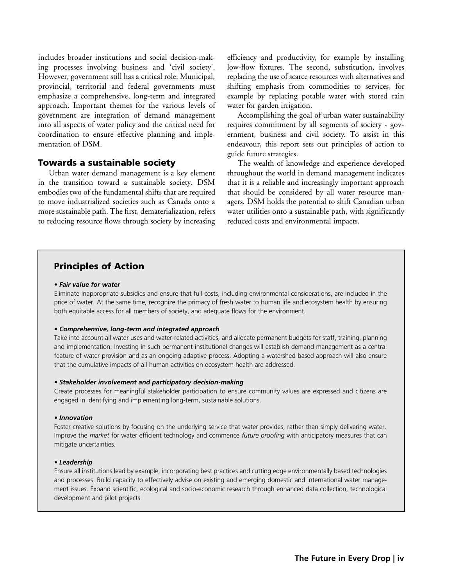includes broader institutions and social decision-making processes involving business and 'civil society'. However, government still has a critical role. Municipal, provincial, territorial and federal governments must emphasize a comprehensive, long-term and integrated approach. Important themes for the various levels of government are integration of demand management into all aspects of water policy and the critical need for coordination to ensure effective planning and implementation of DSM.

#### Towards a sustainable society

Urban water demand management is a key element in the transition toward a sustainable society. DSM embodies two of the fundamental shifts that are required to move industrialized societies such as Canada onto a more sustainable path. The first, dematerialization, refers to reducing resource flows through society by increasing efficiency and productivity, for example by installing low-flow fixtures. The second, substitution, involves replacing the use of scarce resources with alternatives and shifting emphasis from commodities to services, for example by replacing potable water with stored rain water for garden irrigation.

Accomplishing the goal of urban water sustainability requires commitment by all segments of society - government, business and civil society. To assist in this endeavour, this report sets out principles of action to guide future strategies.

The wealth of knowledge and experience developed throughout the world in demand management indicates that it is a reliable and increasingly important approach that should be considered by all water resource managers. DSM holds the potential to shift Canadian urban water utilities onto a sustainable path, with significantly reduced costs and environmental impacts.

#### Principles of Action

#### *• Fair value for water*

Eliminate inappropriate subsidies and ensure that full costs, including environmental considerations, are included in the price of water. At the same time, recognize the primacy of fresh water to human life and ecosystem health by ensuring both equitable access for all members of society, and adequate flows for the environment.

#### *• Comprehensive, long-term and integrated approach*

Take into account all water uses and water-related activities, and allocate permanent budgets for staff, training, planning and implementation. Investing in such permanent institutional changes will establish demand management as a central feature of water provision and as an ongoing adaptive process. Adopting a watershed-based approach will also ensure that the cumulative impacts of all human activities on ecosystem health are addressed.

#### *• Stakeholder involvement and participatory decision-making*

Create processes for meaningful stakeholder participation to ensure community values are expressed and citizens are engaged in identifying and implementing long-term, sustainable solutions.

#### *• Innovation*

Foster creative solutions by focusing on the underlying service that water provides, rather than simply delivering water. Improve the *market* for water efficient technology and commence *future proofing* with anticipatory measures that can mitigate uncertainties.

#### *• Leadership*

Ensure all institutions lead by example, incorporating best practices and cutting edge environmentally based technologies and processes. Build capacity to effectively advise on existing and emerging domestic and international water management issues. Expand scientific, ecological and socio-economic research through enhanced data collection, technological development and pilot projects.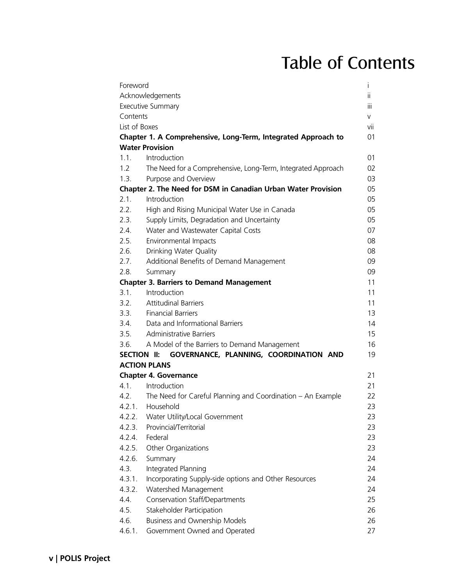## Table of Contents

| Foreword      |                                                                  | $\overline{1}$ |
|---------------|------------------------------------------------------------------|----------------|
|               | Acknowledgements                                                 | ÎÎ.            |
|               | <b>Executive Summary</b>                                         | іїі            |
| Contents      |                                                                  | V              |
| List of Boxes |                                                                  | vii            |
|               | Chapter 1. A Comprehensive, Long-Term, Integrated Approach to    | 01             |
|               | <b>Water Provision</b>                                           |                |
| 1.1.          | Introduction                                                     | 01             |
| 1.2           | The Need for a Comprehensive, Long-Term, Integrated Approach     | 02             |
| 1.3.          | Purpose and Overview                                             | 03             |
|               | Chapter 2. The Need for DSM in Canadian Urban Water Provision    | 05             |
| 2.1.          | Introduction                                                     | 05             |
| 2.2.          | High and Rising Municipal Water Use in Canada                    | 05             |
| 2.3.          | Supply Limits, Degradation and Uncertainty                       | 05             |
| 2.4           | Water and Wastewater Capital Costs                               | 07             |
| 2.5.          | Environmental Impacts                                            | 08             |
| 2.6.          | Drinking Water Quality                                           | 08             |
| 2.7.          | Additional Benefits of Demand Management                         | 09             |
| 2.8.          | Summary                                                          | 09             |
|               | <b>Chapter 3. Barriers to Demand Management</b>                  | 11             |
| 3.1.          | Introduction                                                     | 11             |
| 3.2.          | <b>Attitudinal Barriers</b>                                      | 11             |
| 3.3.          | <b>Financial Barriers</b>                                        | 13             |
|               | 3.4. Data and Informational Barriers                             | 14             |
| 3.5.          | <b>Administrative Barriers</b>                                   | 15             |
| 3.6.          | A Model of the Barriers to Demand Management                     | 16             |
| SECTION II:   | GOVERNANCE, PLANNING, COORDINATION AND                           | 19             |
|               | <b>ACTION PLANS</b>                                              |                |
|               | <b>Chapter 4. Governance</b>                                     | 21             |
| 4.1.          | Introduction                                                     | 21             |
|               | 4.2. The Need for Careful Planning and Coordination – An Example | 22             |
|               | 4.2.1. Household                                                 | 23             |
| 4.2.2.        | Water Utility/Local Government                                   | 23             |
| 4.2.3.        | Provincial/Territorial                                           | 23             |
| 4.2.4.        | Federal                                                          | 23             |
| 4.2.5.        | Other Organizations                                              | 23             |
| 4.2.6.        | Summary                                                          | 24             |
| 4.3.          | Integrated Planning                                              | 24             |
| 4.3.1.        | Incorporating Supply-side options and Other Resources            | 24             |
| 4.3.2.        | Watershed Management                                             | 24             |
| 4.4.          | <b>Conservation Staff/Departments</b>                            | 25             |
| 4.5.          | Stakeholder Participation                                        | 26             |
| 4.6.          | Business and Ownership Models                                    | 26             |
| 4.6.1.        | Government Owned and Operated                                    | 27             |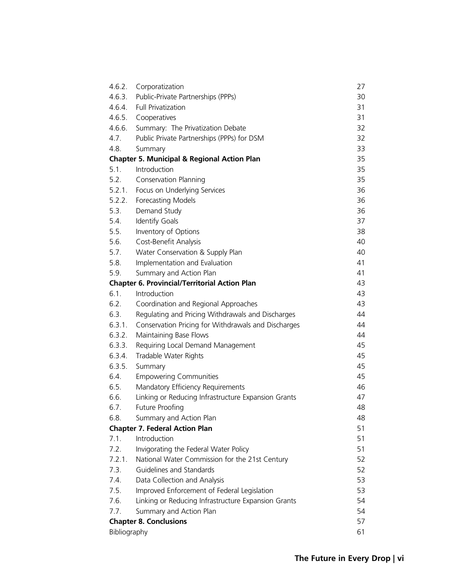| 4.6.2.       | Corporatization                                        | 27 |
|--------------|--------------------------------------------------------|----|
| 4.6.3.       | Public-Private Partnerships (PPPs)                     | 30 |
| 4.6.4.       | <b>Full Privatization</b>                              | 31 |
|              | 4.6.5. Cooperatives                                    | 31 |
| 4.6.6.       | Summary: The Privatization Debate                      | 32 |
| 4.7.         | Public Private Partnerships (PPPs) for DSM             | 32 |
| 4.8.         | Summary                                                | 33 |
|              | <b>Chapter 5. Municipal &amp; Regional Action Plan</b> | 35 |
| 5.1.         | Introduction                                           | 35 |
| 5.2.         | Conservation Planning                                  | 35 |
| 5.2.1.       | Focus on Underlying Services                           | 36 |
| 5.2.2.       | Forecasting Models                                     | 36 |
| 5.3.         | Demand Study                                           | 36 |
| 5.4.         | <b>Identify Goals</b>                                  | 37 |
| 5.5.         | Inventory of Options                                   | 38 |
| 5.6.         | Cost-Benefit Analysis                                  | 40 |
| 5.7.         | Water Conservation & Supply Plan                       | 40 |
| 5.8.         | Implementation and Evaluation                          | 41 |
| 5.9.         | Summary and Action Plan                                | 41 |
|              | <b>Chapter 6. Provincial/Territorial Action Plan</b>   | 43 |
| 6.1.         | Introduction                                           | 43 |
| 6.2.         | Coordination and Regional Approaches                   | 43 |
| 6.3.         | Regulating and Pricing Withdrawals and Discharges      | 44 |
| 6.3.1.       | Conservation Pricing for Withdrawals and Discharges    | 44 |
| 6.3.2.       | Maintaining Base Flows                                 | 44 |
| 6.3.3.       | Requiring Local Demand Management                      | 45 |
| 6.3.4.       | Tradable Water Rights                                  | 45 |
| 6.3.5.       | Summary                                                | 45 |
| 6.4.         | <b>Empowering Communities</b>                          | 45 |
| 6.5.         | Mandatory Efficiency Requirements                      | 46 |
| 6.6.         | Linking or Reducing Infrastructure Expansion Grants    | 47 |
| 6.7.         | <b>Future Proofing</b>                                 | 48 |
| 6.8.         | Summary and Action Plan                                | 48 |
|              | <b>Chapter 7. Federal Action Plan</b>                  | 51 |
| 7.1.         | Introduction                                           | 51 |
| 7.2.         | Invigorating the Federal Water Policy                  | 51 |
| 7.2.1.       | National Water Commission for the 21st Century         | 52 |
| 7.3.         | Guidelines and Standards                               | 52 |
| 7.4.         | Data Collection and Analysis                           | 53 |
| 7.5.         | Improved Enforcement of Federal Legislation            | 53 |
| 7.6.         | Linking or Reducing Infrastructure Expansion Grants    | 54 |
| 7.7.         | Summary and Action Plan                                | 54 |
|              | <b>Chapter 8. Conclusions</b>                          | 57 |
| Bibliography |                                                        | 61 |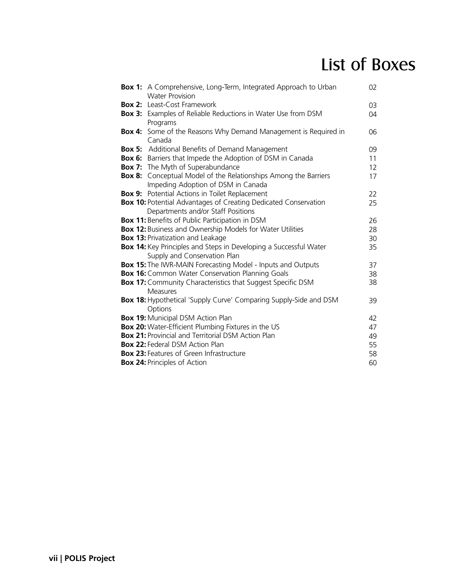## List of Boxes

|               | <b>Box 1:</b> A Comprehensive, Long-Term, Integrated Approach to Urban<br><b>Water Provision</b> | 02 |  |  |  |
|---------------|--------------------------------------------------------------------------------------------------|----|--|--|--|
|               | <b>Box 2:</b> Least-Cost Framework                                                               | 03 |  |  |  |
|               | <b>Box 3:</b> Examples of Reliable Reductions in Water Use from DSM                              | 04 |  |  |  |
|               | Programs                                                                                         |    |  |  |  |
| <b>Box 4:</b> | Some of the Reasons Why Demand Management is Required in                                         | 06 |  |  |  |
|               | Canada                                                                                           |    |  |  |  |
|               | <b>Box 5:</b> Additional Benefits of Demand Management                                           | 09 |  |  |  |
|               | <b>Box 6:</b> Barriers that Impede the Adoption of DSM in Canada                                 | 11 |  |  |  |
|               | <b>Box 7:</b> The Myth of Superabundance                                                         | 12 |  |  |  |
|               | <b>Box 8:</b> Conceptual Model of the Relationships Among the Barriers                           | 17 |  |  |  |
|               | Impeding Adoption of DSM in Canada                                                               |    |  |  |  |
| <b>Box 9:</b> | Potential Actions in Toilet Replacement                                                          | 22 |  |  |  |
|               | <b>Box 10: Potential Advantages of Creating Dedicated Conservation</b>                           | 25 |  |  |  |
|               | Departments and/or Staff Positions                                                               |    |  |  |  |
|               | <b>Box 11:</b> Benefits of Public Participation in DSM                                           | 26 |  |  |  |
|               | <b>Box 12: Business and Ownership Models for Water Utilities</b>                                 | 28 |  |  |  |
|               | <b>Box 13: Privatization and Leakage</b>                                                         | 30 |  |  |  |
|               | Box 14: Key Principles and Steps in Developing a Successful Water                                | 35 |  |  |  |
|               | Supply and Conservation Plan                                                                     |    |  |  |  |
|               | <b>Box 15:</b> The IWR-MAIN Forecasting Model - Inputs and Outputs                               | 37 |  |  |  |
|               | <b>Box 16:</b> Common Water Conservation Planning Goals                                          | 38 |  |  |  |
|               | Box 17: Community Characteristics that Suggest Specific DSM                                      | 38 |  |  |  |
|               | Measures                                                                                         |    |  |  |  |
|               | <b>Box 18:</b> Hypothetical 'Supply Curve' Comparing Supply-Side and DSM                         | 39 |  |  |  |
|               | Options                                                                                          |    |  |  |  |
|               | <b>Box 19: Municipal DSM Action Plan</b>                                                         | 42 |  |  |  |
|               | <b>Box 20:</b> Water-Efficient Plumbing Fixtures in the US                                       | 47 |  |  |  |
|               | <b>Box 21: Provincial and Territorial DSM Action Plan</b>                                        | 49 |  |  |  |
|               | <b>Box 22: Federal DSM Action Plan</b><br>55                                                     |    |  |  |  |
|               | <b>Box 23: Features of Green Infrastructure</b><br>58                                            |    |  |  |  |
|               | <b>Box 24: Principles of Action</b>                                                              | 60 |  |  |  |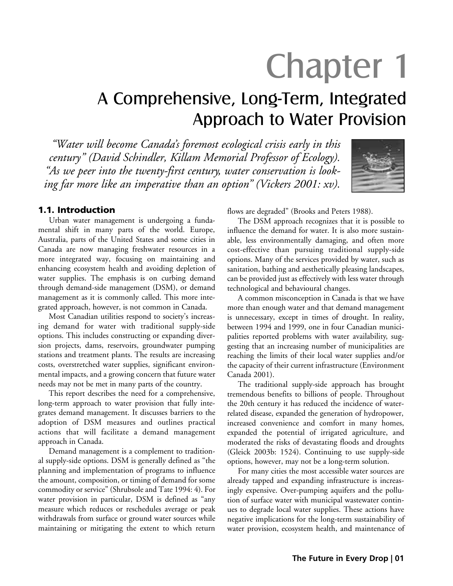# Chapter 1

### A Comprehensive, Long-Term, Integrated Approach to Water Provision

*"Water will become Canada's foremost ecological crisis early in this century" (David Schindler, Killam Memorial Professor of Ecology). "As we peer into the twenty-first century, water conservation is looking far more like an imperative than an option" (Vickers 2001: xv).*



#### 1.1. Introduction

Urban water management is undergoing a fundamental shift in many parts of the world. Europe, Australia, parts of the United States and some cities in Canada are now managing freshwater resources in a more integrated way, focusing on maintaining and enhancing ecosystem health and avoiding depletion of water supplies. The emphasis is on curbing demand through demand-side management (DSM), or demand management as it is commonly called. This more integrated approach, however, is not common in Canada.

Most Canadian utilities respond to society's increasing demand for water with traditional supply-side options. This includes constructing or expanding diversion projects, dams, reservoirs, groundwater pumping stations and treatment plants. The results are increasing costs, overstretched water supplies, significant environmental impacts, and a growing concern that future water needs may not be met in many parts of the country.

This report describes the need for a comprehensive, long-term approach to water provision that fully integrates demand management. It discusses barriers to the adoption of DSM measures and outlines practical actions that will facilitate a demand management approach in Canada.

Demand management is a complement to traditional supply-side options. DSM is generally defined as "the planning and implementation of programs to influence the amount, composition, or timing of demand for some commodity or service" (Shrubsole and Tate 1994: 4). For water provision in particular, DSM is defined as "any measure which reduces or reschedules average or peak withdrawals from surface or ground water sources while maintaining or mitigating the extent to which return

flows are degraded" (Brooks and Peters 1988).

The DSM approach recognizes that it is possible to influence the demand for water. It is also more sustainable, less environmentally damaging, and often more cost-effective than pursuing traditional supply-side options. Many of the services provided by water, such as sanitation, bathing and aesthetically pleasing landscapes, can be provided just as effectively with less water through technological and behavioural changes.

A common misconception in Canada is that we have more than enough water and that demand management is unnecessary, except in times of drought. In reality, between 1994 and 1999, one in four Canadian municipalities reported problems with water availability, suggesting that an increasing number of municipalities are reaching the limits of their local water supplies and/or the capacity of their current infrastructure (Environment Canada 2001).

The traditional supply-side approach has brought tremendous benefits to billions of people. Throughout the 20th century it has reduced the incidence of waterrelated disease, expanded the generation of hydropower, increased convenience and comfort in many homes, expanded the potential of irrigated agriculture, and moderated the risks of devastating floods and droughts (Gleick 2003b: 1524). Continuing to use supply-side options, however, may not be a long-term solution.

For many cities the most accessible water sources are already tapped and expanding infrastructure is increasingly expensive. Over-pumping aquifers and the pollution of surface water with municipal wastewater continues to degrade local water supplies. These actions have negative implications for the long-term sustainability of water provision, ecosystem health, and maintenance of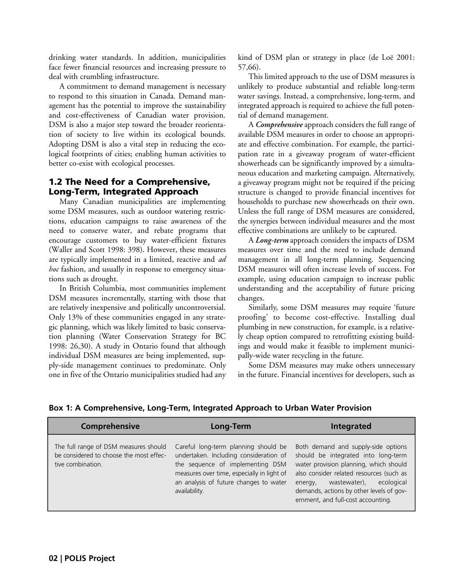drinking water standards. In addition, municipalities face fewer financial resources and increasing pressure to deal with crumbling infrastructure.

A commitment to demand management is necessary to respond to this situation in Canada. Demand management has the potential to improve the sustainability and cost-effectiveness of Canadian water provision. DSM is also a major step toward the broader reorientation of society to live within its ecological bounds. Adopting DSM is also a vital step in reducing the ecological footprints of cities; enabling human activities to better co-exist with ecological processes.

#### 1.2 The Need for a Comprehensive, Long-Term, Integrated Approach

Many Canadian municipalities are implementing some DSM measures, such as outdoor watering restrictions, education campaigns to raise awareness of the need to conserve water, and rebate programs that encourage customers to buy water-efficient fixtures (Waller and Scott 1998: 398). However, these measures are typically implemented in a limited, reactive and *ad hoc* fashion, and usually in response to emergency situations such as drought.

In British Columbia, most communities implement DSM measures incrementally, starting with those that are relatively inexpensive and politically uncontroversial. Only 13% of these communities engaged in any strategic planning, which was likely limited to basic conservation planning (Water Conservation Strategy for BC 1998: 26,30). A study in Ontario found that although individual DSM measures are being implemented, supply-side management continues to predominate. Only one in five of the Ontario municipalities studied had any kind of DSM plan or strategy in place (de Loë 2001: 57,66).

This limited approach to the use of DSM measures is unlikely to produce substantial and reliable long-term water savings. Instead, a comprehensive, long-term, and integrated approach is required to achieve the full potential of demand management.

A *Comprehensive* approach considers the full range of available DSM measures in order to choose an appropriate and effective combination. For example, the participation rate in a giveaway program of water-efficient showerheads can be significantly improved by a simultaneous education and marketing campaign. Alternatively, a giveaway program might not be required if the pricing structure is changed to provide financial incentives for households to purchase new showerheads on their own. Unless the full range of DSM measures are considered, the synergies between individual measures and the most effective combinations are unlikely to be captured.

A *Long-term* approach considers the impacts of DSM measures over time and the need to include demand management in all long-term planning. Sequencing DSM measures will often increase levels of success. For example, using education campaign to increase public understanding and the acceptability of future pricing changes.

Similarly, some DSM measures may require 'future proofing' to become cost-effective. Installing dual plumbing in new construction, for example, is a relatively cheap option compared to retrofitting existing buildings and would make it feasible to implement municipally-wide water recycling in the future.

Some DSM measures may make others unnecessary in the future. Financial incentives for developers, such as

| Comprehensive                                                                                         | Long-Term                                                                                                                                                                                                                   | <b>Integrated</b>                                                                                                                                                                                                                                                                           |
|-------------------------------------------------------------------------------------------------------|-----------------------------------------------------------------------------------------------------------------------------------------------------------------------------------------------------------------------------|---------------------------------------------------------------------------------------------------------------------------------------------------------------------------------------------------------------------------------------------------------------------------------------------|
| The full range of DSM measures should<br>be considered to choose the most effec-<br>tive combination. | Careful long-term planning should be<br>undertaken. Including consideration of<br>the sequence of implementing DSM<br>measures over time, especially in light of<br>an analysis of future changes to water<br>availability. | Both demand and supply-side options<br>should be integrated into long-term<br>water provision planning, which should<br>also consider related resources (such as<br>wastewater),<br>ecological<br>energy,<br>demands, actions by other levels of gov-<br>ernment, and full-cost accounting. |

#### **Box 1: A Comprehensive, Long-Term, Integrated Approach to Urban Water Provision**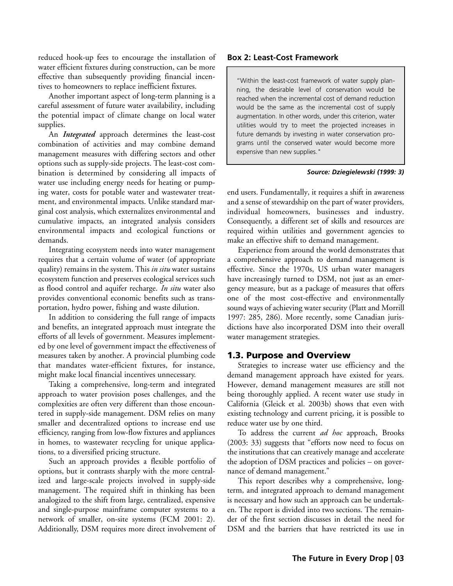reduced hook-up fees to encourage the installation of water efficient fixtures during construction, can be more effective than subsequently providing financial incentives to homeowners to replace inefficient fixtures.

Another important aspect of long-term planning is a careful assessment of future water availability, including the potential impact of climate change on local water supplies.

An *Integrated* approach determines the least-cost combination of activities and may combine demand management measures with differing sectors and other options such as supply-side projects. The least-cost combination is determined by considering all impacts of water use including energy needs for heating or pumping water, costs for potable water and wastewater treatment, and environmental impacts. Unlike standard marginal cost analysis, which externalizes environmental and cumulative impacts, an integrated analysis considers environmental impacts and ecological functions or demands.

Integrating ecosystem needs into water management requires that a certain volume of water (of appropriate quality) remains in the system. This *in situ* water sustains ecosystem function and preserves ecological services such as flood control and aquifer recharge. *In situ* water also provides conventional economic benefits such as transportation, hydro power, fishing and waste dilution.

In addition to considering the full range of impacts and benefits, an integrated approach must integrate the efforts of all levels of government. Measures implemented by one level of government impact the effectiveness of measures taken by another. A provincial plumbing code that mandates water-efficient fixtures, for instance, might make local financial incentives unnecessary.

Taking a comprehensive, long-term and integrated approach to water provision poses challenges, and the complexities are often very different than those encountered in supply-side management. DSM relies on many smaller and decentralized options to increase end use efficiency, ranging from low-flow fixtures and appliances in homes, to wastewater recycling for unique applications, to a diversified pricing structure.

Such an approach provides a flexible portfolio of options, but it contrasts sharply with the more centralized and large-scale projects involved in supply-side management. The required shift in thinking has been analogized to the shift from large, centralized, expensive and single-purpose mainframe computer systems to a network of smaller, on-site systems (FCM 2001: 2). Additionally, DSM requires more direct involvement of

#### **Box 2: Least-Cost Framework**

"Within the least-cost framework of water supply planning, the desirable level of conservation would be reached when the incremental cost of demand reduction would be the same as the incremental cost of supply augmentation. In other words, under this criterion, water utilities would try to meet the projected increases in future demands by investing in water conservation programs until the conserved water would become more expensive than new supplies."

#### *Source: Dziegielewski (1999: 3)*

end users. Fundamentally, it requires a shift in awareness and a sense of stewardship on the part of water providers, individual homeowners, businesses and industry. Consequently, a different set of skills and resources are required within utilities and government agencies to make an effective shift to demand management.

Experience from around the world demonstrates that a comprehensive approach to demand management is effective. Since the 1970s, US urban water managers have increasingly turned to DSM, not just as an emergency measure, but as a package of measures that offers one of the most cost-effective and environmentally sound ways of achieving water security (Platt and Morrill 1997: 285, 286). More recently, some Canadian jurisdictions have also incorporated DSM into their overall water management strategies.

#### 1.3. Purpose and Overview

Strategies to increase water use efficiency and the demand management approach have existed for years. However, demand management measures are still not being thoroughly applied. A recent water use study in California (Gleick et al. 2003b) shows that even with existing technology and current pricing, it is possible to reduce water use by one third.

To address the current *ad hoc* approach, Brooks (2003: 33) suggests that "efforts now need to focus on the institutions that can creatively manage and accelerate the adoption of DSM practices and policies – on governance of demand management."

This report describes why a comprehensive, longterm, and integrated approach to demand management is necessary and how such an approach can be undertaken. The report is divided into two sections. The remainder of the first section discusses in detail the need for DSM and the barriers that have restricted its use in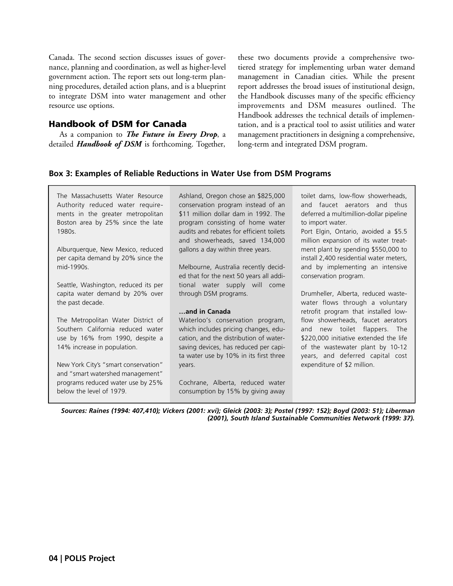Canada. The second section discusses issues of governance, planning and coordination, as well as higher-level government action. The report sets out long-term planning procedures, detailed action plans, and is a blueprint to integrate DSM into water management and other resource use options.

#### Handbook of DSM for Canada

As a companion to *The Future in Every Drop*, a detailed *Handbook of DSM* is forthcoming. Together,

these two documents provide a comprehensive twotiered strategy for implementing urban water demand management in Canadian cities. While the present report addresses the broad issues of institutional design, the Handbook discusses many of the specific efficiency improvements and DSM measures outlined. The Handbook addresses the technical details of implementation, and is a practical tool to assist utilities and water management practitioners in designing a comprehensive, long-term and integrated DSM program.

#### **Box 3: Examples of Reliable Reductions in Water Use from DSM Programs**

The Massachusetts Water Resource Authority reduced water requirements in the greater metropolitan Boston area by 25% since the late 1980s.

Alburquerque, New Mexico, reduced per capita demand by 20% since the mid-1990s.

Seattle, Washington, reduced its per capita water demand by 20% over the past decade.

The Metropolitan Water District of Southern California reduced water use by 16% from 1990, despite a 14% increase in population.

New York City's "smart conservation" and "smart watershed management" programs reduced water use by 25% below the level of 1979.

Ashland, Oregon chose an \$825,000 conservation program instead of an \$11 million dollar dam in 1992. The program consisting of home water audits and rebates for efficient toilets and showerheads, saved 134,000 gallons a day within three years.

Melbourne, Australia recently decided that for the next 50 years all additional water supply will come through DSM programs.

#### **…and in Canada**

Waterloo's conservation program, which includes pricing changes, education, and the distribution of watersaving devices, has reduced per capita water use by 10% in its first three years.

Cochrane, Alberta, reduced water consumption by 15% by giving away

toilet dams, low-flow showerheads, and faucet aerators and thus deferred a multimillion-dollar pipeline to import water.

Port Elgin, Ontario, avoided a \$5.5 million expansion of its water treatment plant by spending \$550,000 to install 2,400 residential water meters, and by implementing an intensive conservation program.

Drumheller, Alberta, reduced wastewater flows through a voluntary retrofit program that installed lowflow showerheads, faucet aerators and new toilet flappers. The \$220,000 initiative extended the life of the wastewater plant by 10-12 years, and deferred capital cost expenditure of \$2 million.

*Sources: Raines (1994: 407,410); Vickers (2001: xvi); Gleick (2003: 3); Postel (1997: 152); Boyd (2003: 51); Liberman (2001), South Island Sustainable Communities Network (1999: 37).*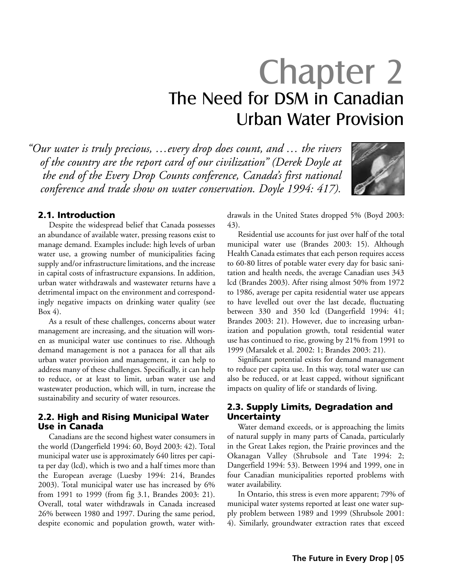# Chapter 2 The Need for DSM in Canadian Urban Water Provision

*"Our water is truly precious, …every drop does count, and … the rivers of the country are the report card of our civilization" (Derek Doyle at the end of the Every Drop Counts conference, Canada's first national conference and trade show on water conservation. Doyle 1994: 417).*



#### 2.1. Introduction

Despite the widespread belief that Canada possesses an abundance of available water, pressing reasons exist to manage demand. Examples include: high levels of urban water use, a growing number of municipalities facing supply and/or infrastructure limitations, and the increase in capital costs of infrastructure expansions. In addition, urban water withdrawals and wastewater returns have a detrimental impact on the environment and correspondingly negative impacts on drinking water quality (see Box 4).

As a result of these challenges, concerns about water management are increasing, and the situation will worsen as municipal water use continues to rise. Although demand management is not a panacea for all that ails urban water provision and management, it can help to address many of these challenges. Specifically, it can help to reduce, or at least to limit, urban water use and wastewater production, which will, in turn, increase the sustainability and security of water resources.

#### 2.2. High and Rising Municipal Water Use in Canada

Canadians are the second highest water consumers in the world (Dangerfield 1994: 60, Boyd 2003: 42). Total municipal water use is approximately 640 litres per capita per day (lcd), which is two and a half times more than the European average (Luesby 1994: 214, Brandes 2003). Total municipal water use has increased by 6% from 1991 to 1999 (from fig 3.1, Brandes 2003: 21). Overall, total water withdrawals in Canada increased 26% between 1980 and 1997. During the same period, despite economic and population growth, water withdrawals in the United States dropped 5% (Boyd 2003: 43).

Residential use accounts for just over half of the total municipal water use (Brandes 2003: 15). Although Health Canada estimates that each person requires access to 60-80 litres of potable water every day for basic sanitation and health needs, the average Canadian uses 343 lcd (Brandes 2003). After rising almost 50% from 1972 to 1986, average per capita residential water use appears to have levelled out over the last decade, fluctuating between 330 and 350 lcd (Dangerfield 1994: 41; Brandes 2003: 21). However, due to increasing urbanization and population growth, total residential water use has continued to rise, growing by 21% from 1991 to 1999 (Marsalek et al. 2002: 1; Brandes 2003: 21).

Significant potential exists for demand management to reduce per capita use. In this way, total water use can also be reduced, or at least capped, without significant impacts on quality of life or standards of living.

#### 2.3. Supply Limits, Degradation and Uncertainty

Water demand exceeds, or is approaching the limits of natural supply in many parts of Canada, particularly in the Great Lakes region, the Prairie provinces and the Okanagan Valley (Shrubsole and Tate 1994: 2; Dangerfield 1994: 53). Between 1994 and 1999, one in four Canadian municipalities reported problems with water availability.

In Ontario, this stress is even more apparent; 79% of municipal water systems reported at least one water supply problem between 1989 and 1999 (Shrubsole 2001: 4). Similarly, groundwater extraction rates that exceed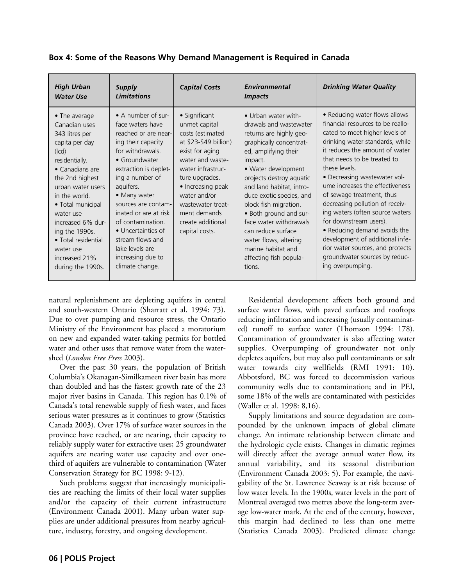| <b>High Urban</b><br><b>Water Use</b>                                                                                                                                                                                                                                                                                                        | Supply<br><b>Limitations</b>                                                                                                                                                                                                                                                                                                                                                 | <b>Capital Costs</b>                                                                                                                                                                                                                                                       | Environmental<br><i>Impacts</i>                                                                                                                                                                                                                                                                                                                                                                                                         | <b>Drinking Water Quality</b>                                                                                                                                                                                                                                                                                                                                                                                                                                                                                                                                                         |
|----------------------------------------------------------------------------------------------------------------------------------------------------------------------------------------------------------------------------------------------------------------------------------------------------------------------------------------------|------------------------------------------------------------------------------------------------------------------------------------------------------------------------------------------------------------------------------------------------------------------------------------------------------------------------------------------------------------------------------|----------------------------------------------------------------------------------------------------------------------------------------------------------------------------------------------------------------------------------------------------------------------------|-----------------------------------------------------------------------------------------------------------------------------------------------------------------------------------------------------------------------------------------------------------------------------------------------------------------------------------------------------------------------------------------------------------------------------------------|---------------------------------------------------------------------------------------------------------------------------------------------------------------------------------------------------------------------------------------------------------------------------------------------------------------------------------------------------------------------------------------------------------------------------------------------------------------------------------------------------------------------------------------------------------------------------------------|
| $\bullet$ The average<br>Canadian uses<br>343 litres per<br>capita per day<br>(lcd)<br>residentially.<br>$\bullet$ Canadians are<br>the 2nd highest<br>urban water users<br>in the world.<br>• Total municipal<br>water use<br>increased 6% dur-<br>ing the 1990s.<br>• Total residential<br>water use<br>increased 21%<br>during the 1990s. | • A number of sur-<br>face waters have<br>reached or are near-<br>ing their capacity<br>for withdrawals.<br>• Groundwater<br>extraction is deplet-<br>ing a number of<br>aquifers.<br>• Many water<br>sources are contam-<br>inated or are at risk<br>of contamination.<br>• Uncertainties of<br>stream flows and<br>lake levels are<br>increasing due to<br>climate change. | • Significant<br>unmet capital<br>costs (estimated<br>at \$23-\$49 billion)<br>exist for aging<br>water and waste-<br>water infrastruc-<br>ture upgrades.<br>• Increasing peak<br>water and/or<br>wastewater treat-<br>ment demands<br>create additional<br>capital costs. | • Urban water with-<br>drawals and wastewater<br>returns are highly geo-<br>graphically concentrat-<br>ed, amplifying their<br>impact.<br>• Water development<br>projects destroy aquatic<br>and land habitat, intro-<br>duce exotic species, and<br>block fish migration.<br>• Both ground and sur-<br>face water withdrawals<br>can reduce surface<br>water flows, altering<br>marine habitat and<br>affecting fish popula-<br>tions. | • Reducing water flows allows<br>financial resources to be reallo-<br>cated to meet higher levels of<br>drinking water standards, while<br>it reduces the amount of water<br>that needs to be treated to<br>these levels.<br>• Decreasing wastewater vol-<br>ume increases the effectiveness<br>of sewage treatment, thus<br>decreasing pollution of receiv-<br>ing waters (often source waters<br>for downstream users).<br>• Reducing demand avoids the<br>development of additional infe-<br>rior water sources, and protects<br>groundwater sources by reduc-<br>ing overpumping. |

**Box 4: Some of the Reasons Why Demand Management is Required in Canada**

natural replenishment are depleting aquifers in central and south-western Ontario (Sharratt et al. 1994: 73). Due to over pumping and resource stress, the Ontario Ministry of the Environment has placed a moratorium on new and expanded water-taking permits for bottled water and other uses that remove water from the watershed (*London Free Press* 2003).

Over the past 30 years, the population of British Columbia's Okanagan-Similkameen river basin has more than doubled and has the fastest growth rate of the 23 major river basins in Canada. This region has 0.1% of Canada's total renewable supply of fresh water, and faces serious water pressures as it continues to grow (Statistics Canada 2003). Over 17% of surface water sources in the province have reached, or are nearing, their capacity to reliably supply water for extractive uses; 25 groundwater aquifers are nearing water use capacity and over onethird of aquifers are vulnerable to contamination (Water Conservation Strategy for BC 1998: 9-12).

Such problems suggest that increasingly municipalities are reaching the limits of their local water supplies and/or the capacity of their current infrastructure (Environment Canada 2001). Many urban water supplies are under additional pressures from nearby agriculture, industry, forestry, and ongoing development.

Residential development affects both ground and surface water flows, with paved surfaces and rooftops reducing infiltration and increasing (usually contaminated) runoff to surface water (Thomson 1994: 178). Contamination of groundwater is also affecting water supplies. Overpumping of groundwater not only depletes aquifers, but may also pull contaminants or salt water towards city wellfields (RMI 1991: 10). Abbotsford, BC was forced to decommission various community wells due to contamination; and in PEI, some 18% of the wells are contaminated with pesticides (Waller et al. 1998: 8,16).

Supply limitations and source degradation are compounded by the unknown impacts of global climate change. An intimate relationship between climate and the hydrologic cycle exists. Changes in climatic regimes will directly affect the average annual water flow, its annual variability, and its seasonal distribution (Environment Canada 2003: 5). For example, the navigability of the St. Lawrence Seaway is at risk because of low water levels. In the 1900s, water levels in the port of Montreal averaged two metres above the long-term average low-water mark. At the end of the century, however, this margin had declined to less than one metre (Statistics Canada 2003). Predicted climate change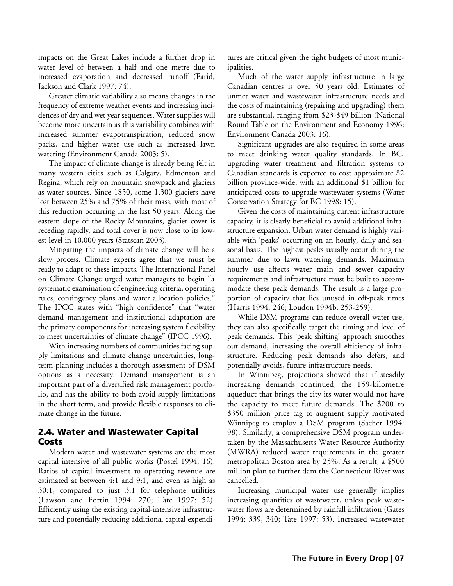impacts on the Great Lakes include a further drop in water level of between a half and one metre due to increased evaporation and decreased runoff (Farid, Jackson and Clark 1997: 74).

Greater climatic variability also means changes in the frequency of extreme weather events and increasing incidences of dry and wet year sequences. Water supplies will become more uncertain as this variability combines with increased summer evapotranspiration, reduced snow packs, and higher water use such as increased lawn watering (Environment Canada 2003: 5).

The impact of climate change is already being felt in many western cities such as Calgary, Edmonton and Regina, which rely on mountain snowpack and glaciers as water sources. Since 1850, some 1,300 glaciers have lost between 25% and 75% of their mass, with most of this reduction occurring in the last 50 years. Along the eastern slope of the Rocky Mountains, glacier cover is receding rapidly, and total cover is now close to its lowest level in 10,000 years (Statscan 2003).

Mitigating the impacts of climate change will be a slow process. Climate experts agree that we must be ready to adapt to these impacts. The International Panel on Climate Change urged water managers to begin "a systematic examination of engineering criteria, operating rules, contingency plans and water allocation policies." The IPCC states with "high confidence" that "water demand management and institutional adaptation are the primary components for increasing system flexibility to meet uncertainties of climate change" (IPCC 1996).

With increasing numbers of communities facing supply limitations and climate change uncertainties, longterm planning includes a thorough assessment of DSM options as a necessity. Demand management is an important part of a diversified risk management portfolio, and has the ability to both avoid supply limitations in the short term, and provide flexible responses to climate change in the future.

#### 2.4. Water and Wastewater Capital Costs

Modern water and wastewater systems are the most capital intensive of all public works (Postel 1994: 16). Ratios of capital investment to operating revenue are estimated at between 4:1 and 9:1, and even as high as 30:1, compared to just 3:1 for telephone utilities (Lawson and Fortin 1994: 270; Tate 1997: 52). Efficiently using the existing capital-intensive infrastructure and potentially reducing additional capital expenditures are critical given the tight budgets of most municipalities.

Much of the water supply infrastructure in large Canadian centres is over 50 years old. Estimates of unmet water and wastewater infrastructure needs and the costs of maintaining (repairing and upgrading) them are substantial, ranging from \$23-\$49 billion (National Round Table on the Environment and Economy 1996; Environment Canada 2003: 16).

Significant upgrades are also required in some areas to meet drinking water quality standards. In BC, upgrading water treatment and filtration systems to Canadian standards is expected to cost approximate \$2 billion province-wide, with an additional \$1 billion for anticipated costs to upgrade wastewater systems (Water Conservation Strategy for BC 1998: 15).

Given the costs of maintaining current infrastructure capacity, it is clearly beneficial to avoid additional infrastructure expansion. Urban water demand is highly variable with 'peaks' occurring on an hourly, daily and seasonal basis. The highest peaks usually occur during the summer due to lawn watering demands. Maximum hourly use affects water main and sewer capacity requirements and infrastructure must be built to accommodate these peak demands. The result is a large proportion of capacity that lies unused in off-peak times (Harris 1994: 246; Loudon 1994b: 253-259).

While DSM programs can reduce overall water use, they can also specifically target the timing and level of peak demands. This 'peak shifting' approach smoothes out demand, increasing the overall efficiency of infrastructure. Reducing peak demands also defers, and potentially avoids, future infrastructure needs.

In Winnipeg, projections showed that if steadily increasing demands continued, the 159-kilometre aqueduct that brings the city its water would not have the capacity to meet future demands. The \$200 to \$350 million price tag to augment supply motivated Winnipeg to employ a DSM program (Sacher 1994: 98). Similarly, a comprehensive DSM program undertaken by the Massachusetts Water Resource Authority (MWRA) reduced water requirements in the greater metropolitan Boston area by 25%. As a result, a \$500 million plan to further dam the Connecticut River was cancelled.

Increasing municipal water use generally implies increasing quantities of wastewater, unless peak wastewater flows are determined by rainfall infiltration (Gates 1994: 339, 340; Tate 1997: 53). Increased wastewater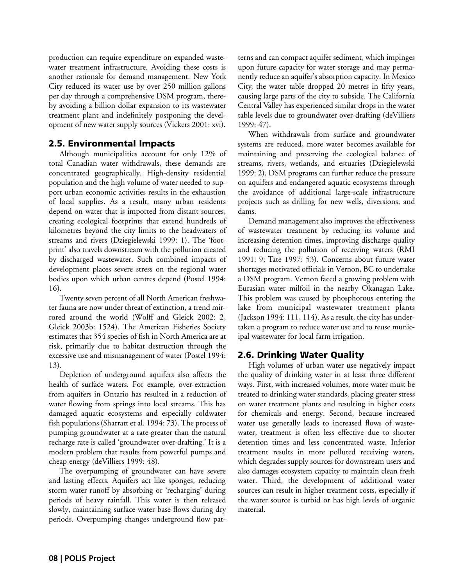production can require expenditure on expanded wastewater treatment infrastructure. Avoiding these costs is another rationale for demand management. New York City reduced its water use by over 250 million gallons per day through a comprehensive DSM program, thereby avoiding a billion dollar expansion to its wastewater treatment plant and indefinitely postponing the development of new water supply sources (Vickers 2001: xvi).

#### 2.5. Environmental Impacts

Although municipalities account for only 12% of total Canadian water withdrawals, these demands are concentrated geographically. High-density residential population and the high volume of water needed to support urban economic activities results in the exhaustion of local supplies. As a result, many urban residents depend on water that is imported from distant sources, creating ecological footprints that extend hundreds of kilometres beyond the city limits to the headwaters of streams and rivers (Dziegielewski 1999: 1). The 'footprint' also travels downstream with the pollution created by discharged wastewater. Such combined impacts of development places severe stress on the regional water bodies upon which urban centres depend (Postel 1994: 16).

Twenty seven percent of all North American freshwater fauna are now under threat of extinction, a trend mirrored around the world (Wolff and Gleick 2002: 2, Gleick 2003b: 1524). The American Fisheries Society estimates that 354 species of fish in North America are at risk, primarily due to habitat destruction through the excessive use and mismanagement of water (Postel 1994: 13).

Depletion of underground aquifers also affects the health of surface waters. For example, over-extraction from aquifers in Ontario has resulted in a reduction of water flowing from springs into local streams. This has damaged aquatic ecosystems and especially coldwater fish populations (Sharratt et al. 1994: 73). The process of pumping groundwater at a rate greater than the natural recharge rate is called 'groundwater over-drafting.' It is a modern problem that results from powerful pumps and cheap energy (deVilliers 1999: 48).

The overpumping of groundwater can have severe and lasting effects. Aquifers act like sponges, reducing storm water runoff by absorbing or 'recharging' during periods of heavy rainfall. This water is then released slowly, maintaining surface water base flows during dry periods. Overpumping changes underground flow patterns and can compact aquifer sediment, which impinges upon future capacity for water storage and may permanently reduce an aquifer's absorption capacity. In Mexico City, the water table dropped 20 metres in fifty years, causing large parts of the city to subside. The California Central Valley has experienced similar drops in the water table levels due to groundwater over-drafting (deVilliers 1999: 47).

When withdrawals from surface and groundwater systems are reduced, more water becomes available for maintaining and preserving the ecological balance of streams, rivers, wetlands, and estuaries (Dziegielewski 1999: 2). DSM programs can further reduce the pressure on aquifers and endangered aquatic ecosystems through the avoidance of additional large-scale infrastructure projects such as drilling for new wells, diversions, and dams.

Demand management also improves the effectiveness of wastewater treatment by reducing its volume and increasing detention times, improving discharge quality and reducing the pollution of receiving waters (RMI 1991: 9; Tate 1997: 53). Concerns about future water shortages motivated officials in Vernon, BC to undertake a DSM program. Vernon faced a growing problem with Eurasian water milfoil in the nearby Okanagan Lake. This problem was caused by phosphorous entering the lake from municipal wastewater treatment plants (Jackson 1994: 111, 114). As a result, the city has undertaken a program to reduce water use and to reuse municipal wastewater for local farm irrigation.

#### 2.6. Drinking Water Quality

High volumes of urban water use negatively impact the quality of drinking water in at least three different ways. First, with increased volumes, more water must be treated to drinking water standards, placing greater stress on water treatment plants and resulting in higher costs for chemicals and energy. Second, because increased water use generally leads to increased flows of wastewater, treatment is often less effective due to shorter detention times and less concentrated waste. Inferior treatment results in more polluted receiving waters, which degrades supply sources for downstream users and also damages ecosystem capacity to maintain clean fresh water. Third, the development of additional water sources can result in higher treatment costs, especially if the water source is turbid or has high levels of organic material.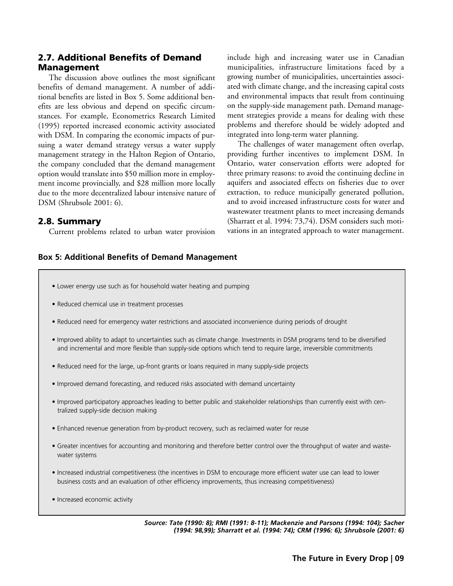#### 2.7. Additional Benefits of Demand Management

The discussion above outlines the most significant benefits of demand management. A number of additional benefits are listed in Box 5. Some additional benefits are less obvious and depend on specific circumstances. For example, Econometrics Research Limited (1995) reported increased economic activity associated with DSM. In comparing the economic impacts of pursuing a water demand strategy versus a water supply management strategy in the Halton Region of Ontario, the company concluded that the demand management option would translate into \$50 million more in employment income provincially, and \$28 million more locally due to the more decentralized labour intensive nature of DSM (Shrubsole 2001: 6).

#### 2.8. Summary

Current problems related to urban water provision

include high and increasing water use in Canadian municipalities, infrastructure limitations faced by a growing number of municipalities, uncertainties associated with climate change, and the increasing capital costs and environmental impacts that result from continuing on the supply-side management path. Demand management strategies provide a means for dealing with these problems and therefore should be widely adopted and integrated into long-term water planning.

The challenges of water management often overlap, providing further incentives to implement DSM. In Ontario, water conservation efforts were adopted for three primary reasons: to avoid the continuing decline in aquifers and associated effects on fisheries due to over extraction, to reduce municipally generated pollution, and to avoid increased infrastructure costs for water and wastewater treatment plants to meet increasing demands (Sharratt et al. 1994: 73,74). DSM considers such motivations in an integrated approach to water management.

#### **Box 5: Additional Benefits of Demand Management**

- Lower energy use such as for household water heating and pumping
- Reduced chemical use in treatment processes
- Reduced need for emergency water restrictions and associated inconvenience during periods of drought
- Improved ability to adapt to uncertainties such as climate change. Investments in DSM programs tend to be diversified and incremental and more flexible than supply-side options which tend to require large, irreversible commitments
- Reduced need for the large, up-front grants or loans required in many supply-side projects
- Improved demand forecasting, and reduced risks associated with demand uncertainty
- Improved participatory approaches leading to better public and stakeholder relationships than currently exist with centralized supply-side decision making
- Enhanced revenue generation from by-product recovery, such as reclaimed water for reuse
- Greater incentives for accounting and monitoring and therefore better control over the throughput of water and wastewater systems
- Increased industrial competitiveness (the incentives in DSM to encourage more efficient water use can lead to lower business costs and an evaluation of other efficiency improvements, thus increasing competitiveness)
- Increased economic activity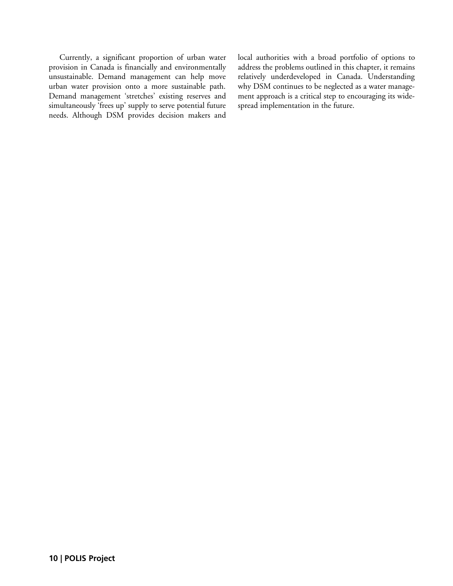Currently, a significant proportion of urban water provision in Canada is financially and environmentally unsustainable. Demand management can help move urban water provision onto a more sustainable path. Demand management 'stretches' existing reserves and simultaneously 'frees up' supply to serve potential future needs. Although DSM provides decision makers and local authorities with a broad portfolio of options to address the problems outlined in this chapter, it remains relatively underdeveloped in Canada. Understanding why DSM continues to be neglected as a water management approach is a critical step to encouraging its widespread implementation in the future.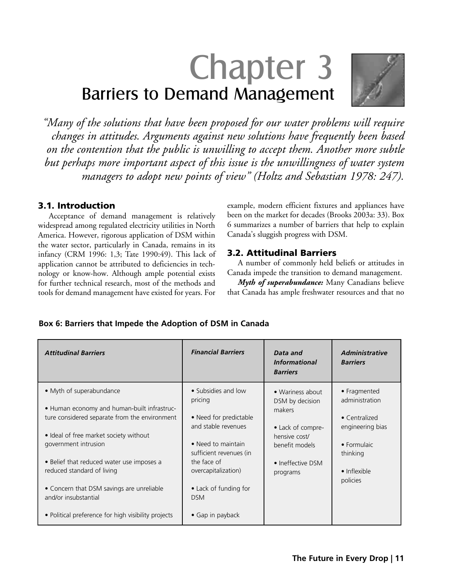# Chapter 3 Barriers to Demand Management



*"Many of the solutions that have been proposed for our water problems will require changes in attitudes. Arguments against new solutions have frequently been based on the contention that the public is unwilling to accept them. Another more subtle but perhaps more important aspect of this issue is the unwillingness of water system managers to adopt new points of view" (Holtz and Sebastian 1978: 247).*

#### 3.1. Introduction

Acceptance of demand management is relatively widespread among regulated electricity utilities in North America. However, rigorous application of DSM within the water sector, particularly in Canada, remains in its infancy (CRM 1996: 1,3; Tate 1990:49). This lack of application cannot be attributed to deficiencies in technology or know-how. Although ample potential exists for further technical research, most of the methods and tools for demand management have existed for years. For

example, modern efficient fixtures and appliances have been on the market for decades (Brooks 2003a: 33). Box 6 summarizes a number of barriers that help to explain Canada's sluggish progress with DSM.

#### 3.2. Attitudinal Barriers

A number of commonly held beliefs or attitudes in Canada impede the transition to demand management.

*Myth of superabundance:* Many Canadians believe that Canada has ample freshwater resources and that no

#### **Box 6: Barriers that Impede the Adoption of DSM in Canada**

| <b>Attitudinal Barriers</b>                                                                                              | <b>Financial Barriers</b>                                            | Data and<br><i><b>Informational</b></i><br><b>Barriers</b> | <b>Administrative</b><br><b>Barriers</b>                |
|--------------------------------------------------------------------------------------------------------------------------|----------------------------------------------------------------------|------------------------------------------------------------|---------------------------------------------------------|
| • Myth of superabundance<br>. Human economy and human-built infrastruc-<br>ture considered separate from the environment | • Subsidies and low<br>pricing<br>• Need for predictable             | • Wariness about<br>DSM by decision<br>makers              | • Fragmented<br>administration<br>$\bullet$ Centralized |
| • Ideal of free market society without<br>government intrusion                                                           | and stable revenues<br>• Need to maintain<br>sufficient revenues (in | • Lack of compre-<br>hensive cost/<br>benefit models       | engineering bias<br>• Formulaic<br>thinking             |
| • Belief that reduced water use imposes a<br>reduced standard of living<br>• Concern that DSM savings are unreliable     | the face of<br>overcapitalization)<br>• Lack of funding for          | • Ineffective DSM<br>programs                              | • Inflexible<br>policies                                |
| and/or insubstantial<br>• Political preference for high visibility projects                                              | <b>DSM</b><br>• Gap in payback                                       |                                                            |                                                         |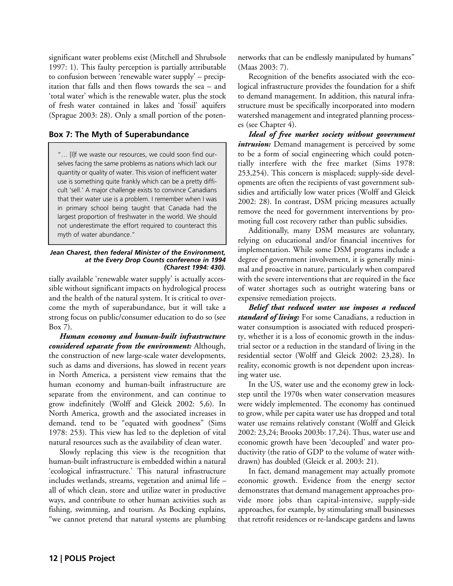significant water problems exist (Mitchell and Shrubsole 1997: 1). This faulty perception is partially attributable to confusion between 'renewable water supply' – precipitation that falls and then flows towards the sea – and 'total water' which is the renewable water, plus the stock of fresh water contained in lakes and 'fossil' aquifers (Sprague 2003: 28). Only a small portion of the poten-

#### **Box 7: The Myth of Superabundance**

"… [I]f we waste our resources, we could soon find ourselves facing the same problems as nations which lack our quantity or quality of water. This vision of inefficient water use is something quite frankly which can be a pretty difficult 'sell.' A major challenge exists to convince Canadians that their water use is a problem. I remember when I was in primary school being taught that Canada had the largest proportion of freshwater in the world. We should not underestimate the effort required to counteract this myth of water abundance."

#### *Jean Charest, then federal Minister of the Environment, at the Every Drop Counts conference in 1994 (Charest 1994: 430).*

tially available 'renewable water supply' is actually accessible without significant impacts on hydrological process and the health of the natural system. It is critical to overcome the myth of superabundance, but it will take a strong focus on public/consumer education to do so (see Box 7).

*Human economy and human-built infrastructure considered separate from the environment:* Although, the construction of new large-scale water developments, such as dams and diversions, has slowed in recent years in North America, a persistent view remains that the human economy and human-built infrastructure are separate from the environment, and can continue to grow indefinitely (Wolff and Gleick 2002: 5,6). In North America, growth and the associated increases in demand, tend to be "equated with goodness" (Sims 1978: 253). This view has led to the depletion of vital natural resources such as the availability of clean water.

Slowly replacing this view is the recognition that human-built infrastructure is embedded within a natural 'ecological infrastructure.' This natural infrastructure includes wetlands, streams, vegetation and animal life – all of which clean, store and utilize water in productive ways, and contribute to other human activities such as fishing, swimming, and tourism. As Bocking explains, "we cannot pretend that natural systems are plumbing networks that can be endlessly manipulated by humans" (Maas 2003: 7).

Recognition of the benefits associated with the ecological infrastructure provides the foundation for a shift to demand management. In addition, this natural infrastructure must be specifically incorporated into modern watershed management and integrated planning processes (see Chapter 4).

*Ideal of free market society without government intrusion:* Demand management is perceived by some to be a form of social engineering which could potentially interfere with the free market (Sims 1978: 253,254). This concern is misplaced; supply-side developments are often the recipients of vast government subsidies and artificially low water prices (Wolff and Gleick 2002: 28). In contrast, DSM pricing measures actually remove the need for government interventions by promoting full cost recovery rather than public subsidies.

Additionally, many DSM measures are voluntary, relying on educational and/or financial incentives for implementation. While some DSM programs include a degree of government involvement, it is generally minimal and proactive in nature, particularly when compared with the severe interventions that are required in the face of water shortages such as outright watering bans or expensive remediation projects.

*Belief that reduced water use imposes a reduced standard of living:* For some Canadians, a reduction in water consumption is associated with reduced prosperity, whether it is a loss of economic growth in the industrial sector or a reduction in the standard of living in the residential sector (Wolff and Gleick 2002: 23,28). In reality, economic growth is not dependent upon increasing water use.

In the US, water use and the economy grew in lockstep until the 1970s when water conservation measures were widely implemented. The economy has continued to grow, while per capita water use has dropped and total water use remains relatively constant (Wolff and Gleick 2002: 23,24; Brooks 2003b: 17,24). Thus, water use and economic growth have been 'decoupled' and water productivity (the ratio of GDP to the volume of water withdrawn) has doubled (Gleick et al. 2003: 21).

In fact, demand management may actually promote economic growth. Evidence from the energy sector demonstrates that demand management approaches provide more jobs than capital-intensive, supply-side approaches, for example, by stimulating small businesses that retrofit residences or re-landscape gardens and lawns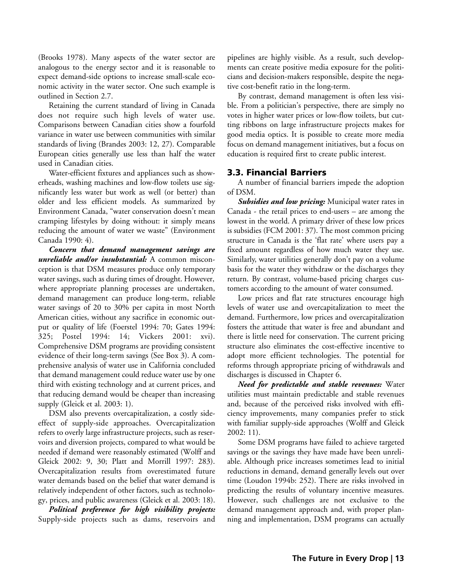(Brooks 1978). Many aspects of the water sector are analogous to the energy sector and it is reasonable to expect demand-side options to increase small-scale economic activity in the water sector. One such example is outlined in Section 2.7.

Retaining the current standard of living in Canada does not require such high levels of water use. Comparisons between Canadian cities show a fourfold variance in water use between communities with similar standards of living (Brandes 2003: 12, 27). Comparable European cities generally use less than half the water used in Canadian cities.

Water-efficient fixtures and appliances such as showerheads, washing machines and low-flow toilets use significantly less water but work as well (or better) than older and less efficient models. As summarized by Environment Canada, "water conservation doesn't mean cramping lifestyles by doing without: it simply means reducing the amount of water we waste" (Environment Canada 1990: 4).

*Concern that demand management savings are unreliable and/or insubstantial:* A common misconception is that DSM measures produce only temporary water savings, such as during times of drought. However, where appropriate planning processes are undertaken, demand management can produce long-term, reliable water savings of 20 to 30% per capita in most North American cities, without any sacrifice in economic output or quality of life (Foerstel 1994: 70; Gates 1994: 325; Postel 1994: 14; Vickers 2001: xvi). Comprehensive DSM programs are providing consistent evidence of their long-term savings (See Box 3). A comprehensive analysis of water use in California concluded that demand management could reduce water use by one third with existing technology and at current prices, and that reducing demand would be cheaper than increasing supply (Gleick et al. 2003: 1).

DSM also prevents overcapitalization, a costly sideeffect of supply-side approaches. Overcapitalization refers to overly large infrastructure projects, such as reservoirs and diversion projects, compared to what would be needed if demand were reasonably estimated (Wolff and Gleick 2002: 9, 30; Platt and Morrill 1997: 283). Overcapitalization results from overestimated future water demands based on the belief that water demand is relatively independent of other factors, such as technology, prices, and public awareness (Gleick et al. 2003: 18).

*Political preference for high visibility projects:* Supply-side projects such as dams, reservoirs and pipelines are highly visible. As a result, such developments can create positive media exposure for the politicians and decision-makers responsible, despite the negative cost-benefit ratio in the long-term.

By contrast, demand management is often less visible. From a politician's perspective, there are simply no votes in higher water prices or low-flow toilets, but cutting ribbons on large infrastructure projects makes for good media optics. It is possible to create more media focus on demand management initiatives, but a focus on education is required first to create public interest.

#### 3.3. Financial Barriers

A number of financial barriers impede the adoption of DSM.

*Subsidies and low pricing:* Municipal water rates in Canada - the retail prices to end-users – are among the lowest in the world. A primary driver of these low prices is subsidies (FCM 2001: 37). The most common pricing structure in Canada is the 'flat rate' where users pay a fixed amount regardless of how much water they use. Similarly, water utilities generally don't pay on a volume basis for the water they withdraw or the discharges they return. By contrast, volume-based pricing charges customers according to the amount of water consumed.

Low prices and flat rate structures encourage high levels of water use and overcapitalization to meet the demand. Furthermore, low prices and overcapitalization fosters the attitude that water is free and abundant and there is little need for conservation. The current pricing structure also eliminates the cost-effective incentive to adopt more efficient technologies. The potential for reforms through appropriate pricing of withdrawals and discharges is discussed in Chapter 6.

*Need for predictable and stable revenues:* Water utilities must maintain predictable and stable revenues and, because of the perceived risks involved with efficiency improvements, many companies prefer to stick with familiar supply-side approaches (Wolff and Gleick 2002: 11).

Some DSM programs have failed to achieve targeted savings or the savings they have made have been unreliable. Although price increases sometimes lead to initial reductions in demand, demand generally levels out over time (Loudon 1994b: 252). There are risks involved in predicting the results of voluntary incentive measures. However, such challenges are not exclusive to the demand management approach and, with proper planning and implementation, DSM programs can actually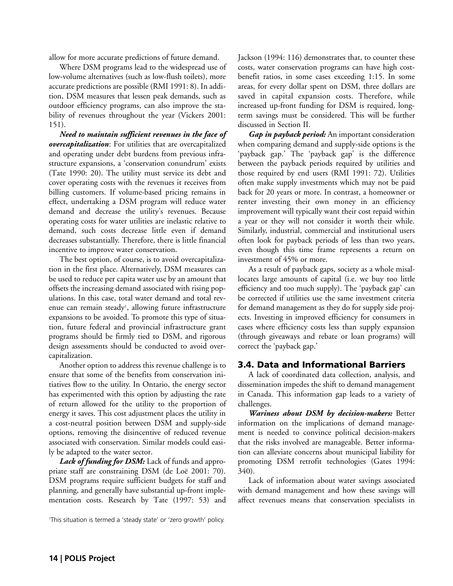allow for more accurate predictions of future demand.

Where DSM programs lead to the widespread use of low-volume alternatives (such as low-flush toilets), more accurate predictions are possible (RMI 1991: 8). In addition, DSM measures that lessen peak demands, such as outdoor efficiency programs, can also improve the stability of revenues throughout the year (Vickers 2001: 151).

*Need to maintain sufficient revenues in the face of overcapitalization*: For utilities that are overcapitalized and operating under debt burdens from previous infrastructure expansions, a 'conservation conundrum' exists (Tate 1990: 20). The utility must service its debt and cover operating costs with the revenues it receives from billing customers. If volume-based pricing remains in effect, undertaking a DSM program will reduce water demand and decrease the utility's revenues. Because operating costs for water utilities are inelastic relative to demand, such costs decrease little even if demand decreases substantially. Therefore, there is little financial incentive to improve water conservation.

The best option, of course, is to avoid overcapitalization in the first place. Alternatively, DSM measures can be used to reduce per capita water use by an amount that offsets the increasing demand associated with rising populations. In this case, total water demand and total revenue can remain steady<sup>1</sup>, allowing future infrastructure expansions to be avoided. To promote this type of situation, future federal and provincial infrastructure grant programs should be firmly tied to DSM, and rigorous design assessments should be conducted to avoid overcapitalization.

Another option to address this revenue challenge is to ensure that some of the benefits from conservation initiatives flow to the utility. In Ontario, the energy sector has experimented with this option by adjusting the rate of return allowed for the utility to the proportion of energy it saves. This cost adjustment places the utility in a cost-neutral position between DSM and supply-side options, removing the disincentive of reduced revenue associated with conservation. Similar models could easily be adapted to the water sector.

*Lack of funding for DSM:* Lack of funds and appropriate staff are constraining DSM (de Loë 2001: 70). DSM programs require sufficient budgets for staff and planning, and generally have substantial up-front implementation costs. Research by Tate (1997: 53) and

1This situation is termed a 'steady state' or 'zero growth' policy.

Jackson (1994: 116) demonstrates that, to counter these costs, water conservation programs can have high costbenefit ratios, in some cases exceeding 1:15. In some areas, for every dollar spent on DSM, three dollars are saved in capital expansion costs. Therefore, while increased up-front funding for DSM is required, longterm savings must be considered. This will be further discussed in Section II.

*Gap in payback period:* An important consideration when comparing demand and supply-side options is the 'payback gap.' The 'payback gap' is the difference between the payback periods required by utilities and those required by end users (RMI 1991: 72). Utilities often make supply investments which may not be paid back for 20 years or more. In contrast, a homeowner or renter investing their own money in an efficiency improvement will typically want their cost repaid within a year or they will not consider it worth their while. Similarly, industrial, commercial and institutional users often look for payback periods of less than two years, even though this time frame represents a return on investment of 45% or more.

As a result of payback gaps, society as a whole misallocates large amounts of capital (i.e. we buy too little efficiency and too much supply). The 'payback gap' can be corrected if utilities use the same investment criteria for demand management as they do for supply side projects. Investing in improved efficiency for consumers in cases where efficiency costs less than supply expansion (through giveaways and rebate or loan programs) will correct the 'payback gap.'

#### 3.4. Data and Informational Barriers

A lack of coordinated data collection, analysis, and dissemination impedes the shift to demand management in Canada. This information gap leads to a variety of challenges.

*Wariness about DSM by decision-makers:* Better information on the implications of demand management is needed to convince political decision-makers that the risks involved are manageable. Better information can alleviate concerns about municipal liability for promoting DSM retrofit technologies (Gates 1994: 340).

Lack of information about water savings associated with demand management and how these savings will affect revenues means that conservation specialists in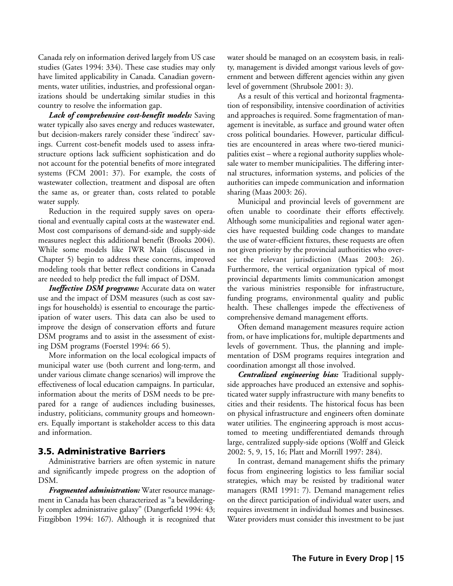Canada rely on information derived largely from US case studies (Gates 1994: 334). These case studies may only have limited applicability in Canada. Canadian governments, water utilities, industries, and professional organizations should be undertaking similar studies in this country to resolve the information gap.

*Lack of comprehensive cost-benefit models:* Saving water typically also saves energy and reduces wastewater, but decision-makers rarely consider these 'indirect' savings. Current cost-benefit models used to assess infrastructure options lack sufficient sophistication and do not account for the potential benefits of more integrated systems (FCM 2001: 37). For example, the costs of wastewater collection, treatment and disposal are often the same as, or greater than, costs related to potable water supply.

Reduction in the required supply saves on operational and eventually capital costs at the wastewater end. Most cost comparisons of demand-side and supply-side measures neglect this additional benefit (Brooks 2004). While some models like IWR Main (discussed in Chapter 5) begin to address these concerns, improved modeling tools that better reflect conditions in Canada are needed to help predict the full impact of DSM.

*Ineffective DSM programs:* Accurate data on water use and the impact of DSM measures (such as cost savings for households) is essential to encourage the participation of water users. This data can also be used to improve the design of conservation efforts and future DSM programs and to assist in the assessment of existing DSM programs (Foerstel 1994: 66 5).

More information on the local ecological impacts of municipal water use (both current and long-term, and under various climate change scenarios) will improve the effectiveness of local education campaigns. In particular, information about the merits of DSM needs to be prepared for a range of audiences including businesses, industry, politicians, community groups and homeowners. Equally important is stakeholder access to this data and information.

#### 3.5. Administrative Barriers

Administrative barriers are often systemic in nature and significantly impede progress on the adoption of DSM.

*Fragmented administration:* Water resource management in Canada has been characterized as "a bewilderingly complex administrative galaxy" (Dangerfield 1994: 43; Fitzgibbon 1994: 167). Although it is recognized that water should be managed on an ecosystem basis, in reality, management is divided amongst various levels of government and between different agencies within any given level of government (Shrubsole 2001: 3).

As a result of this vertical and horizontal fragmentation of responsibility, intensive coordination of activities and approaches is required. Some fragmentation of management is inevitable, as surface and ground water often cross political boundaries. However, particular difficulties are encountered in areas where two-tiered municipalities exist – where a regional authority supplies wholesale water to member municipalities. The differing internal structures, information systems, and policies of the authorities can impede communication and information sharing (Maas 2003: 26).

Municipal and provincial levels of government are often unable to coordinate their efforts effectively. Although some municipalities and regional water agencies have requested building code changes to mandate the use of water-efficient fixtures, these requests are often not given priority by the provincial authorities who oversee the relevant jurisdiction (Maas 2003: 26). Furthermore, the vertical organization typical of most provincial departments limits communication amongst the various ministries responsible for infrastructure, funding programs, environmental quality and public health. These challenges impede the effectiveness of comprehensive demand management efforts.

Often demand management measures require action from, or have implications for, multiple departments and levels of government. Thus, the planning and implementation of DSM programs requires integration and coordination amongst all those involved.

*Centralized engineering bias:* Traditional supplyside approaches have produced an extensive and sophisticated water supply infrastructure with many benefits to cities and their residents. The historical focus has been on physical infrastructure and engineers often dominate water utilities. The engineering approach is most accustomed to meeting undifferentiated demands through large, centralized supply-side options (Wolff and Gleick 2002: 5, 9, 15, 16; Platt and Morrill 1997: 284).

In contrast, demand management shifts the primary focus from engineering logistics to less familiar social strategies, which may be resisted by traditional water managers (RMI 1991: 7). Demand management relies on the direct participation of individual water users, and requires investment in individual homes and businesses. Water providers must consider this investment to be just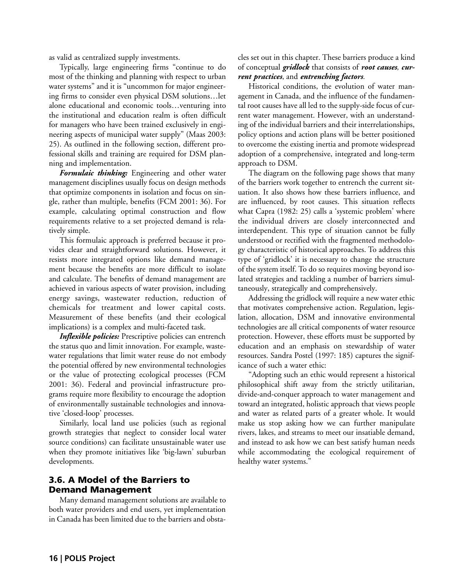as valid as centralized supply investments.

Typically, large engineering firms "continue to do most of the thinking and planning with respect to urban water systems" and it is "uncommon for major engineering firms to consider even physical DSM solutions…let alone educational and economic tools…venturing into the institutional and education realm is often difficult for managers who have been trained exclusively in engineering aspects of municipal water supply" (Maas 2003: 25). As outlined in the following section, different professional skills and training are required for DSM planning and implementation.

*Formulaic thinking:* Engineering and other water management disciplines usually focus on design methods that optimize components in isolation and focus on single, rather than multiple, benefits (FCM 2001: 36). For example, calculating optimal construction and flow requirements relative to a set projected demand is relatively simple.

This formulaic approach is preferred because it provides clear and straightforward solutions. However, it resists more integrated options like demand management because the benefits are more difficult to isolate and calculate. The benefits of demand management are achieved in various aspects of water provision, including energy savings, wastewater reduction, reduction of chemicals for treatment and lower capital costs. Measurement of these benefits (and their ecological implications) is a complex and multi-faceted task.

*Inflexible policies:* Prescriptive policies can entrench the status quo and limit innovation. For example, wastewater regulations that limit water reuse do not embody the potential offered by new environmental technologies or the value of protecting ecological processes (FCM 2001: 36). Federal and provincial infrastructure programs require more flexibility to encourage the adoption of environmentally sustainable technologies and innovative 'closed-loop' processes.

Similarly, local land use policies (such as regional growth strategies that neglect to consider local water source conditions) can facilitate unsustainable water use when they promote initiatives like 'big-lawn' suburban developments.

#### 3.6. A Model of the Barriers to Demand Management

Many demand management solutions are available to both water providers and end users, yet implementation in Canada has been limited due to the barriers and obstacles set out in this chapter. These barriers produce a kind of conceptual *gridlock* that consists of *root causes, current practices*, and *entrenching factors.*

Historical conditions, the evolution of water management in Canada, and the influence of the fundamental root causes have all led to the supply-side focus of current water management. However, with an understanding of the individual barriers and their interrelationships, policy options and action plans will be better positioned to overcome the existing inertia and promote widespread adoption of a comprehensive, integrated and long-term approach to DSM.

The diagram on the following page shows that many of the barriers work together to entrench the current situation. It also shows how these barriers influence, and are influenced, by root causes. This situation reflects what Capra (1982: 25) calls a 'systemic problem' where the individual drivers are closely interconnected and interdependent. This type of situation cannot be fully understood or rectified with the fragmented methodology characteristic of historical approaches. To address this type of 'gridlock' it is necessary to change the structure of the system itself. To do so requires moving beyond isolated strategies and tackling a number of barriers simultaneously, strategically and comprehensively.

Addressing the gridlock will require a new water ethic that motivates comprehensive action. Regulation, legislation, allocation, DSM and innovative environmental technologies are all critical components of water resource protection. However, these efforts must be supported by education and an emphasis on stewardship of water resources. Sandra Postel (1997: 185) captures the significance of such a water ethic:

"Adopting such an ethic would represent a historical philosophical shift away from the strictly utilitarian, divide-and-conquer approach to water management and toward an integrated, holistic approach that views people and water as related parts of a greater whole. It would make us stop asking how we can further manipulate rivers, lakes, and streams to meet our insatiable demand, and instead to ask how we can best satisfy human needs while accommodating the ecological requirement of healthy water systems."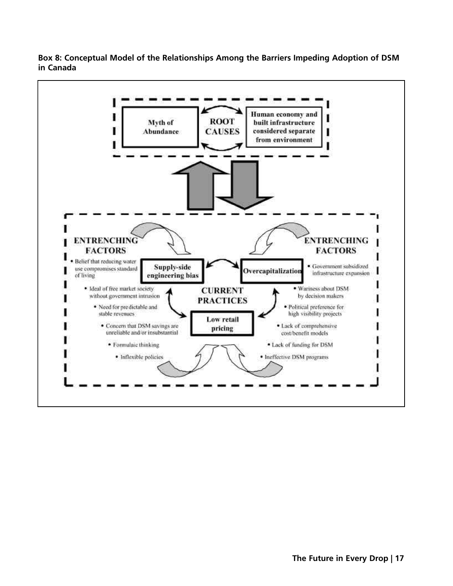**Box 8: Conceptual Model of the Relationships Among the Barriers Impeding Adoption of DSM in Canada**

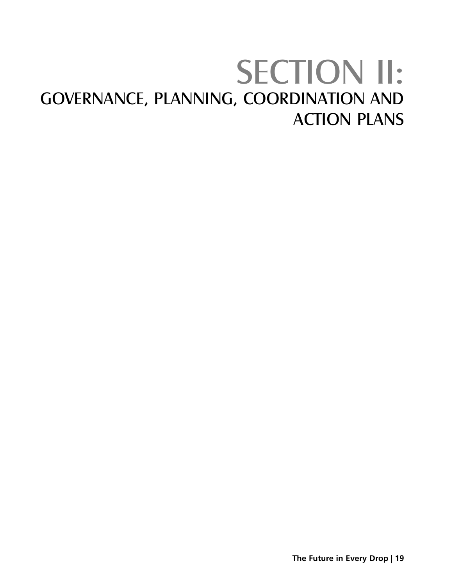# SECTION II: GOVERNANCE, PLANNING, COORDINATION AND ACTION PLANS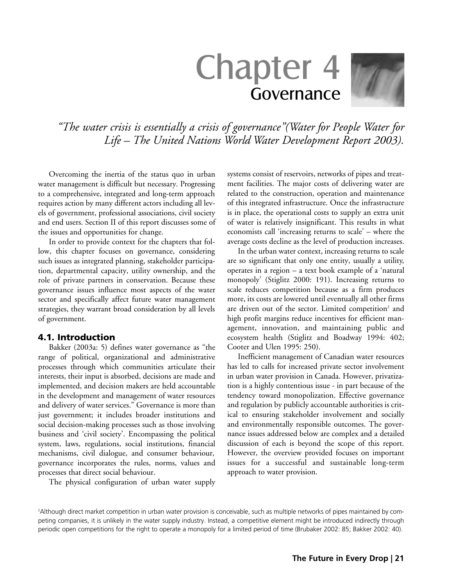# Chapter 4 Governance

*"The water crisis is essentially a crisis of governance"(Water for People Water for Life – The United Nations World Water Development Report 2003).*

Overcoming the inertia of the status quo in urban water management is difficult but necessary. Progressing to a comprehensive, integrated and long-term approach requires action by many different actors including all levels of government, professional associations, civil society and end users. Section II of this report discusses some of the issues and opportunities for change.

In order to provide context for the chapters that follow, this chapter focuses on governance, considering such issues as integrated planning, stakeholder participation, departmental capacity, utility ownership, and the role of private partners in conservation. Because these governance issues influence most aspects of the water sector and specifically affect future water management strategies, they warrant broad consideration by all levels of government.

#### 4.1. Introduction

Bakker (2003a: 5) defines water governance as "the range of political, organizational and administrative processes through which communities articulate their interests, their input is absorbed, decisions are made and implemented, and decision makers are held accountable in the development and management of water resources and delivery of water services." Governance is more than just government; it includes broader institutions and social decision-making processes such as those involving business and 'civil society'. Encompassing the political system, laws, regulations, social institutions, financial mechanisms, civil dialogue, and consumer behaviour, governance incorporates the rules, norms, values and processes that direct social behaviour.

The physical configuration of urban water supply

systems consist of reservoirs, networks of pipes and treatment facilities. The major costs of delivering water are related to the construction, operation and maintenance of this integrated infrastructure. Once the infrastructure is in place, the operational costs to supply an extra unit of water is relatively insignificant. This results in what economists call 'increasing returns to scale' – where the average costs decline as the level of production increases.

In the urban water context, increasing returns to scale are so significant that only one entity, usually a utility, operates in a region – a text book example of a 'natural monopoly' (Stiglitz 2000: 191). Increasing returns to scale reduces competition because as a firm produces more, its costs are lowered until eventually all other firms are driven out of the sector. Limited competition<sup>2</sup> and high profit margins reduce incentives for efficient management, innovation, and maintaining public and ecosystem health (Stiglitz and Boadway 1994: 402; Cooter and Ulen 1995: 250).

Inefficient management of Canadian water resources has led to calls for increased private sector involvement in urban water provision in Canada. However, privatization is a highly contentious issue - in part because of the tendency toward monopolization. Effective governance and regulation by publicly accountable authorities is critical to ensuring stakeholder involvement and socially and environmentally responsible outcomes. The governance issues addressed below are complex and a detailed discussion of each is beyond the scope of this report. However, the overview provided focuses on important issues for a successful and sustainable long-term approach to water provision.

2Although direct market competition in urban water provision is conceivable, such as multiple networks of pipes maintained by competing companies, it is unlikely in the water supply industry. Instead, a competitive element might be introduced indirectly through periodic open competitions for the right to operate a monopoly for a limited period of time (Brubaker 2002: 85; Bakker 2002: 40).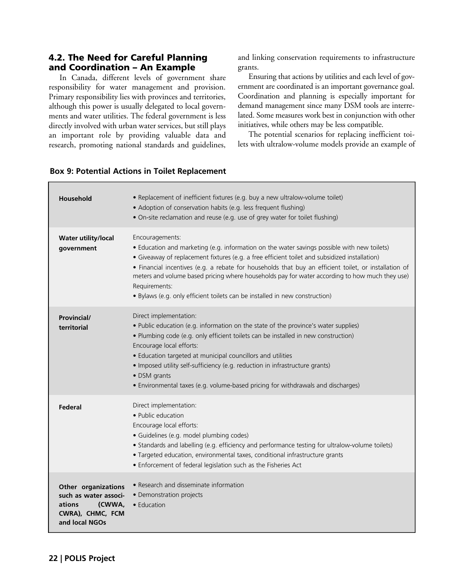#### 4.2. The Need for Careful Planning and Coordination – An Example

In Canada, different levels of government share responsibility for water management and provision. Primary responsibility lies with provinces and territories, although this power is usually delegated to local governments and water utilities. The federal government is less directly involved with urban water services, but still plays an important role by providing valuable data and research, promoting national standards and guidelines, and linking conservation requirements to infrastructure grants.

Ensuring that actions by utilities and each level of government are coordinated is an important governance goal. Coordination and planning is especially important for demand management since many DSM tools are interrelated. Some measures work best in conjunction with other initiatives, while others may be less compatible.

The potential scenarios for replacing inefficient toilets with ultralow-volume models provide an example of

#### **Box 9: Potential Actions in Toilet Replacement**

| Household                                                                                              | • Replacement of inefficient fixtures (e.g. buy a new ultralow-volume toilet)<br>• Adoption of conservation habits (e.g. less frequent flushing)<br>• On-site reclamation and reuse (e.g. use of grey water for toilet flushing)                                                                                                                                                                                                                                                                                           |
|--------------------------------------------------------------------------------------------------------|----------------------------------------------------------------------------------------------------------------------------------------------------------------------------------------------------------------------------------------------------------------------------------------------------------------------------------------------------------------------------------------------------------------------------------------------------------------------------------------------------------------------------|
| <b>Water utility/local</b><br>government                                                               | Encouragements:<br>• Education and marketing (e.g. information on the water savings possible with new toilets)<br>• Giveaway of replacement fixtures (e.g. a free efficient toilet and subsidized installation)<br>• Financial incentives (e.g. a rebate for households that buy an efficient toilet, or installation of<br>meters and volume based pricing where households pay for water according to how much they use)<br>Requirements:<br>· Bylaws (e.g. only efficient toilets can be installed in new construction) |
| <b>Provincial/</b><br>territorial                                                                      | Direct implementation:<br>. Public education (e.g. information on the state of the province's water supplies)<br>• Plumbing code (e.g. only efficient toilets can be installed in new construction)<br>Encourage local efforts:<br>• Education targeted at municipal councillors and utilities<br>• Imposed utility self-sufficiency (e.g. reduction in infrastructure grants)<br>• DSM grants<br>• Environmental taxes (e.g. volume-based pricing for withdrawals and discharges)                                         |
| Federal                                                                                                | Direct implementation:<br>• Public education<br>Encourage local efforts:<br>· Guidelines (e.g. model plumbing codes)<br>• Standards and labelling (e.g. efficiency and performance testing for ultralow-volume toilets)<br>· Targeted education, environmental taxes, conditional infrastructure grants<br>• Enforcement of federal legislation such as the Fisheries Act                                                                                                                                                  |
| Other organizations<br>such as water associ-<br>ations<br>(CWWA,<br>CWRA), CHMC, FCM<br>and local NGOs | • Research and disseminate information<br>• Demonstration projects<br>$\bullet$ Education                                                                                                                                                                                                                                                                                                                                                                                                                                  |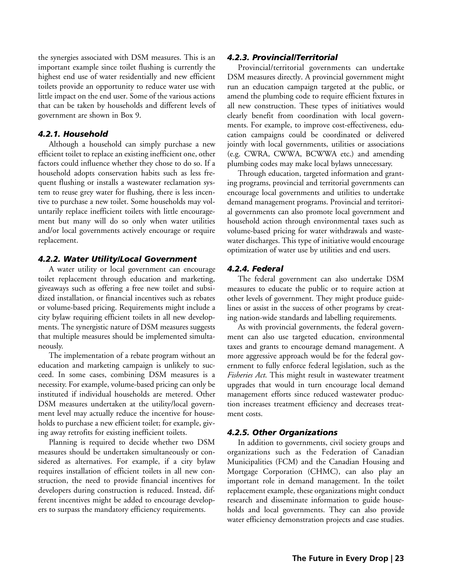the synergies associated with DSM measures. This is an important example since toilet flushing is currently the highest end use of water residentially and new efficient toilets provide an opportunity to reduce water use with little impact on the end user. Some of the various actions that can be taken by households and different levels of government are shown in Box 9.

#### *4.2.1. Household*

Although a household can simply purchase a new efficient toilet to replace an existing inefficient one, other factors could influence whether they chose to do so. If a household adopts conservation habits such as less frequent flushing or installs a wastewater reclamation system to reuse grey water for flushing, there is less incentive to purchase a new toilet. Some households may voluntarily replace inefficient toilets with little encouragement but many will do so only when water utilities and/or local governments actively encourage or require replacement.

#### *4.2.2. Water Utility/Local Government*

A water utility or local government can encourage toilet replacement through education and marketing, giveaways such as offering a free new toilet and subsidized installation, or financial incentives such as rebates or volume-based pricing. Requirements might include a city bylaw requiring efficient toilets in all new developments. The synergistic nature of DSM measures suggests that multiple measures should be implemented simultaneously.

The implementation of a rebate program without an education and marketing campaign is unlikely to succeed. In some cases, combining DSM measures is a necessity. For example, volume-based pricing can only be instituted if individual households are metered. Other DSM measures undertaken at the utility/local government level may actually reduce the incentive for households to purchase a new efficient toilet; for example, giving away retrofits for existing inefficient toilets.

Planning is required to decide whether two DSM measures should be undertaken simultaneously or considered as alternatives. For example, if a city bylaw requires installation of efficient toilets in all new construction, the need to provide financial incentives for developers during construction is reduced. Instead, different incentives might be added to encourage developers to surpass the mandatory efficiency requirements.

#### *4.2.3. Provincial/Territorial*

Provincial/territorial governments can undertake DSM measures directly. A provincial government might run an education campaign targeted at the public, or amend the plumbing code to require efficient fixtures in all new construction. These types of initiatives would clearly benefit from coordination with local governments. For example, to improve cost-effectiveness, education campaigns could be coordinated or delivered jointly with local governments, utilities or associations (e.g. CWRA, CWWA, BCWWA etc.) and amending plumbing codes may make local bylaws unnecessary.

Through education, targeted information and granting programs, provincial and territorial governments can encourage local governments and utilities to undertake demand management programs. Provincial and territorial governments can also promote local government and household action through environmental taxes such as volume-based pricing for water withdrawals and wastewater discharges. This type of initiative would encourage optimization of water use by utilities and end users.

#### *4.2.4. Federal*

The federal government can also undertake DSM measures to educate the public or to require action at other levels of government. They might produce guidelines or assist in the success of other programs by creating nation-wide standards and labelling requirements.

As with provincial governments, the federal government can also use targeted education, environmental taxes and grants to encourage demand management. A more aggressive approach would be for the federal government to fully enforce federal legislation, such as the *Fisheries Act*. This might result in wastewater treatment upgrades that would in turn encourage local demand management efforts since reduced wastewater production increases treatment efficiency and decreases treatment costs.

#### *4.2.5. Other Organizations*

In addition to governments, civil society groups and organizations such as the Federation of Canadian Municipalities (FCM) and the Canadian Housing and Mortgage Corporation (CHMC), can also play an important role in demand management. In the toilet replacement example, these organizations might conduct research and disseminate information to guide households and local governments. They can also provide water efficiency demonstration projects and case studies.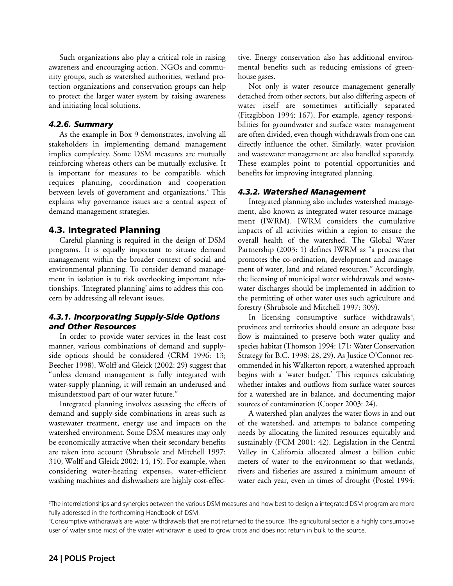Such organizations also play a critical role in raising awareness and encouraging action. NGOs and community groups, such as watershed authorities, wetland protection organizations and conservation groups can help to protect the larger water system by raising awareness and initiating local solutions.

#### *4.2.6. Summary*

As the example in Box 9 demonstrates, involving all stakeholders in implementing demand management implies complexity. Some DSM measures are mutually reinforcing whereas others can be mutually exclusive. It is important for measures to be compatible, which requires planning, coordination and cooperation between levels of government and organizations.<sup>3</sup> This explains why governance issues are a central aspect of demand management strategies.

#### 4.3. Integrated Planning

Careful planning is required in the design of DSM programs. It is equally important to situate demand management within the broader context of social and environmental planning. To consider demand management in isolation is to risk overlooking important relationships. 'Integrated planning' aims to address this concern by addressing all relevant issues.

#### *4.3.1. Incorporating Supply-Side Options and Other Resources*

In order to provide water services in the least cost manner, various combinations of demand and supplyside options should be considered (CRM 1996: 13; Beecher 1998). Wolff and Gleick (2002: 29) suggest that "unless demand management is fully integrated with water-supply planning, it will remain an underused and misunderstood part of our water future."

Integrated planning involves assessing the effects of demand and supply-side combinations in areas such as wastewater treatment, energy use and impacts on the watershed environment. Some DSM measures may only be economically attractive when their secondary benefits are taken into account (Shrubsole and Mitchell 1997: 310; Wolff and Gleick 2002: 14, 15). For example, when considering water-heating expenses, water-efficient washing machines and dishwashers are highly cost-effective. Energy conservation also has additional environmental benefits such as reducing emissions of greenhouse gases.

Not only is water resource management generally detached from other sectors, but also differing aspects of water itself are sometimes artificially separated (Fitzgibbon 1994: 167). For example, agency responsibilities for groundwater and surface water management are often divided, even though withdrawals from one can directly influence the other. Similarly, water provision and wastewater management are also handled separately. These examples point to potential opportunities and benefits for improving integrated planning.

#### *4.3.2. Watershed Management*

Integrated planning also includes watershed management, also known as integrated water resource management (IWRM). IWRM considers the cumulative impacts of all activities within a region to ensure the overall health of the watershed. The Global Water Partnership (2003: 1) defines IWRM as "a process that promotes the co-ordination, development and management of water, land and related resources." Accordingly, the licensing of municipal water withdrawals and wastewater discharges should be implemented in addition to the permitting of other water uses such agriculture and forestry (Shrubsole and Mitchell 1997: 309).

In licensing consumptive surface withdrawals<sup>4</sup>, provinces and territories should ensure an adequate base flow is maintained to preserve both water quality and species habitat (Thomson 1994: 171; Water Conservation Strategy for B.C. 1998: 28, 29). As Justice O'Connor recommended in his Walkerton report, a watershed approach begins with a 'water budget.' This requires calculating whether intakes and outflows from surface water sources for a watershed are in balance, and documenting major sources of contamination (Cooper 2003: 24).

A watershed plan analyzes the water flows in and out of the watershed, and attempts to balance competing needs by allocating the limited resources equitably and sustainably (FCM 2001: 42). Legislation in the Central Valley in California allocated almost a billion cubic meters of water to the environment so that wetlands, rivers and fisheries are assured a minimum amount of water each year, even in times of drought (Postel 1994:

<sup>3</sup>The interrelationships and synergies between the various DSM measures and how best to design a integrated DSM program are more fully addressed in the forthcoming Handbook of DSM.

<sup>4</sup>Consumptive withdrawals are water withdrawals that are not returned to the source. The agricultural sector is a highly consumptive user of water since most of the water withdrawn is used to grow crops and does not return in bulk to the source.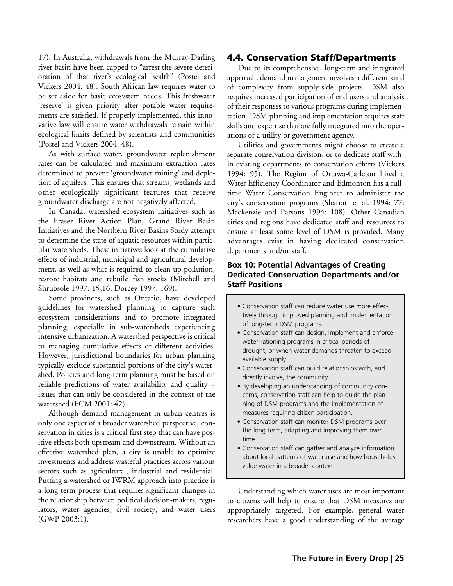17). In Australia, withdrawals from the Murray-Darling river basin have been capped to "arrest the severe deterioration of that river's ecological health" (Postel and Vickers 2004: 48). South African law requires water to be set aside for basic ecosystem needs. This freshwater 'reserve' is given priority after potable water requirements are satisfied. If properly implemented, this innovative law will ensure water withdrawals remain within ecological limits defined by scientists and communities (Postel and Vickers 2004: 48).

As with surface water, groundwater replenishment rates can be calculated and maximum extraction rates determined to prevent 'groundwater mining' and depletion of aquifers. This ensures that streams, wetlands and other ecologically significant features that receive groundwater discharge are not negatively affected.

In Canada, watershed ecosystem initiatives such as the Fraser River Action Plan, Grand River Basin Initiatives and the Northern River Basins Study attempt to determine the state of aquatic resources within particular watersheds. These initiatives look at the cumulative effects of industrial, municipal and agricultural development, as well as what is required to clean up pollution, restore habitats and rebuild fish stocks (Mitchell and Shrubsole 1997: 15,16; Dorcey 1997: 169).

Some provinces, such as Ontario, have developed guidelines for watershed planning to capture such ecosystem considerations and to promote integrated planning, especially in sub-watersheds experiencing intensive urbanization. A watershed perspective is critical to managing cumulative effects of different activities. However, jurisdictional boundaries for urban planning typically exclude substantial portions of the city's watershed. Policies and long-term planning must be based on reliable predictions of water availability and quality – issues that can only be considered in the context of the watershed (FCM 2001: 42).

Although demand management in urban centres is only one aspect of a broader watershed perspective, conservation in cities is a critical first step that can have positive effects both upstream and downstream. Without an effective watershed plan, a city is unable to optimize investments and address wasteful practices across various sectors such as agricultural, industrial and residential. Putting a watershed or IWRM approach into practice is a long-term process that requires significant changes in the relationship between political decision-makers, regulators, water agencies, civil society, and water users (GWP 2003:1).

#### 4.4. Conservation Staff/Departments

Due to its comprehensive, long-term and integrated approach, demand management involves a different kind of complexity from supply-side projects. DSM also requires increased participation of end users and analysis of their responses to various programs during implementation. DSM planning and implementation requires staff skills and expertise that are fully integrated into the operations of a utility or government agency.

Utilities and governments might choose to create a separate conservation division, or to dedicate staff within existing departments to conservation efforts (Vickers 1994: 95). The Region of Ottawa-Carleton hired a Water Efficiency Coordinator and Edmonton has a fulltime Water Conservation Engineer to administer the city's conservation programs (Sharratt et al. 1994: 77; Mackenzie and Parsons 1994: 108). Other Canadian cities and regions have dedicated staff and resources to ensure at least some level of DSM is provided. Many advantages exist in having dedicated conservation departments and/or staff.

#### **Box 10: Potential Advantages of Creating Dedicated Conservation Departments and/or Staff Positions**

- Conservation staff can reduce water use more effectively through improved planning and implementation of long-term DSM programs.
- Conservation staff can design, implement and enforce water-rationing programs in critical periods of drought, or when water demands threaten to exceed available supply.
- Conservation staff can build relationships with, and directly involve, the community.
- By developing an understanding of community concerns, conservation staff can help to guide the planning of DSM programs and the implementation of measures requiring citizen participation.
- Conservation staff can monitor DSM programs over the long term, adapting and improving them over time.
- Conservation staff can gather and analyze information about local patterns of water use and how households value water in a broader context.

Understanding which water uses are most important to citizens will help to ensure that DSM measures are appropriately targeted. For example, general water researchers have a good understanding of the average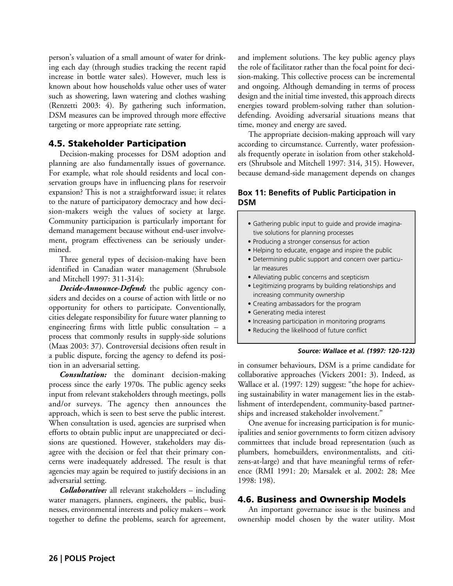person's valuation of a small amount of water for drinking each day (through studies tracking the recent rapid increase in bottle water sales). However, much less is known about how households value other uses of water such as showering, lawn watering and clothes washing (Renzetti 2003: 4). By gathering such information, DSM measures can be improved through more effective targeting or more appropriate rate setting.

#### 4.5. Stakeholder Participation

Decision-making processes for DSM adoption and planning are also fundamentally issues of governance. For example, what role should residents and local conservation groups have in influencing plans for reservoir expansion? This is not a straightforward issue; it relates to the nature of participatory democracy and how decision-makers weigh the values of society at large. Community participation is particularly important for demand management because without end-user involvement, program effectiveness can be seriously undermined.

Three general types of decision-making have been identified in Canadian water management (Shrubsole and Mitchell 1997: 311-314):

*Decide-Announce-Defend:* the public agency considers and decides on a course of action with little or no opportunity for others to participate. Conventionally, cities delegate responsibility for future water planning to engineering firms with little public consultation – a process that commonly results in supply-side solutions (Maas 2003: 37). Controversial decisions often result in a public dispute, forcing the agency to defend its position in an adversarial setting.

*Consultation:* the dominant decision-making process since the early 1970s. The public agency seeks input from relevant stakeholders through meetings, polls and/or surveys. The agency then announces the approach, which is seen to best serve the public interest. When consultation is used, agencies are surprised when efforts to obtain public input are unappreciated or decisions are questioned. However, stakeholders may disagree with the decision or feel that their primary concerns were inadequately addressed. The result is that agencies may again be required to justify decisions in an adversarial setting.

*Collaborative:* all relevant stakeholders – including water managers, planners, engineers, the public, businesses, environmental interests and policy makers – work together to define the problems, search for agreement,

and implement solutions. The key public agency plays the role of facilitator rather than the focal point for decision-making. This collective process can be incremental and ongoing. Although demanding in terms of process design and the initial time invested, this approach directs energies toward problem-solving rather than solutiondefending. Avoiding adversarial situations means that time, money and energy are saved.

The appropriate decision-making approach will vary according to circumstance. Currently, water professionals frequently operate in isolation from other stakeholders (Shrubsole and Mitchell 1997: 314, 315). However, because demand-side management depends on changes

#### **Box 11: Benefits of Public Participation in DSM**

- Gathering public input to guide and provide imaginative solutions for planning processes
- Producing a stronger consensus for action
- Helping to educate, engage and inspire the public
- Determining public support and concern over particular measures
- Alleviating public concerns and scepticism
- Legitimizing programs by building relationships and increasing community ownership
- Creating ambassadors for the program
- Generating media interest
- Increasing participation in monitoring programs
- Reducing the likelihood of future conflict

#### *Source: Wallace et al. (1997: 120-123)*

in consumer behaviours, DSM is a prime candidate for collaborative approaches (Vickers 2001: 3). Indeed, as Wallace et al. (1997: 129) suggest: "the hope for achieving sustainability in water management lies in the establishment of interdependent, community-based partnerships and increased stakeholder involvement."

One avenue for increasing participation is for municipalities and senior governments to form citizen advisory committees that include broad representation (such as plumbers, homebuilders, environmentalists, and citizens-at-large) and that have meaningful terms of reference (RMI 1991: 20; Marsalek et al. 2002: 28; Mee 1998: 198).

#### 4.6. Business and Ownership Models

An important governance issue is the business and ownership model chosen by the water utility. Most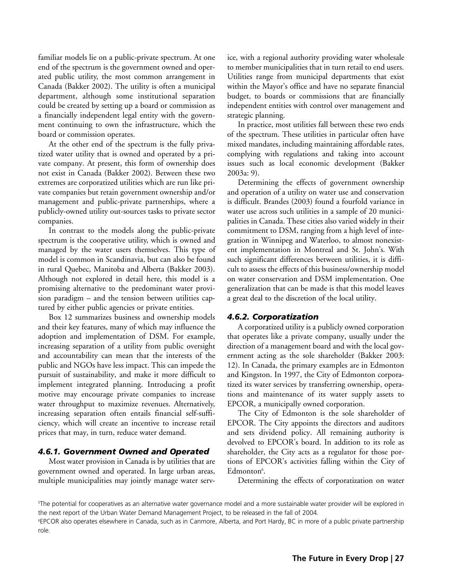familiar models lie on a public-private spectrum. At one end of the spectrum is the government owned and operated public utility, the most common arrangement in Canada (Bakker 2002). The utility is often a municipal department, although some institutional separation could be created by setting up a board or commission as a financially independent legal entity with the government continuing to own the infrastructure, which the board or commission operates.

At the other end of the spectrum is the fully privatized water utility that is owned and operated by a private company. At present, this form of ownership does not exist in Canada (Bakker 2002). Between these two extremes are corporatized utilities which are run like private companies but retain government ownership and/or management and public-private partnerships, where a publicly-owned utility out-sources tasks to private sector companies.

In contrast to the models along the public-private spectrum is the cooperative utility, which is owned and managed by the water users themselves. This type of model is common in Scandinavia, but can also be found in rural Quebec, Manitoba and Alberta (Bakker 2003). Although not explored in detail here, this model is a promising alternative to the predominant water provision paradigm – and the tension between utilities captured by either public agencies or private entities.

Box 12 summarizes business and ownership models and their key features, many of which may influence the adoption and implementation of DSM. For example, increasing separation of a utility from public oversight and accountability can mean that the interests of the public and NGOs have less impact. This can impede the pursuit of sustainability, and make it more difficult to implement integrated planning. Introducing a profit motive may encourage private companies to increase water throughput to maximize revenues. Alternatively, increasing separation often entails financial self-sufficiency, which will create an incentive to increase retail prices that may, in turn, reduce water demand.

## *4.6.1. Government Owned and Operated*

Most water provision in Canada is by utilities that are government owned and operated. In large urban areas, multiple municipalities may jointly manage water service, with a regional authority providing water wholesale to member municipalities that in turn retail to end users. Utilities range from municipal departments that exist within the Mayor's office and have no separate financial budget, to boards or commissions that are financially independent entities with control over management and strategic planning.

In practice, most utilities fall between these two ends of the spectrum. These utilities in particular often have mixed mandates, including maintaining affordable rates, complying with regulations and taking into account issues such as local economic development (Bakker 2003a: 9).

Determining the effects of government ownership and operation of a utility on water use and conservation is difficult. Brandes (2003) found a fourfold variance in water use across such utilities in a sample of 20 municipalities in Canada. These cities also varied widely in their commitment to DSM, ranging from a high level of integration in Winnipeg and Waterloo, to almost nonexistent implementation in Montreal and St. John's. With such significant differences between utilities, it is difficult to assess the effects of this business/ownership model on water conservation and DSM implementation. One generalization that can be made is that this model leaves a great deal to the discretion of the local utility.

## *4.6.2. Corporatization*

A corporatized utility is a publicly owned corporation that operates like a private company, usually under the direction of a management board and with the local government acting as the sole shareholder (Bakker 2003: 12). In Canada, the primary examples are in Edmonton and Kingston. In 1997, the City of Edmonton corporatized its water services by transferring ownership, operations and maintenance of its water supply assets to EPCOR, a municipally owned corporation.

The City of Edmonton is the sole shareholder of EPCOR. The City appoints the directors and auditors and sets dividend policy. All remaining authority is devolved to EPCOR's board. In addition to its role as shareholder, the City acts as a regulator for those portions of EPCOR's activities falling within the City of Edmonton<sup>6</sup>.

Determining the effects of corporatization on water

<sup>5</sup>The potential for cooperatives as an alternative water governance model and a more sustainable water provider will be explored in the next report of the Urban Water Demand Management Project, to be released in the fall of 2004.

<sup>6</sup>EPCOR also operates elsewhere in Canada, such as in Canmore, Alberta, and Port Hardy, BC in more of a public private partnership role.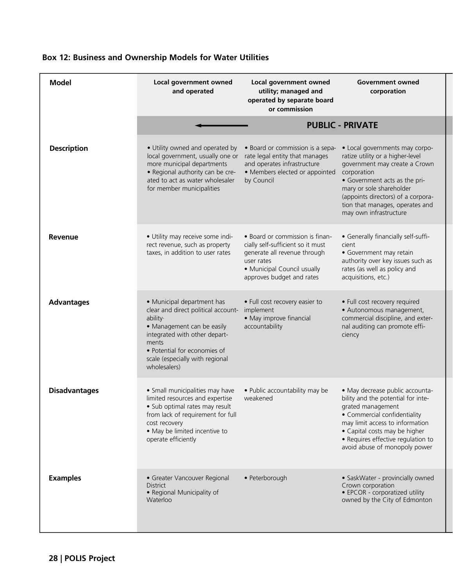| <b>Model</b>         | Local government owned<br>and operated                                                                                                                                                                                                   | Local government owned<br>utility; managed and<br>operated by separate board<br>or commission                                                                                  | <b>Government owned</b><br>corporation                                                                                                                                                                                                                                             |  |  |
|----------------------|------------------------------------------------------------------------------------------------------------------------------------------------------------------------------------------------------------------------------------------|--------------------------------------------------------------------------------------------------------------------------------------------------------------------------------|------------------------------------------------------------------------------------------------------------------------------------------------------------------------------------------------------------------------------------------------------------------------------------|--|--|
|                      | <b>PUBLIC - PRIVATE</b>                                                                                                                                                                                                                  |                                                                                                                                                                                |                                                                                                                                                                                                                                                                                    |  |  |
| <b>Description</b>   | · Utility owned and operated by<br>local government, usually one or<br>more municipal departments<br>· Regional authority can be cre-<br>ated to act as water wholesaler<br>for member municipalities                                    | • Board or commission is a sepa-<br>rate legal entity that manages<br>and operates infrastructure<br>• Members elected or appointed<br>by Council                              | • Local governments may corpo-<br>ratize utility or a higher-level<br>government may create a Crown<br>corporation<br>• Government acts as the pri-<br>mary or sole shareholder<br>(appoints directors) of a corpora-<br>tion that manages, operates and<br>may own infrastructure |  |  |
| Revenue              | · Utility may receive some indi-<br>rect revenue, such as property<br>taxes, in addition to user rates                                                                                                                                   | • Board or commission is finan-<br>cially self-sufficient so it must<br>generate all revenue through<br>user rates<br>• Municipal Council usually<br>approves budget and rates | • Generally financially self-suffi-<br>cient<br>• Government may retain<br>authority over key issues such as<br>rates (as well as policy and<br>acquisitions, etc.)                                                                                                                |  |  |
| <b>Advantages</b>    | • Municipal department has<br>clear and direct political account-<br>ability·<br>• Management can be easily<br>integrated with other depart-<br>ments<br>• Potential for economies of<br>scale (especially with regional<br>wholesalers) | • Full cost recovery easier to<br>implement<br>• May improve financial<br>accountability                                                                                       | • Full cost recovery required<br>· Autonomous management,<br>commercial discipline, and exter-<br>nal auditing can promote effi-<br>ciency                                                                                                                                         |  |  |
| <b>Disadvantages</b> | • Small municipalities may have<br>limited resources and expertise<br>· Sub optimal rates may result<br>from lack of requirement for full<br>cost recovery<br>• May be limited incentive to<br>operate efficiently                       | • Public accountability may be<br>weakened                                                                                                                                     | · May decrease public accounta-<br>bility and the potential for inte-<br>grated management<br>• Commercial confidentiality<br>may limit access to information<br>• Capital costs may be higher<br>• Requires effective regulation to<br>avoid abuse of monopoly power              |  |  |
| <b>Examples</b>      | • Greater Vancouver Regional<br><b>District</b><br>• Regional Municipality of<br>Waterloo                                                                                                                                                | • Peterborough                                                                                                                                                                 | • SaskWater - provincially owned<br>Crown corporation<br>• EPCOR - corporatized utility<br>owned by the City of Edmonton                                                                                                                                                           |  |  |

# **Box 12: Business and Ownership Models for Water Utilities**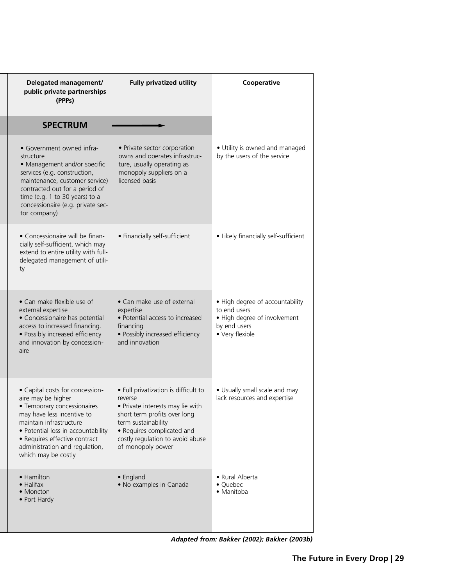| Delegated management/<br>public private partnerships                                                                                                                                                                                                                          | <b>Fully privatized utility</b>                                                                                                                                                                                                   | Cooperative                                                                                                        |
|-------------------------------------------------------------------------------------------------------------------------------------------------------------------------------------------------------------------------------------------------------------------------------|-----------------------------------------------------------------------------------------------------------------------------------------------------------------------------------------------------------------------------------|--------------------------------------------------------------------------------------------------------------------|
| (PPPs)                                                                                                                                                                                                                                                                        |                                                                                                                                                                                                                                   |                                                                                                                    |
| <b>SPECTRUM</b>                                                                                                                                                                                                                                                               |                                                                                                                                                                                                                                   |                                                                                                                    |
| • Government owned infra-<br>structure<br>• Management and/or specific<br>services (e.g. construction,<br>maintenance, customer service)<br>contracted out for a period of<br>time (e.g. 1 to 30 years) to a<br>concessionaire (e.g. private sec-<br>tor company)             | • Private sector corporation<br>owns and operates infrastruc-<br>ture, usually operating as<br>monopoly suppliers on a<br>licensed basis                                                                                          | • Utility is owned and managed<br>by the users of the service                                                      |
| • Concessionaire will be finan-<br>cially self-sufficient, which may<br>extend to entire utility with full-<br>delegated management of utili-<br>ty                                                                                                                           | • Financially self-sufficient                                                                                                                                                                                                     | • Likely financially self-sufficient                                                                               |
| • Can make flexible use of<br>external expertise<br>• Concessionaire has potential<br>access to increased financing.<br>· Possibly increased efficiency<br>and innovation by concession-<br>aire                                                                              | • Can make use of external<br>expertise<br>• Potential access to increased<br>financing<br>· Possibly increased efficiency<br>and innovation                                                                                      | • High degree of accountability<br>to end users<br>• High degree of involvement<br>by end users<br>• Very flexible |
| • Capital costs for concession-<br>aire may be higher<br>• Temporary concessionaires<br>may have less incentive to<br>maintain infrastructure<br>• Potential loss in accountability<br>• Requires effective contract<br>administration and regulation,<br>which may be costly | • Full privatization is difficult to<br>reverse<br>• Private interests may lie with<br>short term profits over long<br>term sustainability<br>• Requires complicated and<br>costly regulation to avoid abuse<br>of monopoly power | • Usually small scale and may<br>lack resources and expertise                                                      |
| • Hamilton<br>$\bullet$ Halifax<br>$\bullet$ Moncton<br>• Port Hardy                                                                                                                                                                                                          | • England<br>• No examples in Canada                                                                                                                                                                                              | • Rural Alberta<br>• Quebec<br>• Manitoba                                                                          |

*Adapted from: Bakker (2002); Bakker (2003b)*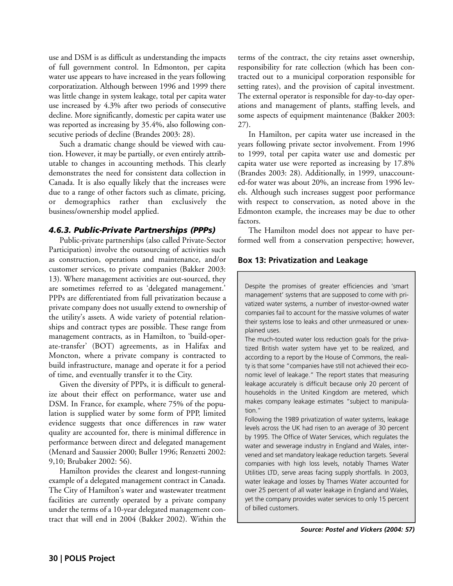use and DSM is as difficult as understanding the impacts of full government control. In Edmonton, per capita water use appears to have increased in the years following corporatization. Although between 1996 and 1999 there was little change in system leakage, total per capita water use increased by 4.3% after two periods of consecutive decline. More significantly, domestic per capita water use was reported as increasing by 35.4%, also following consecutive periods of decline (Brandes 2003: 28).

Such a dramatic change should be viewed with caution. However, it may be partially, or even entirely attributable to changes in accounting methods. This clearly demonstrates the need for consistent data collection in Canada. It is also equally likely that the increases were due to a range of other factors such as climate, pricing, or demographics rather than exclusively the business/ownership model applied.

# *4.6.3. Public-Private Partnerships (PPPs)*

Public-private partnerships (also called Private-Sector Participation) involve the outsourcing of activities such as construction, operations and maintenance, and/or customer services, to private companies (Bakker 2003: 13). Where management activities are out-sourced, they are sometimes referred to as 'delegated management.' PPPs are differentiated from full privatization because a private company does not usually extend to ownership of the utility's assets. A wide variety of potential relationships and contract types are possible. These range from management contracts, as in Hamilton, to 'build-operate-transfer' (BOT) agreements, as in Halifax and Moncton, where a private company is contracted to build infrastructure, manage and operate it for a period of time, and eventually transfer it to the City.

Given the diversity of PPPs, it is difficult to generalize about their effect on performance, water use and DSM. In France, for example, where 75% of the population is supplied water by some form of PPP, limited evidence suggests that once differences in raw water quality are accounted for, there is minimal difference in performance between direct and delegated management (Menard and Saussier 2000; Buller 1996; Renzetti 2002: 9,10; Brubaker 2002: 56).

Hamilton provides the clearest and longest-running example of a delegated management contract in Canada. The City of Hamilton's water and wastewater treatment facilities are currently operated by a private company under the terms of a 10-year delegated management contract that will end in 2004 (Bakker 2002). Within the terms of the contract, the city retains asset ownership, responsibility for rate collection (which has been contracted out to a municipal corporation responsible for setting rates), and the provision of capital investment. The external operator is responsible for day-to-day operations and management of plants, staffing levels, and some aspects of equipment maintenance (Bakker 2003: 27).

In Hamilton, per capita water use increased in the years following private sector involvement. From 1996 to 1999, total per capita water use and domestic per capita water use were reported as increasing by 17.8% (Brandes 2003: 28). Additionally, in 1999, unaccounted-for water was about 20%, an increase from 1996 levels. Although such increases suggest poor performance with respect to conservation, as noted above in the Edmonton example, the increases may be due to other factors.

The Hamilton model does not appear to have performed well from a conservation perspective; however,

# **Box 13: Privatization and Leakage**

Despite the promises of greater efficiencies and 'smart management' systems that are supposed to come with privatized water systems, a number of investor-owned water companies fail to account for the massive volumes of water their systems lose to leaks and other unmeasured or unexplained uses.

The much-touted water loss reduction goals for the privatized British water system have yet to be realized, and according to a report by the House of Commons, the reality is that some "companies have still not achieved their economic level of leakage." The report states that measuring leakage accurately is difficult because only 20 percent of households in the United Kingdom are metered, which makes company leakage estimates "subject to manipulation."

Following the 1989 privatization of water systems, leakage levels across the UK had risen to an average of 30 percent by 1995. The Office of Water Services, which regulates the water and sewerage industry in England and Wales, intervened and set mandatory leakage reduction targets. Several companies with high loss levels, notably Thames Water Utilities LTD, serve areas facing supply shortfalls. In 2003, water leakage and losses by Thames Water accounted for over 25 percent of all water leakage in England and Wales, yet the company provides water services to only 15 percent of billed customers.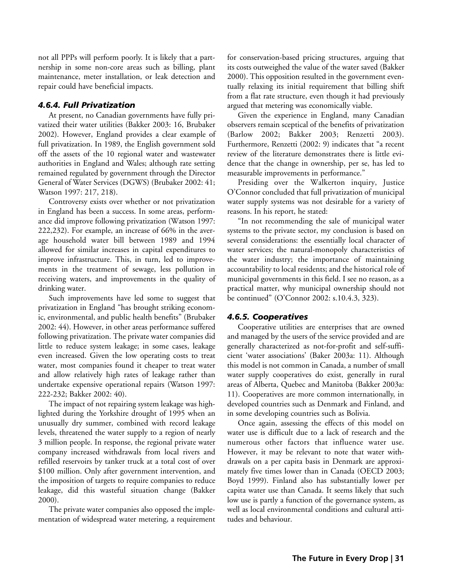not all PPPs will perform poorly. It is likely that a partnership in some non-core areas such as billing, plant maintenance, meter installation, or leak detection and repair could have beneficial impacts.

## *4.6.4. Full Privatization*

At present, no Canadian governments have fully privatized their water utilities (Bakker 2003: 16, Brubaker 2002). However, England provides a clear example of full privatization. In 1989, the English government sold off the assets of the 10 regional water and wastewater authorities in England and Wales; although rate setting remained regulated by government through the Director General of Water Services (DGWS) (Brubaker 2002: 41; Watson 1997: 217, 218).

Controversy exists over whether or not privatization in England has been a success. In some areas, performance did improve following privatization (Watson 1997: 222,232). For example, an increase of 66% in the average household water bill between 1989 and 1994 allowed for similar increases in capital expenditures to improve infrastructure. This, in turn, led to improvements in the treatment of sewage, less pollution in receiving waters, and improvements in the quality of drinking water.

Such improvements have led some to suggest that privatization in England "has brought striking economic, environmental, and public health benefits" (Brubaker 2002: 44). However, in other areas performance suffered following privatization. The private water companies did little to reduce system leakage; in some cases, leakage even increased. Given the low operating costs to treat water, most companies found it cheaper to treat water and allow relatively high rates of leakage rather than undertake expensive operational repairs (Watson 1997: 222-232; Bakker 2002: 40).

The impact of not repairing system leakage was highlighted during the Yorkshire drought of 1995 when an unusually dry summer, combined with record leakage levels, threatened the water supply to a region of nearly 3 million people. In response, the regional private water company increased withdrawals from local rivers and refilled reservoirs by tanker truck at a total cost of over \$100 million. Only after government intervention, and the imposition of targets to require companies to reduce leakage, did this wasteful situation change (Bakker 2000).

The private water companies also opposed the implementation of widespread water metering, a requirement for conservation-based pricing structures, arguing that its costs outweighed the value of the water saved (Bakker 2000). This opposition resulted in the government eventually relaxing its initial requirement that billing shift from a flat rate structure, even though it had previously argued that metering was economically viable.

Given the experience in England, many Canadian observers remain sceptical of the benefits of privatization (Barlow 2002; Bakker 2003; Renzetti 2003). Furthermore, Renzetti (2002: 9) indicates that "a recent review of the literature demonstrates there is little evidence that the change in ownership, per se, has led to measurable improvements in performance."

Presiding over the Walkerton inquiry, Justice O'Connor concluded that full privatization of municipal water supply systems was not desirable for a variety of reasons. In his report, he stated:

"In not recommending the sale of municipal water systems to the private sector, my conclusion is based on several considerations: the essentially local character of water services; the natural-monopoly characteristics of the water industry; the importance of maintaining accountability to local residents; and the historical role of municipal governments in this field. I see no reason, as a practical matter, why municipal ownership should not be continued" (O'Connor 2002: s.10.4.3, 323).

## *4.6.5. Cooperatives*

Cooperative utilities are enterprises that are owned and managed by the users of the service provided and are generally characterized as not-for-profit and self-sufficient 'water associations' (Baker 2003a: 11). Although this model is not common in Canada, a number of small water supply cooperatives do exist, generally in rural areas of Alberta, Quebec and Manitoba (Bakker 2003a: 11). Cooperatives are more common internationally, in developed countries such as Denmark and Finland, and in some developing countries such as Bolivia.

Once again, assessing the effects of this model on water use is difficult due to a lack of research and the numerous other factors that influence water use. However, it may be relevant to note that water withdrawals on a per capita basis in Denmark are approximately five times lower than in Canada (OECD 2003; Boyd 1999). Finland also has substantially lower per capita water use than Canada. It seems likely that such low use is partly a function of the governance system, as well as local environmental conditions and cultural attitudes and behaviour.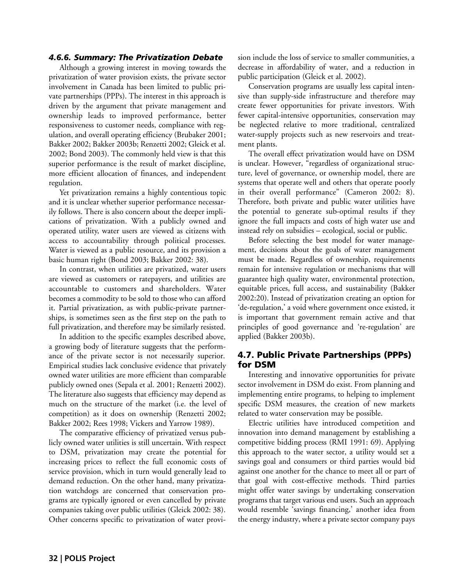#### *4.6.6. Summary: The Privatization Debate*

Although a growing interest in moving towards the privatization of water provision exists, the private sector involvement in Canada has been limited to public private partnerships (PPPs). The interest in this approach is driven by the argument that private management and ownership leads to improved performance, better responsiveness to customer needs, compliance with regulation, and overall operating efficiency (Brubaker 2001; Bakker 2002; Bakker 2003b; Renzetti 2002; Gleick et al. 2002; Bond 2003). The commonly held view is that this superior performance is the result of market discipline, more efficient allocation of finances, and independent regulation.

Yet privatization remains a highly contentious topic and it is unclear whether superior performance necessarily follows. There is also concern about the deeper implications of privatization. With a publicly owned and operated utility, water users are viewed as citizens with access to accountability through political processes. Water is viewed as a public resource, and its provision a basic human right (Bond 2003; Bakker 2002: 38).

In contrast, when utilities are privatized, water users are viewed as customers or ratepayers, and utilities are accountable to customers and shareholders. Water becomes a commodity to be sold to those who can afford it. Partial privatization, as with public-private partnerships, is sometimes seen as the first step on the path to full privatization, and therefore may be similarly resisted.

In addition to the specific examples described above, a growing body of literature suggests that the performance of the private sector is not necessarily superior. Empirical studies lack conclusive evidence that privately owned water utilities are more efficient than comparable publicly owned ones (Sepala et al. 2001; Renzetti 2002). The literature also suggests that efficiency may depend as much on the structure of the market (i.e. the level of competition) as it does on ownership (Renzetti 2002; Bakker 2002; Rees 1998; Vickers and Yarrow 1989).

The comparative efficiency of privatized versus publicly owned water utilities is still uncertain. With respect to DSM, privatization may create the potential for increasing prices to reflect the full economic costs of service provision, which in turn would generally lead to demand reduction. On the other hand, many privatization watchdogs are concerned that conservation programs are typically ignored or even cancelled by private companies taking over public utilities (Gleick 2002: 38). Other concerns specific to privatization of water provision include the loss of service to smaller communities, a decrease in affordability of water, and a reduction in public participation (Gleick et al. 2002).

Conservation programs are usually less capital intensive than supply-side infrastructure and therefore may create fewer opportunities for private investors. With fewer capital-intensive opportunities, conservation may be neglected relative to more traditional, centralized water-supply projects such as new reservoirs and treatment plants.

The overall effect privatization would have on DSM is unclear. However, "regardless of organizational structure, level of governance, or ownership model, there are systems that operate well and others that operate poorly in their overall performance" (Cameron 2002: 8). Therefore, both private and public water utilities have the potential to generate sub-optimal results if they ignore the full impacts and costs of high water use and instead rely on subsidies – ecological, social or public.

Before selecting the best model for water management, decisions about the goals of water management must be made. Regardless of ownership, requirements remain for intensive regulation or mechanisms that will guarantee high quality water, environmental protection, equitable prices, full access, and sustainability (Bakker 2002:20). Instead of privatization creating an option for 'de-regulation,' a void where government once existed, it is important that government remain active and that principles of good governance and 're-regulation' are applied (Bakker 2003b).

## 4.7. Public Private Partnerships (PPPs) for DSM

Interesting and innovative opportunities for private sector involvement in DSM do exist. From planning and implementing entire programs, to helping to implement specific DSM measures, the creation of new markets related to water conservation may be possible.

Electric utilities have introduced competition and innovation into demand management by establishing a competitive bidding process (RMI 1991: 69). Applying this approach to the water sector, a utility would set a savings goal and consumers or third parties would bid against one another for the chance to meet all or part of that goal with cost-effective methods. Third parties might offer water savings by undertaking conservation programs that target various end users. Such an approach would resemble 'savings financing,' another idea from the energy industry, where a private sector company pays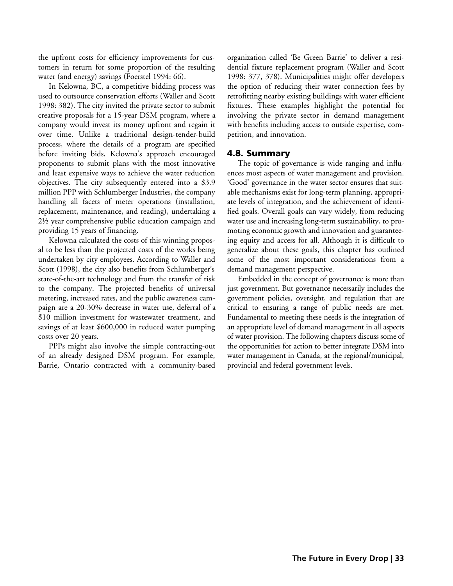the upfront costs for efficiency improvements for customers in return for some proportion of the resulting water (and energy) savings (Foerstel 1994: 66).

In Kelowna, BC, a competitive bidding process was used to outsource conservation efforts (Waller and Scott 1998: 382). The city invited the private sector to submit creative proposals for a 15-year DSM program, where a company would invest its money upfront and regain it over time. Unlike a traditional design-tender-build process, where the details of a program are specified before inviting bids, Kelowna's approach encouraged proponents to submit plans with the most innovative and least expensive ways to achieve the water reduction objectives. The city subsequently entered into a \$3.9 million PPP with Schlumberger Industries, the company handling all facets of meter operations (installation, replacement, maintenance, and reading), undertaking a 2½ year comprehensive public education campaign and providing 15 years of financing.

Kelowna calculated the costs of this winning proposal to be less than the projected costs of the works being undertaken by city employees. According to Waller and Scott (1998), the city also benefits from Schlumberger's state-of-the-art technology and from the transfer of risk to the company. The projected benefits of universal metering, increased rates, and the public awareness campaign are a 20-30% decrease in water use, deferral of a \$10 million investment for wastewater treatment, and savings of at least \$600,000 in reduced water pumping costs over 20 years.

PPPs might also involve the simple contracting-out of an already designed DSM program. For example, Barrie, Ontario contracted with a community-based

organization called 'Be Green Barrie' to deliver a residential fixture replacement program (Waller and Scott 1998: 377, 378). Municipalities might offer developers the option of reducing their water connection fees by retrofitting nearby existing buildings with water efficient fixtures. These examples highlight the potential for involving the private sector in demand management with benefits including access to outside expertise, competition, and innovation.

## 4.8. Summary

The topic of governance is wide ranging and influences most aspects of water management and provision. 'Good' governance in the water sector ensures that suitable mechanisms exist for long-term planning, appropriate levels of integration, and the achievement of identified goals. Overall goals can vary widely, from reducing water use and increasing long-term sustainability, to promoting economic growth and innovation and guaranteeing equity and access for all. Although it is difficult to generalize about these goals, this chapter has outlined some of the most important considerations from a demand management perspective.

Embedded in the concept of governance is more than just government. But governance necessarily includes the government policies, oversight, and regulation that are critical to ensuring a range of public needs are met. Fundamental to meeting these needs is the integration of an appropriate level of demand management in all aspects of water provision. The following chapters discuss some of the opportunities for action to better integrate DSM into water management in Canada, at the regional/municipal, provincial and federal government levels.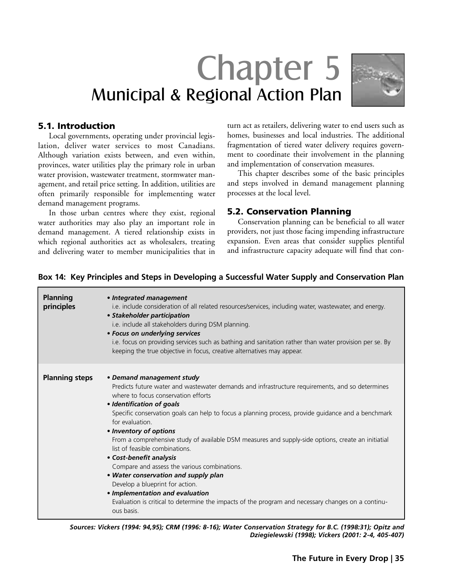# Chapter 5 Municipal & Regional Action Plan



## 5.1. Introduction

Local governments, operating under provincial legislation, deliver water services to most Canadians. Although variation exists between, and even within, provinces, water utilities play the primary role in urban water provision, wastewater treatment, stormwater management, and retail price setting. In addition, utilities are often primarily responsible for implementing water demand management programs.

In those urban centres where they exist, regional water authorities may also play an important role in demand management. A tiered relationship exists in which regional authorities act as wholesalers, treating and delivering water to member municipalities that in turn act as retailers, delivering water to end users such as homes, businesses and local industries. The additional fragmentation of tiered water delivery requires government to coordinate their involvement in the planning and implementation of conservation measures.

This chapter describes some of the basic principles and steps involved in demand management planning processes at the local level.

# 5.2. Conservation Planning

Conservation planning can be beneficial to all water providers, not just those facing impending infrastructure expansion. Even areas that consider supplies plentiful and infrastructure capacity adequate will find that con-

| <b>Planning</b><br>principles | • Integrated management<br>i.e. include consideration of all related resources/services, including water, wastewater, and energy.<br>• Stakeholder participation<br>i.e. include all stakeholders during DSM planning.<br>• Focus on underlying services<br>i.e. focus on providing services such as bathing and sanitation rather than water provision per se. By<br>keeping the true objective in focus, creative alternatives may appear.                                                                                                                                                                                                                                                                                                                                                             |
|-------------------------------|----------------------------------------------------------------------------------------------------------------------------------------------------------------------------------------------------------------------------------------------------------------------------------------------------------------------------------------------------------------------------------------------------------------------------------------------------------------------------------------------------------------------------------------------------------------------------------------------------------------------------------------------------------------------------------------------------------------------------------------------------------------------------------------------------------|
| <b>Planning steps</b>         | • Demand management study<br>Predicts future water and wastewater demands and infrastructure requirements, and so determines<br>where to focus conservation efforts<br>• Identification of goals<br>Specific conservation goals can help to focus a planning process, provide guidance and a benchmark<br>for evaluation.<br>• Inventory of options<br>From a comprehensive study of available DSM measures and supply-side options, create an initiatial<br>list of feasible combinations.<br>• Cost-benefit analysis<br>Compare and assess the various combinations.<br>• Water conservation and supply plan<br>Develop a blueprint for action.<br>• Implementation and evaluation<br>Evaluation is critical to determine the impacts of the program and necessary changes on a continu-<br>ous basis. |

## **Box 14: Key Principles and Steps in Developing a Successful Water Supply and Conservation Plan**

*Sources: Vickers (1994: 94,95); CRM (1996: 8-16); Water Conservation Strategy for B.C. (1998:31); Opitz and Dziegielewski (1998); Vickers (2001: 2-4, 405-407)*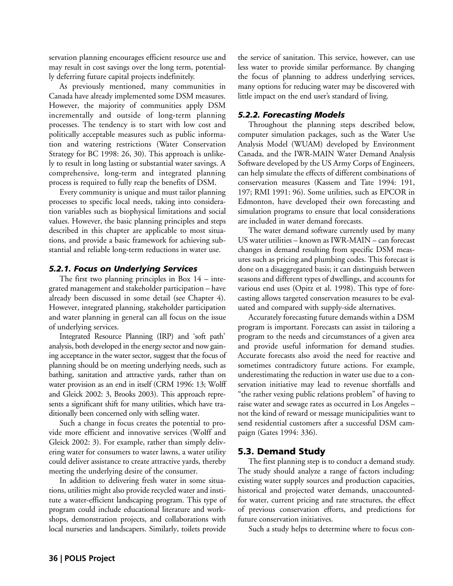servation planning encourages efficient resource use and may result in cost savings over the long term, potentially deferring future capital projects indefinitely.

As previously mentioned, many communities in Canada have already implemented some DSM measures. However, the majority of communities apply DSM incrementally and outside of long-term planning processes. The tendency is to start with low cost and politically acceptable measures such as public information and watering restrictions (Water Conservation Strategy for BC 1998: 26, 30). This approach is unlikely to result in long lasting or substantial water savings. A comprehensive, long-term and integrated planning process is required to fully reap the benefits of DSM.

Every community is unique and must tailor planning processes to specific local needs, taking into consideration variables such as biophysical limitations and social values. However, the basic planning principles and steps described in this chapter are applicable to most situations, and provide a basic framework for achieving substantial and reliable long-term reductions in water use.

## *5.2.1. Focus on Underlying Services*

The first two planning principles in Box  $14$  – integrated management and stakeholder participation – have already been discussed in some detail (see Chapter 4). However, integrated planning, stakeholder participation and water planning in general can all focus on the issue of underlying services.

Integrated Resource Planning (IRP) and 'soft path' analysis, both developed in the energy sector and now gaining acceptance in the water sector, suggest that the focus of planning should be on meeting underlying needs, such as bathing, sanitation and attractive yards, rather than on water provision as an end in itself (CRM 1996: 13; Wolff and Gleick 2002: 3, Brooks 2003). This approach represents a significant shift for many utilities, which have traditionally been concerned only with selling water.

Such a change in focus creates the potential to provide more efficient and innovative services (Wolff and Gleick 2002: 3). For example, rather than simply delivering water for consumers to water lawns, a water utility could deliver assistance to create attractive yards, thereby meeting the underlying desire of the consumer.

In addition to delivering fresh water in some situations, utilities might also provide recycled water and institute a water-efficient landscaping program. This type of program could include educational literature and workshops, demonstration projects, and collaborations with local nurseries and landscapers. Similarly, toilets provide

the service of sanitation. This service, however, can use less water to provide similar performance. By changing the focus of planning to address underlying services, many options for reducing water may be discovered with little impact on the end user's standard of living.

## *5.2.2. Forecasting Models*

Throughout the planning steps described below, computer simulation packages, such as the Water Use Analysis Model (WUAM) developed by Environment Canada, and the IWR-MAIN Water Demand Analysis Software developed by the US Army Corps of Engineers, can help simulate the effects of different combinations of conservation measures (Kassem and Tate 1994: 191, 197; RMI 1991: 96). Some utilities, such as EPCOR in Edmonton, have developed their own forecasting and simulation programs to ensure that local considerations are included in water demand forecasts.

The water demand software currently used by many US water utilities – known as IWR-MAIN – can forecast changes in demand resulting from specific DSM measures such as pricing and plumbing codes. This forecast is done on a disaggregated basis; it can distinguish between seasons and different types of dwellings, and accounts for various end uses (Opitz et al. 1998). This type of forecasting allows targeted conservation measures to be evaluated and compared with supply-side alternatives.

Accurately forecasting future demands within a DSM program is important. Forecasts can assist in tailoring a program to the needs and circumstances of a given area and provide useful information for demand studies. Accurate forecasts also avoid the need for reactive and sometimes contradictory future actions. For example, underestimating the reduction in water use due to a conservation initiative may lead to revenue shortfalls and "the rather vexing public relations problem" of having to raise water and sewage rates as occurred in Los Angeles – not the kind of reward or message municipalities want to send residential customers after a successful DSM campaign (Gates 1994: 336).

# 5.3. Demand Study

The first planning step is to conduct a demand study. The study should analyze a range of factors including: existing water supply sources and production capacities, historical and projected water demands, unaccountedfor water, current pricing and rate structures, the effect of previous conservation efforts, and predictions for future conservation initiatives.

Such a study helps to determine where to focus con-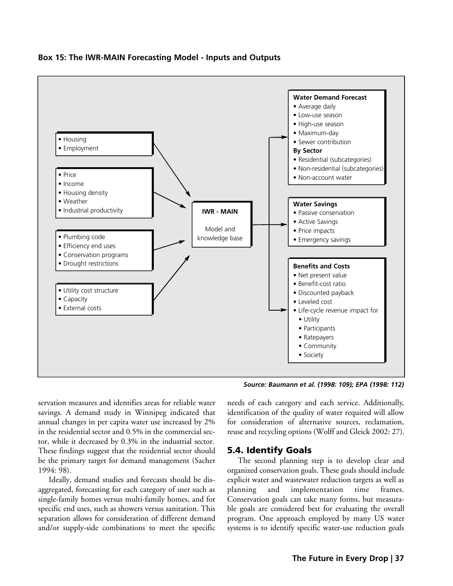

## **Box 15: The IWR-MAIN Forecasting Model - Inputs and Outputs**

*Source: Baumann et al. (1998: 109); EPA (1998: 112)*

servation measures and identifies areas for reliable water savings. A demand study in Winnipeg indicated that annual changes in per capita water use increased by 2% in the residential sector and 0.5% in the commercial sector, while it decreased by 0.3% in the industrial sector. These findings suggest that the residential sector should be the primary target for demand management (Sacher 1994: 98).

Ideally, demand studies and forecasts should be disaggregated, forecasting for each category of user such as single-family homes versus multi-family homes, and for specific end uses, such as showers versus sanitation. This separation allows for consideration of different demand and/or supply-side combinations to meet the specific

needs of each category and each service. Additionally, identification of the quality of water required will allow for consideration of alternative sources, reclamation, reuse and recycling options (Wolff and Gleick 2002: 27).

# 5.4. Identify Goals

The second planning step is to develop clear and organized conservation goals. These goals should include explicit water and wastewater reduction targets as well as planning and implementation time frames. Conservation goals can take many forms, but measurable goals are considered best for evaluating the overall program. One approach employed by many US water systems is to identify specific water-use reduction goals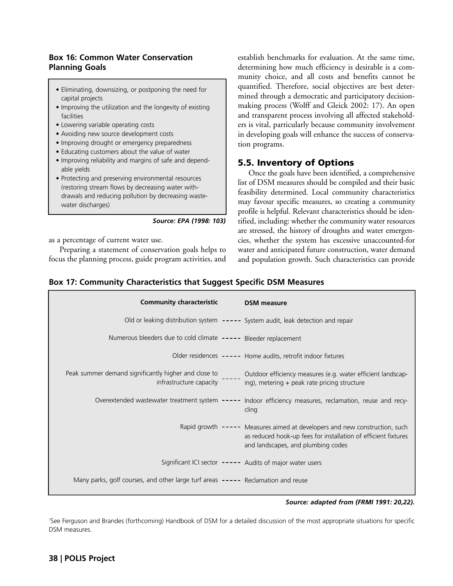## **Box 16: Common Water Conservation Planning Goals**

- Eliminating, downsizing, or postponing the need for capital projects
- Improving the utilization and the longevity of existing facilities
- Lowering variable operating costs
- Avoiding new source development costs
- Improving drought or emergency preparedness
- Educating customers about the value of water
- Improving reliability and margins of safe and dependable yields
- Protecting and preserving environmental resources (restoring stream flows by decreasing water withdrawals and reducing pollution by decreasing wastewater discharges)

*Source: EPA (1998: 103)*

as a percentage of current water use.

Preparing a statement of conservation goals helps to focus the planning process, guide program activities, and establish benchmarks for evaluation. At the same time, determining how much efficiency is desirable is a community choice, and all costs and benefits cannot be quantified. Therefore, social objectives are best determined through a democratic and participatory decisionmaking process (Wolff and Gleick 2002: 17). An open and transparent process involving all affected stakeholders is vital, particularly because community involvement in developing goals will enhance the success of conservation programs.

# 5.5. Inventory of Options

Once the goals have been identified, a comprehensive list of DSM measures should be compiled and their basic feasibility determined. Local community characteristics may favour specific measures, so creating a community profile is helpful. Relevant characteristics should be identified, including: whether the community water resources are stressed, the history of droughts and water emergencies, whether the system has excessive unaccounted-for water and anticipated future construction, water demand and population growth. Such characteristics can provide

## **Box 17: Community Characteristics that Suggest Specific DSM Measures**

| <b>Community characteristic</b>                                                  |  | <b>DSM</b> measure                                                                                                                                                                 |
|----------------------------------------------------------------------------------|--|------------------------------------------------------------------------------------------------------------------------------------------------------------------------------------|
|                                                                                  |  | Old or leaking distribution system ----- System audit, leak detection and repair                                                                                                   |
| Numerous bleeders due to cold climate ----- Bleeder replacement                  |  |                                                                                                                                                                                    |
|                                                                                  |  | Older residences ----- Home audits, retrofit indoor fixtures                                                                                                                       |
| infrastructure capacity                                                          |  | Peak summer demand significantly higher and close to Dutdoor efficiency measures (e.g. water efficient landscap-<br>ing), metering + peak rate pricing structure                   |
|                                                                                  |  | Overextended wastewater treatment system ----- Indoor efficiency measures, reclamation, reuse and recy-<br>cling                                                                   |
|                                                                                  |  | Rapid growth ----- Measures aimed at developers and new construction, such<br>as reduced hook-up fees for installation of efficient fixtures<br>and landscapes, and plumbing codes |
|                                                                                  |  | Significant ICI sector ----- Audits of major water users                                                                                                                           |
| Many parks, golf courses, and other large turf areas ----- Reclamation and reuse |  |                                                                                                                                                                                    |

#### *Source: adapted from (FRMI 1991: 20,22).*

<sup>7</sup>See Ferguson and Brandes (forthcoming) Handbook of DSM for a detailed discussion of the most appropriate situations for specific DSM measures.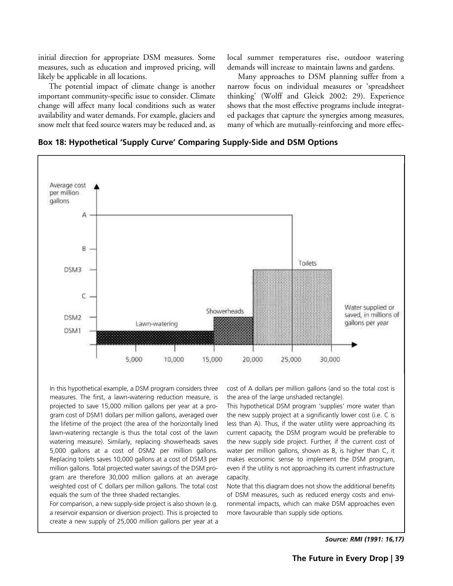initial direction for appropriate DSM measures. Some measures, such as education and improved pricing, will likely be applicable in all locations.

The potential impact of climate change is another important community-specific issue to consider. Climate change will affect many local conditions such as water availability and water demands. For example, glaciers and snow melt that feed source waters may be reduced and, as local summer temperatures rise, outdoor watering demands will increase to maintain lawns and gardens.

Many approaches to DSM planning suffer from a narrow focus on individual measures or 'spreadsheet thinking' (Wolff and Gleick 2002: 29). Experience shows that the most effective programs include integrated packages that capture the synergies among measures, many of which are mutually-reinforcing and more effec-





In this hypothetical example, a DSM program considers three measures. The first, a lawn-watering reduction measure, is projected to save 15,000 million gallons per year at a program cost of DSM1 dollars per million gallons, averaged over the lifetime of the project (the area of the horizontally lined lawn-watering rectangle is thus the total cost of the lawn watering measure). Similarly, replacing showerheads saves 5,000 gallons at a cost of DSM2 per million gallons. Replacing toilets saves 10,000 gallons at a cost of DSM3 per million gallons. Total projected water savings of the DSM program are therefore 30,000 million gallons at an average weighted cost of C dollars per million gallons. The total cost equals the sum of the three shaded rectangles.

For comparison, a new supply-side project is also shown (e.g. a reservoir expansion or diversion project). This is projected to create a new supply of 25,000 million gallons per year at a cost of A dollars per million gallons (and so the total cost is the area of the large unshaded rectangle).

This hypothetical DSM program 'supplies' more water than the new supply project at a significantly lower cost (i.e. C is less than A). Thus, if the water utility were approaching its current capacity, the DSM program would be preferable to the new supply side project. Further, if the current cost of water per million gallons, shown as B, is higher than C, it makes economic sense to implement the DSM program, even if the utility is not approaching its current infrastructure capacity.

Note that this diagram does not show the additional benefits of DSM measures, such as reduced energy costs and environmental impacts, which can make DSM approaches even more favourable than supply side options.

*Source: RMI (1991: 16,17)*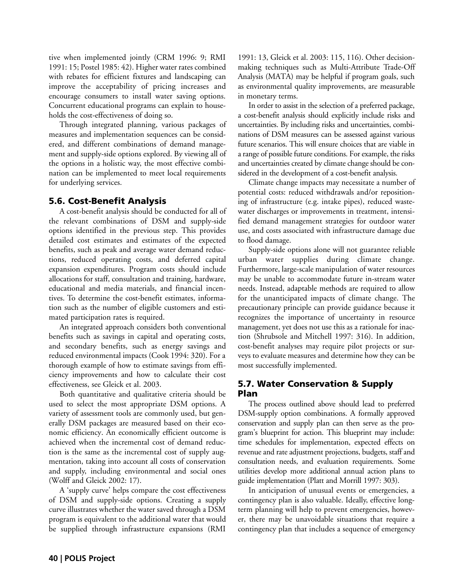tive when implemented jointly (CRM 1996: 9; RMI 1991: 15; Postel 1985: 42). Higher water rates combined with rebates for efficient fixtures and landscaping can improve the acceptability of pricing increases and encourage consumers to install water saving options. Concurrent educational programs can explain to households the cost-effectiveness of doing so.

Through integrated planning, various packages of measures and implementation sequences can be considered, and different combinations of demand management and supply-side options explored. By viewing all of the options in a holistic way, the most effective combination can be implemented to meet local requirements for underlying services.

# 5.6. Cost-Benefit Analysis

A cost-benefit analysis should be conducted for all of the relevant combinations of DSM and supply-side options identified in the previous step. This provides detailed cost estimates and estimates of the expected benefits, such as peak and average water demand reductions, reduced operating costs, and deferred capital expansion expenditures. Program costs should include allocations for staff, consultation and training, hardware, educational and media materials, and financial incentives. To determine the cost-benefit estimates, information such as the number of eligible customers and estimated participation rates is required.

An integrated approach considers both conventional benefits such as savings in capital and operating costs, and secondary benefits, such as energy savings and reduced environmental impacts (Cook 1994: 320). For a thorough example of how to estimate savings from efficiency improvements and how to calculate their cost effectiveness, see Gleick et al. 2003.

Both quantitative and qualitative criteria should be used to select the most appropriate DSM options. A variety of assessment tools are commonly used, but generally DSM packages are measured based on their economic efficiency. An economically efficient outcome is achieved when the incremental cost of demand reduction is the same as the incremental cost of supply augmentation, taking into account all costs of conservation and supply, including environmental and social ones (Wolff and Gleick 2002: 17).

A 'supply curve' helps compare the cost effectiveness of DSM and supply-side options. Creating a supply curve illustrates whether the water saved through a DSM program is equivalent to the additional water that would be supplied through infrastructure expansions (RMI

1991: 13, Gleick et al. 2003: 115, 116). Other decisionmaking techniques such as Multi-Attribute Trade-Off Analysis (MATA) may be helpful if program goals, such as environmental quality improvements, are measurable in monetary terms.

In order to assist in the selection of a preferred package, a cost-benefit analysis should explicitly include risks and uncertainties. By including risks and uncertainties, combinations of DSM measures can be assessed against various future scenarios. This will ensure choices that are viable in a range of possible future conditions. For example, the risks and uncertainties created by climate change should be considered in the development of a cost-benefit analysis.

Climate change impacts may necessitate a number of potential costs: reduced withdrawals and/or repositioning of infrastructure (e.g. intake pipes), reduced wastewater discharges or improvements in treatment, intensified demand management strategies for outdoor water use, and costs associated with infrastructure damage due to flood damage.

Supply-side options alone will not guarantee reliable urban water supplies during climate change. Furthermore, large-scale manipulation of water resources may be unable to accommodate future in-stream water needs. Instead, adaptable methods are required to allow for the unanticipated impacts of climate change. The precautionary principle can provide guidance because it recognizes the importance of uncertainty in resource management, yet does not use this as a rationale for inaction (Shrubsole and Mitchell 1997: 316). In addition, cost-benefit analyses may require pilot projects or surveys to evaluate measures and determine how they can be most successfully implemented.

# 5.7. Water Conservation & Supply Plan

The process outlined above should lead to preferred DSM-supply option combinations. A formally approved conservation and supply plan can then serve as the program's blueprint for action. This blueprint may include: time schedules for implementation, expected effects on revenue and rate adjustment projections, budgets, staff and consultation needs, and evaluation requirements. Some utilities develop more additional annual action plans to guide implementation (Platt and Morrill 1997: 303).

In anticipation of unusual events or emergencies, a contingency plan is also valuable. Ideally, effective longterm planning will help to prevent emergencies, however, there may be unavoidable situations that require a contingency plan that includes a sequence of emergency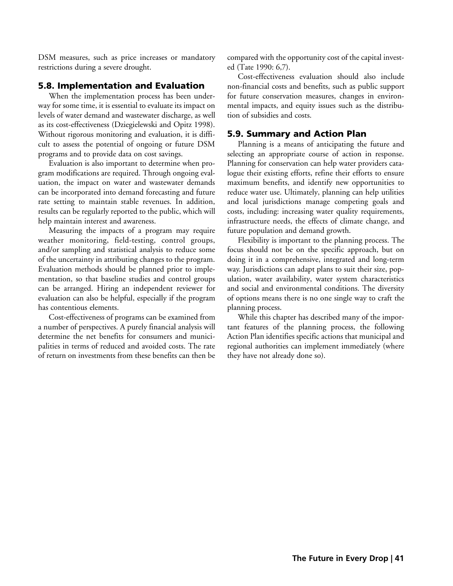DSM measures, such as price increases or mandatory restrictions during a severe drought.

## 5.8. Implementation and Evaluation

When the implementation process has been underway for some time, it is essential to evaluate its impact on levels of water demand and wastewater discharge, as well as its cost-effectiveness (Dziegielewski and Opitz 1998). Without rigorous monitoring and evaluation, it is difficult to assess the potential of ongoing or future DSM programs and to provide data on cost savings.

Evaluation is also important to determine when program modifications are required. Through ongoing evaluation, the impact on water and wastewater demands can be incorporated into demand forecasting and future rate setting to maintain stable revenues. In addition, results can be regularly reported to the public, which will help maintain interest and awareness.

Measuring the impacts of a program may require weather monitoring, field-testing, control groups, and/or sampling and statistical analysis to reduce some of the uncertainty in attributing changes to the program. Evaluation methods should be planned prior to implementation, so that baseline studies and control groups can be arranged. Hiring an independent reviewer for evaluation can also be helpful, especially if the program has contentious elements.

Cost-effectiveness of programs can be examined from a number of perspectives. A purely financial analysis will determine the net benefits for consumers and municipalities in terms of reduced and avoided costs. The rate of return on investments from these benefits can then be compared with the opportunity cost of the capital invested (Tate 1990: 6,7).

Cost-effectiveness evaluation should also include non-financial costs and benefits, such as public support for future conservation measures, changes in environmental impacts, and equity issues such as the distribution of subsidies and costs.

## 5.9. Summary and Action Plan

Planning is a means of anticipating the future and selecting an appropriate course of action in response. Planning for conservation can help water providers catalogue their existing efforts, refine their efforts to ensure maximum benefits, and identify new opportunities to reduce water use. Ultimately, planning can help utilities and local jurisdictions manage competing goals and costs, including: increasing water quality requirements, infrastructure needs, the effects of climate change, and future population and demand growth.

Flexibility is important to the planning process. The focus should not be on the specific approach, but on doing it in a comprehensive, integrated and long-term way. Jurisdictions can adapt plans to suit their size, population, water availability, water system characteristics and social and environmental conditions. The diversity of options means there is no one single way to craft the planning process.

While this chapter has described many of the important features of the planning process, the following Action Plan identifies specific actions that municipal and regional authorities can implement immediately (where they have not already done so).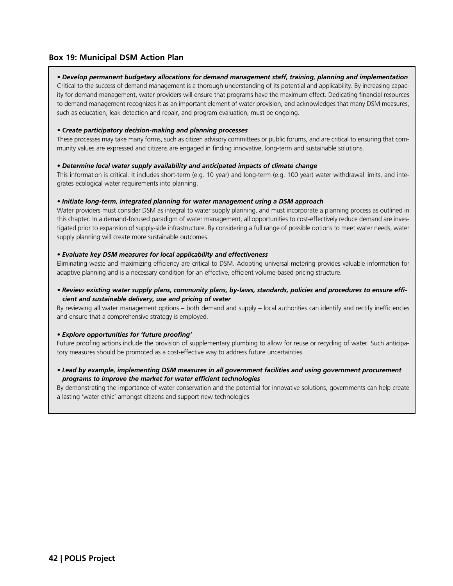## **Box 19: Municipal DSM Action Plan**

#### *• Develop permanent budgetary allocations for demand management staff, training, planning and implementation*

Critical to the success of demand management is a thorough understanding of its potential and applicability. By increasing capacity for demand management, water providers will ensure that programs have the maximum effect. Dedicating financial resources to demand management recognizes it as an important element of water provision, and acknowledges that many DSM measures, such as education, leak detection and repair, and program evaluation, must be ongoing.

#### *• Create participatory decision-making and planning processes*

These processes may take many forms, such as citizen advisory committees or public forums, and are critical to ensuring that community values are expressed and citizens are engaged in finding innovative, long-term and sustainable solutions.

#### *• Determine local water supply availability and anticipated impacts of climate change*

This information is critical. It includes short-term (e.g. 10 year) and long-term (e.g. 100 year) water withdrawal limits, and integrates ecological water requirements into planning.

#### *• Initiate long-term, integrated planning for water management using a DSM approach*

Water providers must consider DSM as integral to water supply planning, and must incorporate a planning process as outlined in this chapter. In a demand-focused paradigm of water management, all opportunities to cost-effectively reduce demand are investigated prior to expansion of supply-side infrastructure. By considering a full range of possible options to meet water needs, water supply planning will create more sustainable outcomes.

#### *• Evaluate key DSM measures for local applicability and effectiveness*

Eliminating waste and maximizing efficiency are critical to DSM. Adopting universal metering provides valuable information for adaptive planning and is a necessary condition for an effective, efficient volume-based pricing structure.

#### *• Review existing water supply plans, community plans, by-laws, standards, policies and procedures to ensure efficient and sustainable delivery, use and pricing of water*

By reviewing all water management options – both demand and supply – local authorities can identify and rectify inefficiencies and ensure that a comprehensive strategy is employed.

#### *• Explore opportunities for 'future proofing'*

Future proofing actions include the provision of supplementary plumbing to allow for reuse or recycling of water. Such anticipatory measures should be promoted as a cost-effective way to address future uncertainties.

#### *• Lead by example, implementing DSM measures in all government facilities and using government procurement programs to improve the market for water efficient technologies*

By demonstrating the importance of water conservation and the potential for innovative solutions, governments can help create a lasting 'water ethic' amongst citizens and support new technologies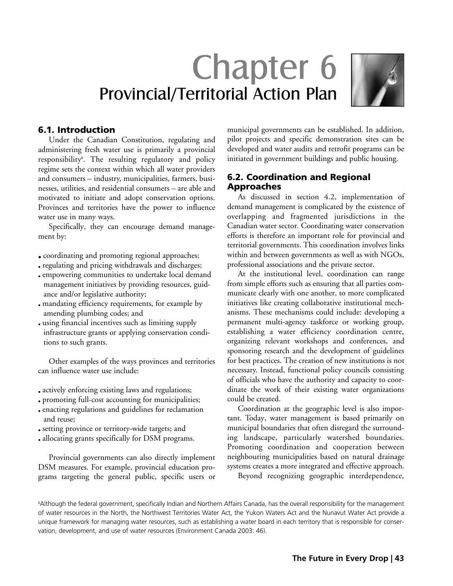# Chapter 6 Provincial/Territorial Action Plan



# 6.1. Introduction

Under the Canadian Constitution, regulating and administering fresh water use is primarily a provincial responsibility<sup>8</sup> . The resulting regulatory and policy regime sets the context within which all water providers and consumers – industry, municipalities, farmers, businesses, utilities, and residential consumers – are able and motivated to initiate and adopt conservation options. Provinces and territories have the power to influence water use in many ways.

Specifically, they can encourage demand management by:

• coordinating and promoting regional approaches;

- regulating and pricing withdrawals and discharges;
- empowering communities to undertake local demand management initiatives by providing resources, guidance and/or legislative authority;
- mandating efficiency requirements, for example by amending plumbing codes; and
- using financial incentives such as limiting supply infrastructure grants or applying conservation conditions to such grants.

Other examples of the ways provinces and territories can influence water use include:

- actively enforcing existing laws and regulations;
- promoting full-cost accounting for municipalities;
- enacting regulations and guidelines for reclamation and reuse;
- setting province or territory-wide targets; and
- allocating grants specifically for DSM programs.

Provincial governments can also directly implement DSM measures. For example, provincial education programs targeting the general public, specific users or municipal governments can be established. In addition, pilot projects and specific demonstration sites can be developed and water audits and retrofit programs can be initiated in government buildings and public housing.

# 6.2. Coordination and Regional Approaches

As discussed in section 4.2, implementation of demand management is complicated by the existence of overlapping and fragmented jurisdictions in the Canadian water sector. Coordinating water conservation efforts is therefore an important role for provincial and territorial governments. This coordination involves links within and between governments as well as with NGOs, professional associations and the private sector.

At the institutional level, coordination can range from simple efforts such as ensuring that all parties communicate clearly with one another, to more complicated initiatives like creating collaborative institutional mechanisms. These mechanisms could include: developing a permanent multi-agency taskforce or working group, establishing a water efficiency coordination centre, organizing relevant workshops and conferences, and sponsoring research and the development of guidelines for best practices. The creation of new institutions is not necessary. Instead, functional policy councils consisting of officials who have the authority and capacity to coordinate the work of their existing water organizations could be created.

Coordination at the geographic level is also important. Today, water management is based primarily on municipal boundaries that often disregard the surrounding landscape, particularly watershed boundaries. Promoting coordination and cooperation between neighbouring municipalities based on natural drainage systems creates a more integrated and effective approach.

Beyond recognizing geographic interdependence,

<sup>8</sup>Although the federal government, specifically Indian and Northern Affairs Canada, has the overall responsibility for the management of water resources in the North, the Northwest Territories Water Act, the Yukon Waters Act and the Nunavut Water Act provide a unique framework for managing water resources, such as establishing a water board in each territory that is responsible for conservation, development, and use of water resources (Environment Canada 2003: 46).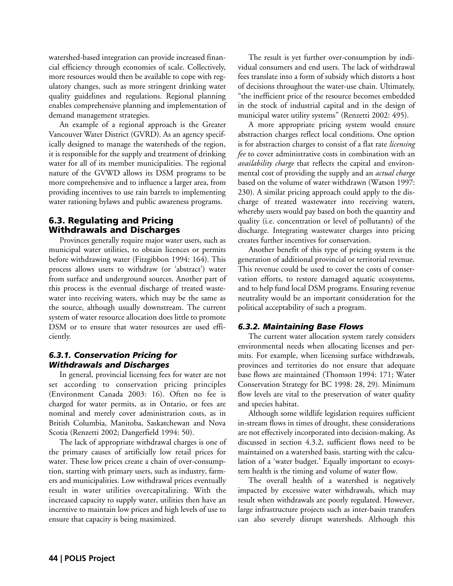watershed-based integration can provide increased financial efficiency through economies of scale. Collectively, more resources would then be available to cope with regulatory changes, such as more stringent drinking water quality guidelines and regulations. Regional planning enables comprehensive planning and implementation of demand management strategies.

An example of a regional approach is the Greater Vancouver Water District (GVRD). As an agency specifically designed to manage the watersheds of the region, it is responsible for the supply and treatment of drinking water for all of its member municipalities. The regional nature of the GVWD allows its DSM programs to be more comprehensive and to influence a larger area, from providing incentives to use rain barrels to implementing water rationing bylaws and public awareness programs.

# 6.3. Regulating and Pricing Withdrawals and Discharges

Provinces generally require major water users, such as municipal water utilities, to obtain licences or permits before withdrawing water (Fitzgibbon 1994: 164). This process allows users to withdraw (or 'abstract') water from surface and underground sources. Another part of this process is the eventual discharge of treated wastewater into receiving waters, which may be the same as the source, although usually downstream. The current system of water resource allocation does little to promote DSM or to ensure that water resources are used efficiently.

## *6.3.1. Conservation Pricing for Withdrawals and Discharges*

In general, provincial licensing fees for water are not set according to conservation pricing principles (Environment Canada 2003: 16). Often no fee is charged for water permits, as in Ontario, or fees are nominal and merely cover administration costs, as in British Columbia, Manitoba, Saskatchewan and Nova Scotia (Renzetti 2002; Dangerfield 1994: 50).

The lack of appropriate withdrawal charges is one of the primary causes of artificially low retail prices for water. These low prices create a chain of over-consumption, starting with primary users, such as industry, farmers and municipalities. Low withdrawal prices eventually result in water utilities overcapitalizing. With the increased capacity to supply water, utilities then have an incentive to maintain low prices and high levels of use to ensure that capacity is being maximized.

The result is yet further over-consumption by individual consumers and end users. The lack of withdrawal fees translate into a form of subsidy which distorts a host of decisions throughout the water-use chain. Ultimately, "the inefficient price of the resource becomes embedded in the stock of industrial capital and in the design of municipal water utility systems" (Renzetti 2002: 495).

A more appropriate pricing system would ensure abstraction charges reflect local conditions. One option is for abstraction charges to consist of a flat rate *licensing fee* to cover administrative costs in combination with an *availability charge* that reflects the capital and environmental cost of providing the supply and an *actual charge* based on the volume of water withdrawn (Watson 1997: 230). A similar pricing approach could apply to the discharge of treated wastewater into receiving waters, whereby users would pay based on both the quantity and quality (i.e. concentration or level of pollutants) of the discharge. Integrating wastewater charges into pricing creates further incentives for conservation.

Another benefit of this type of pricing system is the generation of additional provincial or territorial revenue. This revenue could be used to cover the costs of conservation efforts, to restore damaged aquatic ecosystems, and to help fund local DSM programs. Ensuring revenue neutrality would be an important consideration for the political acceptability of such a program.

# *6.3.2. Maintaining Base Flows*

The current water allocation system rarely considers environmental needs when allocating licenses and permits. For example, when licensing surface withdrawals, provinces and territories do not ensure that adequate base flows are maintained (Thomson 1994: 171; Water Conservation Strategy for BC 1998: 28, 29). Minimum flow levels are vital to the preservation of water quality and species habitat.

Although some wildlife legislation requires sufficient in-stream flows in times of drought, these considerations are not effectively incorporated into decision-making. As discussed in section 4.3.2, sufficient flows need to be maintained on a watershed basis, starting with the calculation of a 'water budget.' Equally important to ecosystem health is the timing and volume of water flow.

The overall health of a watershed is negatively impacted by excessive water withdrawals, which may result when withdrawals are poorly regulated. However, large infrastructure projects such as inter-basin transfers can also severely disrupt watersheds. Although this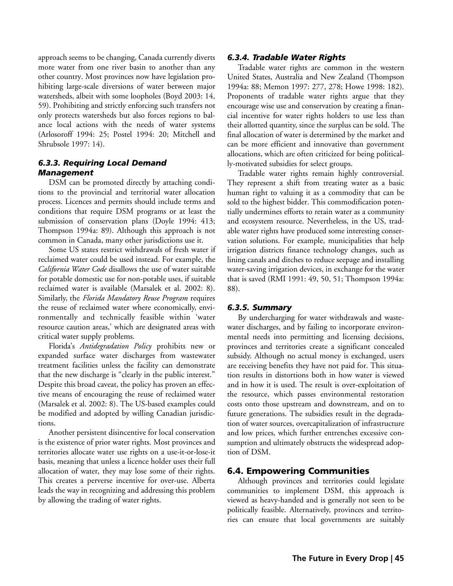approach seems to be changing, Canada currently diverts more water from one river basin to another than any other country. Most provinces now have legislation prohibiting large-scale diversions of water between major watersheds, albeit with some loopholes (Boyd 2003: 14, 59). Prohibiting and strictly enforcing such transfers not only protects watersheds but also forces regions to balance local actions with the needs of water systems (Arlosoroff 1994: 25; Postel 1994: 20; Mitchell and Shrubsole 1997: 14).

## *6.3.3. Requiring Local Demand Management*

DSM can be promoted directly by attaching conditions to the provincial and territorial water allocation process. Licences and permits should include terms and conditions that require DSM programs or at least the submission of conservation plans (Doyle 1994: 413; Thompson 1994a: 89). Although this approach is not common in Canada, many other jurisdictions use it.

Some US states restrict withdrawals of fresh water if reclaimed water could be used instead. For example, the *California Water Code* disallows the use of water suitable for potable domestic use for non-potable uses, if suitable reclaimed water is available (Marsalek et al. 2002: 8). Similarly, the *Florida Mandatory Reuse Program* requires the reuse of reclaimed water where economically, environmentally and technically feasible within 'water resource caution areas,' which are designated areas with critical water supply problems.

Florida's *Antidegradation Policy* prohibits new or expanded surface water discharges from wastewater treatment facilities unless the facility can demonstrate that the new discharge is "clearly in the public interest." Despite this broad caveat, the policy has proven an effective means of encouraging the reuse of reclaimed water (Marsalek et al. 2002: 8). The US-based examples could be modified and adopted by willing Canadian jurisdictions.

Another persistent disincentive for local conservation is the existence of prior water rights. Most provinces and territories allocate water use rights on a use-it-or-lose-it basis, meaning that unless a licence holder uses their full allocation of water, they may lose some of their rights. This creates a perverse incentive for over-use. Alberta leads the way in recognizing and addressing this problem by allowing the trading of water rights.

## *6.3.4. Tradable Water Rights*

Tradable water rights are common in the western United States, Australia and New Zealand (Thompson 1994a: 88; Memon 1997: 277, 278; Howe 1998: 182). Proponents of tradable water rights argue that they encourage wise use and conservation by creating a financial incentive for water rights holders to use less than their allotted quantity, since the surplus can be sold. The final allocation of water is determined by the market and can be more efficient and innovative than government allocations, which are often criticized for being politically-motivated subsidies for select groups.

Tradable water rights remain highly controversial. They represent a shift from treating water as a basic human right to valuing it as a commodity that can be sold to the highest bidder. This commodification potentially undermines efforts to retain water as a community and ecosystem resource. Nevertheless, in the US, tradable water rights have produced some interesting conservation solutions. For example, municipalities that help irrigation districts finance technology changes, such as lining canals and ditches to reduce seepage and installing water-saving irrigation devices, in exchange for the water that is saved (RMI 1991: 49, 50, 51; Thompson 1994a: 88).

## *6.3.5. Summary*

By undercharging for water withdrawals and wastewater discharges, and by failing to incorporate environmental needs into permitting and licensing decisions, provinces and territories create a significant concealed subsidy. Although no actual money is exchanged, users are receiving benefits they have not paid for. This situation results in distortions both in how water is viewed and in how it is used. The result is over-exploitation of the resource, which passes environmental restoration costs onto those upstream and downstream, and on to future generations. The subsidies result in the degradation of water sources, overcapitalization of infrastructure and low prices, which further entrenches excessive consumption and ultimately obstructs the widespread adoption of DSM.

## 6.4. Empowering Communities

Although provinces and territories could legislate communities to implement DSM, this approach is viewed as heavy-handed and is generally not seen to be politically feasible. Alternatively, provinces and territories can ensure that local governments are suitably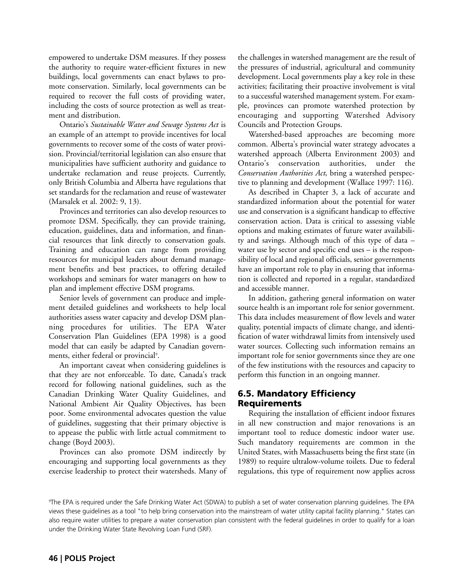empowered to undertake DSM measures. If they possess the authority to require water-efficient fixtures in new buildings, local governments can enact bylaws to promote conservation. Similarly, local governments can be required to recover the full costs of providing water, including the costs of source protection as well as treatment and distribution.

Ontario's *Sustainable Water and Sewage Systems Act* is an example of an attempt to provide incentives for local governments to recover some of the costs of water provision. Provincial/territorial legislation can also ensure that municipalities have sufficient authority and guidance to undertake reclamation and reuse projects. Currently, only British Columbia and Alberta have regulations that set standards for the reclamation and reuse of wastewater (Marsalek et al. 2002: 9, 13).

Provinces and territories can also develop resources to promote DSM. Specifically, they can provide training, education, guidelines, data and information, and financial resources that link directly to conservation goals. Training and education can range from providing resources for municipal leaders about demand management benefits and best practices, to offering detailed workshops and seminars for water managers on how to plan and implement effective DSM programs.

Senior levels of government can produce and implement detailed guidelines and worksheets to help local authorities assess water capacity and develop DSM planning procedures for utilities. The EPA Water Conservation Plan Guidelines (EPA 1998) is a good model that can easily be adapted by Canadian governments, either federal or provincial<sup>9</sup>.

An important caveat when considering guidelines is that they are not enforceable. To date, Canada's track record for following national guidelines, such as the Canadian Drinking Water Quality Guidelines, and National Ambient Air Quality Objectives, has been poor. Some environmental advocates question the value of guidelines, suggesting that their primary objective is to appease the public with little actual commitment to change (Boyd 2003).

Provinces can also promote DSM indirectly by encouraging and supporting local governments as they exercise leadership to protect their watersheds. Many of the challenges in watershed management are the result of the pressures of industrial, agricultural and community development. Local governments play a key role in these activities; facilitating their proactive involvement is vital to a successful watershed management system. For example, provinces can promote watershed protection by encouraging and supporting Watershed Advisory Councils and Protection Groups.

Watershed-based approaches are becoming more common. Alberta's provincial water strategy advocates a watershed approach (Alberta Environment 2003) and Ontario's conservation authorities, under the *Conservation Authorities Act*, bring a watershed perspective to planning and development (Wallace 1997: 116).

As described in Chapter 3, a lack of accurate and standardized information about the potential for water use and conservation is a significant handicap to effective conservation action. Data is critical to assessing viable options and making estimates of future water availability and savings. Although much of this type of data – water use by sector and specific end uses – is the responsibility of local and regional officials, senior governments have an important role to play in ensuring that information is collected and reported in a regular, standardized and accessible manner.

In addition, gathering general information on water source health is an important role for senior government. This data includes measurement of flow levels and water quality, potential impacts of climate change, and identification of water withdrawal limits from intensively used water sources. Collecting such information remains an important role for senior governments since they are one of the few institutions with the resources and capacity to perform this function in an ongoing manner.

# 6.5. Mandatory Efficiency Requirements

Requiring the installation of efficient indoor fixtures in all new construction and major renovations is an important tool to reduce domestic indoor water use. Such mandatory requirements are common in the United States, with Massachusetts being the first state (in 1989) to require ultralow-volume toilets. Due to federal regulations, this type of requirement now applies across

<sup>9</sup> The EPA is required under the Safe Drinking Water Act (SDWA) to publish a set of water conservation planning guidelines. The EPA views these guidelines as a tool "to help bring conservation into the mainstream of water utility capital facility planning." States can also require water utilities to prepare a water conservation plan consistent with the federal guidelines in order to qualify for a loan under the Drinking Water State Revolving Loan Fund (SRF).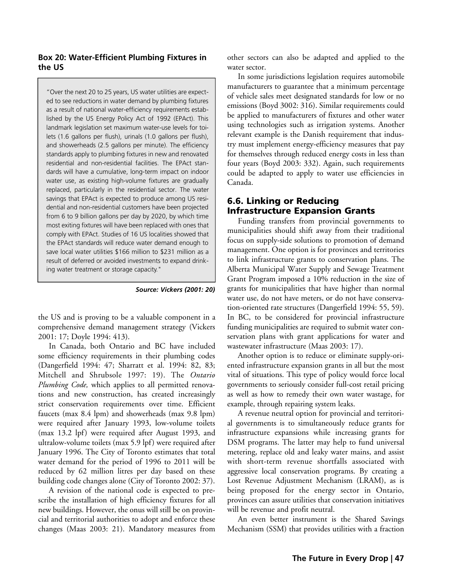#### **Box 20: Water-Efficient Plumbing Fixtures in the US**

"Over the next 20 to 25 years, US water utilities are expected to see reductions in water demand by plumbing fixtures as a result of national water-efficiency requirements established by the US Energy Policy Act of 1992 (EPAct). This landmark legislation set maximum water-use levels for toilets (1.6 gallons per flush), urinals (1.0 gallons per flush), and showerheads (2.5 gallons per minute). The efficiency standards apply to plumbing fixtures in new and renovated residential and non-residential facilities. The EPAct standards will have a cumulative, long-term impact on indoor water use, as existing high-volume fixtures are gradually replaced, particularly in the residential sector. The water savings that EPAct is expected to produce among US residential and non-residential customers have been projected from 6 to 9 billion gallons per day by 2020, by which time most exiting fixtures will have been replaced with ones that comply with EPAct. Studies of 16 US localities showed that the EPAct standards will reduce water demand enough to save local water utilities \$166 million to \$231 million as a result of deferred or avoided investments to expand drinking water treatment or storage capacity."

*Source: Vickers (2001: 20)*

the US and is proving to be a valuable component in a comprehensive demand management strategy (Vickers 2001: 17; Doyle 1994: 413).

In Canada, both Ontario and BC have included some efficiency requirements in their plumbing codes (Dangerfield 1994: 47; Sharratt et al. 1994: 82, 83; Mitchell and Shrubsole 1997: 19). The *Ontario Plumbing Code,* which applies to all permitted renovations and new construction, has created increasingly strict conservation requirements over time. Efficient faucets (max 8.4 lpm) and showerheads (max 9.8 lpm) were required after January 1993, low-volume toilets (max 13.2 lpf) were required after August 1993, and ultralow-volume toilets (max 5.9 lpf) were required after January 1996. The City of Toronto estimates that total water demand for the period of 1996 to 2011 will be reduced by 62 million litres per day based on these building code changes alone (City of Toronto 2002: 37).

A revision of the national code is expected to prescribe the installation of high efficiency fixtures for all new buildings. However, the onus will still be on provincial and territorial authorities to adopt and enforce these changes (Maas 2003: 21). Mandatory measures from

other sectors can also be adapted and applied to the water sector.

In some jurisdictions legislation requires automobile manufacturers to guarantee that a minimum percentage of vehicle sales meet designated standards for low or no emissions (Boyd 3002: 316). Similar requirements could be applied to manufacturers of fixtures and other water using technologies such as irrigation systems. Another relevant example is the Danish requirement that industry must implement energy-efficiency measures that pay for themselves through reduced energy costs in less than four years (Boyd 2003: 332). Again, such requirements could be adapted to apply to water use efficiencies in Canada.

# 6.6. Linking or Reducing Infrastructure Expansion Grants

Funding transfers from provincial governments to municipalities should shift away from their traditional focus on supply-side solutions to promotion of demand management. One option is for provinces and territories to link infrastructure grants to conservation plans. The Alberta Municipal Water Supply and Sewage Treatment Grant Program imposed a 10% reduction in the size of grants for municipalities that have higher than normal water use, do not have meters, or do not have conservation-oriented rate structures (Dangerfield 1994: 55, 59). In BC, to be considered for provincial infrastructure funding municipalities are required to submit water conservation plans with grant applications for water and wastewater infrastructure (Maas 2003: 17).

Another option is to reduce or eliminate supply-oriented infrastructure expansion grants in all but the most vital of situations. This type of policy would force local governments to seriously consider full-cost retail pricing as well as how to remedy their own water wastage, for example, through repairing system leaks.

A revenue neutral option for provincial and territorial governments is to simultaneously reduce grants for infrastructure expansions while increasing grants for DSM programs. The latter may help to fund universal metering, replace old and leaky water mains, and assist with short-term revenue shortfalls associated with aggressive local conservation programs. By creating a Lost Revenue Adjustment Mechanism (LRAM), as is being proposed for the energy sector in Ontario, provinces can assure utilities that conservation initiatives will be revenue and profit neutral.

An even better instrument is the Shared Savings Mechanism (SSM) that provides utilities with a fraction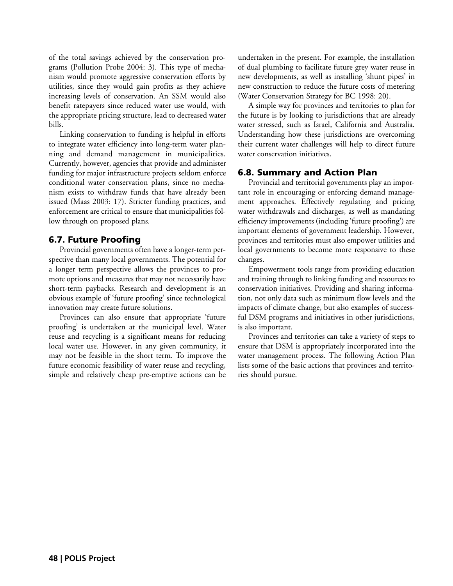of the total savings achieved by the conservation programs (Pollution Probe 2004: 3). This type of mechanism would promote aggressive conservation efforts by utilities, since they would gain profits as they achieve increasing levels of conservation. An SSM would also benefit ratepayers since reduced water use would, with the appropriate pricing structure, lead to decreased water bills.

Linking conservation to funding is helpful in efforts to integrate water efficiency into long-term water planning and demand management in municipalities. Currently, however, agencies that provide and administer funding for major infrastructure projects seldom enforce conditional water conservation plans, since no mechanism exists to withdraw funds that have already been issued (Maas 2003: 17). Stricter funding practices, and enforcement are critical to ensure that municipalities follow through on proposed plans.

# 6.7. Future Proofing

Provincial governments often have a longer-term perspective than many local governments. The potential for a longer term perspective allows the provinces to promote options and measures that may not necessarily have short-term paybacks. Research and development is an obvious example of 'future proofing' since technological innovation may create future solutions.

Provinces can also ensure that appropriate 'future proofing' is undertaken at the municipal level. Water reuse and recycling is a significant means for reducing local water use. However, in any given community, it may not be feasible in the short term. To improve the future economic feasibility of water reuse and recycling, simple and relatively cheap pre-emptive actions can be undertaken in the present. For example, the installation of dual plumbing to facilitate future grey water reuse in new developments, as well as installing 'shunt pipes' in new construction to reduce the future costs of metering (Water Conservation Strategy for BC 1998: 20).

A simple way for provinces and territories to plan for the future is by looking to jurisdictions that are already water stressed, such as Israel, California and Australia. Understanding how these jurisdictions are overcoming their current water challenges will help to direct future water conservation initiatives.

# 6.8. Summary and Action Plan

Provincial and territorial governments play an important role in encouraging or enforcing demand management approaches. Effectively regulating and pricing water withdrawals and discharges, as well as mandating efficiency improvements (including 'future proofing') are important elements of government leadership. However, provinces and territories must also empower utilities and local governments to become more responsive to these changes.

Empowerment tools range from providing education and training through to linking funding and resources to conservation initiatives. Providing and sharing information, not only data such as minimum flow levels and the impacts of climate change, but also examples of successful DSM programs and initiatives in other jurisdictions, is also important.

Provinces and territories can take a variety of steps to ensure that DSM is appropriately incorporated into the water management process. The following Action Plan lists some of the basic actions that provinces and territories should pursue.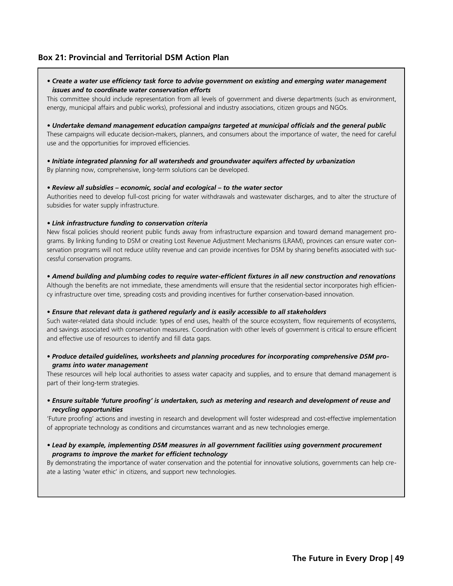## **Box 21: Provincial and Territorial DSM Action Plan**

*• Create a water use efficiency task force to advise government on existing and emerging water management issues and to coordinate water conservation efforts* 

This committee should include representation from all levels of government and diverse departments (such as environment, energy, municipal affairs and public works), professional and industry associations, citizen groups and NGOs.

*• Undertake demand management education campaigns targeted at municipal officials and the general public*  These campaigns will educate decision-makers, planners, and consumers about the importance of water, the need for careful use and the opportunities for improved efficiencies.

# *• Initiate integrated planning for all watersheds and groundwater aquifers affected by urbanization*

By planning now, comprehensive, long-term solutions can be developed.

#### *• Review all subsidies – economic, social and ecological – to the water sector*

Authorities need to develop full-cost pricing for water withdrawals and wastewater discharges, and to alter the structure of subsidies for water supply infrastructure.

#### *• Link infrastructure funding to conservation criteria*

New fiscal policies should reorient public funds away from infrastructure expansion and toward demand management programs. By linking funding to DSM or creating Lost Revenue Adjustment Mechanisms (LRAM), provinces can ensure water conservation programs will not reduce utility revenue and can provide incentives for DSM by sharing benefits associated with successful conservation programs.

#### *• Amend building and plumbing codes to require water-efficient fixtures in all new construction and renovations*

Although the benefits are not immediate, these amendments will ensure that the residential sector incorporates high efficiency infrastructure over time, spreading costs and providing incentives for further conservation-based innovation.

#### *• Ensure that relevant data is gathered regularly and is easily accessible to all stakeholders*

Such water-related data should include: types of end uses, health of the source ecosystem, flow requirements of ecosystems, and savings associated with conservation measures. Coordination with other levels of government is critical to ensure efficient and effective use of resources to identify and fill data gaps.

#### *• Produce detailed guidelines, worksheets and planning procedures for incorporating comprehensive DSM programs into water management*

These resources will help local authorities to assess water capacity and supplies, and to ensure that demand management is part of their long-term strategies.

*• Ensure suitable 'future proofing' is undertaken, such as metering and research and development of reuse and recycling opportunities*

'Future proofing' actions and investing in research and development will foster widespread and cost-effective implementation of appropriate technology as conditions and circumstances warrant and as new technologies emerge.

#### *• Lead by example, implementing DSM measures in all government facilities using government procurement programs to improve the market for efficient technology*

By demonstrating the importance of water conservation and the potential for innovative solutions, governments can help create a lasting 'water ethic' in citizens, and support new technologies.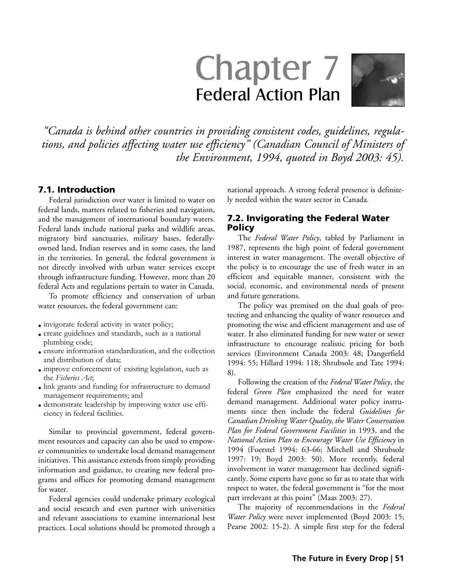# Chapter 7 Federal Action Plan



*"Canada is behind other countries in providing consistent codes, guidelines, regulations, and policies affecting water use efficiency" (Canadian Council of Ministers of the Environment, 1994, quoted in Boyd 2003: 45).*

## 7.1. Introduction

Federal jurisdiction over water is limited to water on federal lands, matters related to fisheries and navigation, and the management of international boundary waters. Federal lands include national parks and wildlife areas, migratory bird sanctuaries, military bases, federallyowned land, Indian reserves and in some cases, the land in the territories. In general, the federal government is not directly involved with urban water services except through infrastructure funding. However, more than 20 federal Acts and regulations pertain to water in Canada.

To promote efficiency and conservation of urban water resources, the federal government can:

- invigorate federal activity in water policy;
- create guidelines and standards, such as a national plumbing code;
- ensure information standardization, and the collection and distribution of data;
- improve enforcement of existing legislation, such as the *Fisheries Act*;
- link grants and funding for infrastructure to demand management requirements; and
- demonstrate leadership by improving water use efficiency in federal facilities.

Similar to provincial government, federal government resources and capacity can also be used to empower communities to undertake local demand management initiatives. This assistance extends from simply providing information and guidance, to creating new federal programs and offices for promoting demand management for water.

Federal agencies could undertake primary ecological and social research and even partner with universities and relevant associations to examine international best practices. Local solutions should be promoted through a national approach. A strong federal presence is definitely needed within the water sector in Canada.

## 7.2. Invigorating the Federal Water Policy

The *Federal Water Policy*, tabled by Parliament in 1987, represents the high point of federal government interest in water management. The overall objective of the policy is to encourage the use of fresh water in an efficient and equitable manner, consistent with the social, economic, and environmental needs of present and future generations.

The policy was premised on the dual goals of protecting and enhancing the quality of water resources and promoting the wise and efficient management and use of water. It also eliminated funding for new water or sewer infrastructure to encourage realistic pricing for both services (Environment Canada 2003: 48; Dangerfield 1994: 55; Hillard 1994: 118; Shrubsole and Tate 1994: 8).

Following the creation of the *Federal Water Policy*, the federal *Green Plan* emphasized the need for water demand management. Additional water policy instruments since then include the federal *Guidelines for Canadian Drinking Water Quality, the Water Conservation Plan for Federal Government Facilities* in 1993, and the *National Action Plan to Encourage Water Use Efficiency* in 1994 (Foerstel 1994: 63-66; Mitchell and Shrubsole 1997: 19; Boyd 2003: 50). More recently, federal involvement in water management has declined significantly. Some experts have gone so far as to state that with respect to water, the federal government is "for the most part irrelevant at this point" (Maas 2003: 27).

The majority of recommendations in the *Federal Water Policy* were never implemented (Boyd 2003: 15; Pearse 2002: 15-2). A simple first step for the federal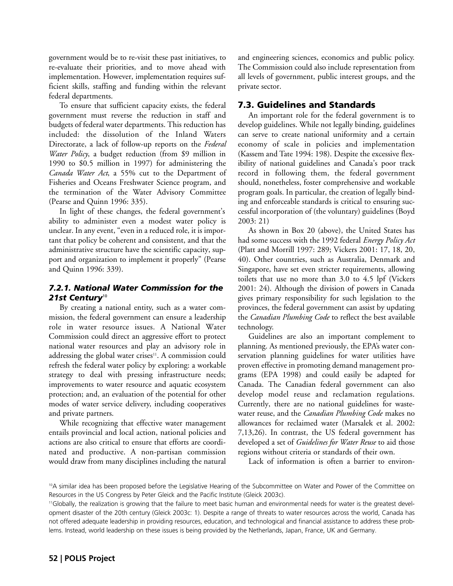government would be to re-visit these past initiatives, to re-evaluate their priorities, and to move ahead with implementation. However, implementation requires sufficient skills, staffing and funding within the relevant federal departments.

To ensure that sufficient capacity exists, the federal government must reverse the reduction in staff and budgets of federal water departments. This reduction has included: the dissolution of the Inland Waters Directorate, a lack of follow-up reports on the *Federal Water Policy*, a budget reduction (from \$9 million in 1990 to \$0.5 million in 1997) for administering the *Canada Water Act*, a 55% cut to the Department of Fisheries and Oceans Freshwater Science program, and the termination of the Water Advisory Committee (Pearse and Quinn 1996: 335).

In light of these changes, the federal government's ability to administer even a modest water policy is unclear. In any event, "even in a reduced role, it is important that policy be coherent and consistent, and that the administrative structure have the scientific capacity, support and organization to implement it properly" (Pearse and Quinn 1996: 339).

# *7.2.1. National Water Commission for the 21st Century*<sup>10</sup>

By creating a national entity, such as a water commission, the federal government can ensure a leadership role in water resource issues. A National Water Commission could direct an aggressive effort to protect national water resources and play an advisory role in addressing the global water crises<sup>11</sup>. A commission could refresh the federal water policy by exploring: a workable strategy to deal with pressing infrastructure needs; improvements to water resource and aquatic ecosystem protection; and, an evaluation of the potential for other modes of water service delivery, including cooperatives and private partners.

While recognizing that effective water management entails provincial and local action, national policies and actions are also critical to ensure that efforts are coordinated and productive. A non-partisan commission would draw from many disciplines including the natural and engineering sciences, economics and public policy. The Commission could also include representation from all levels of government, public interest groups, and the private sector.

# 7.3. Guidelines and Standards

An important role for the federal government is to develop guidelines. While not legally binding, guidelines can serve to create national uniformity and a certain economy of scale in policies and implementation (Kassem and Tate 1994: 198). Despite the excessive flexibility of national guidelines and Canada's poor track record in following them, the federal government should, nonetheless, foster comprehensive and workable program goals. In particular, the creation of legally binding and enforceable standards is critical to ensuring successful incorporation of (the voluntary) guidelines (Boyd 2003: 21)

As shown in Box 20 (above), the United States has had some success with the 1992 federal *Energy Policy Act* (Platt and Morrill 1997: 289; Vickers 2001: 17, 18, 20, 40). Other countries, such as Australia, Denmark and Singapore, have set even stricter requirements, allowing toilets that use no more than 3.0 to 4.5 lpf (Vickers 2001: 24). Although the division of powers in Canada gives primary responsibility for such legislation to the provinces, the federal government can assist by updating the *Canadian Plumbing Code* to reflect the best available technology.

Guidelines are also an important complement to planning. As mentioned previously, the EPA's water conservation planning guidelines for water utilities have proven effective in promoting demand management programs (EPA 1998) and could easily be adapted for Canada. The Canadian federal government can also develop model reuse and reclamation regulations. Currently, there are no national guidelines for wastewater reuse, and the *Canadian Plumbing Code* makes no allowances for reclaimed water (Marsalek et al. 2002: 7,13,26). In contrast, the US federal government has developed a set of *Guidelines for Water Reuse* to aid those regions without criteria or standards of their own.

Lack of information is often a barrier to environ-

<sup>10</sup>A similar idea has been proposed before the Legislative Hearing of the Subcommittee on Water and Power of the Committee on Resources in the US Congress by Peter Gleick and the Pacific Institute (Gleick 2003c).

<sup>11</sup>Globally, the realization is growing that the failure to meet basic human and environmental needs for water is the greatest development disaster of the 20th century (Gleick 2003c: 1). Despite a range of threats to water resources across the world, Canada has not offered adequate leadership in providing resources, education, and technological and financial assistance to address these problems. Instead, world leadership on these issues is being provided by the Netherlands, Japan, France, UK and Germany.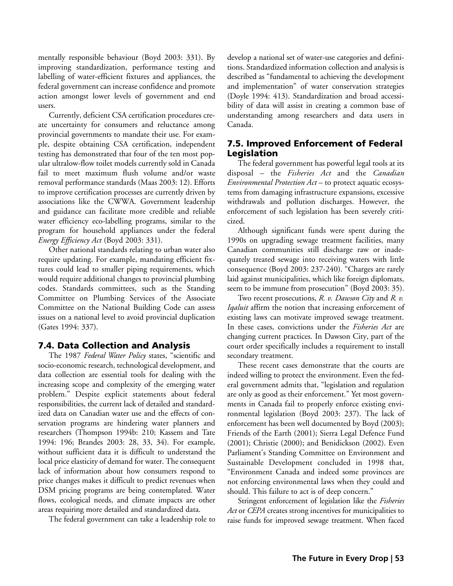mentally responsible behaviour (Boyd 2003: 331). By improving standardization, performance testing and labelling of water-efficient fixtures and appliances, the federal government can increase confidence and promote action amongst lower levels of government and end users.

Currently, deficient CSA certification procedures create uncertainty for consumers and reluctance among provincial governments to mandate their use. For example, despite obtaining CSA certification, independent testing has demonstrated that four of the ten most popular ultralow-flow toilet models currently sold in Canada fail to meet maximum flush volume and/or waste removal performance standards (Maas 2003: 12). Efforts to improve certification processes are currently driven by associations like the CWWA. Government leadership and guidance can facilitate more credible and reliable water efficiency eco-labelling programs, similar to the program for household appliances under the federal *Energy Efficiency Act* (Boyd 2003: 331).

Other national standards relating to urban water also require updating. For example, mandating efficient fixtures could lead to smaller piping requirements, which would require additional changes to provincial plumbing codes. Standards committees, such as the Standing Committee on Plumbing Services of the Associate Committee on the National Building Code can assess issues on a national level to avoid provincial duplication (Gates 1994: 337).

## 7.4. Data Collection and Analysis

The 1987 *Federal Water Policy* states, "scientific and socio-economic research, technological development, and data collection are essential tools for dealing with the increasing scope and complexity of the emerging water problem." Despite explicit statements about federal responsibilities, the current lack of detailed and standardized data on Canadian water use and the effects of conservation programs are hindering water planners and researchers (Thompson 1994b: 210; Kassem and Tate 1994: 196; Brandes 2003: 28, 33, 34). For example, without sufficient data it is difficult to understand the local price elasticity of demand for water. The consequent lack of information about how consumers respond to price changes makes it difficult to predict revenues when DSM pricing programs are being contemplated. Water flows, ecological needs, and climate impacts are other areas requiring more detailed and standardized data.

The federal government can take a leadership role to

develop a national set of water-use categories and definitions. Standardized information collection and analysis is described as "fundamental to achieving the development and implementation" of water conservation strategies (Doyle 1994: 413). Standardization and broad accessibility of data will assist in creating a common base of understanding among researchers and data users in Canada.

# 7.5. Improved Enforcement of Federal Legislation

The federal government has powerful legal tools at its disposal – the *Fisheries Act* and the *Canadian Environmental Protection Act* – to protect aquatic ecosystems from damaging infrastructure expansions, excessive withdrawals and pollution discharges. However, the enforcement of such legislation has been severely criticized.

Although significant funds were spent during the 1990s on upgrading sewage treatment facilities, many Canadian communities still discharge raw or inadequately treated sewage into receiving waters with little consequence (Boyd 2003: 237-240). "Charges are rarely laid against municipalities, which like foreign diplomats, seem to be immune from prosecution" (Boyd 2003: 35).

Two recent prosecutions, *R. v. Dawson City* and *R. v. Iqaluit* affirm the notion that increasing enforcement of existing laws can motivate improved sewage treatment. In these cases, convictions under the *Fisheries Act* are changing current practices. In Dawson City, part of the court order specifically includes a requirement to install secondary treatment.

These recent cases demonstrate that the courts are indeed willing to protect the environment. Even the federal government admits that, "legislation and regulation are only as good as their enforcement." Yet most governments in Canada fail to properly enforce existing environmental legislation (Boyd 2003: 237). The lack of enforcement has been well documented by Boyd (2003); Friends of the Earth (2001); Sierra Legal Defence Fund (2001); Christie (2000); and Benidickson (2002). Even Parliament's Standing Committee on Environment and Sustainable Development concluded in 1998 that, "Environment Canada and indeed some provinces are not enforcing environmental laws when they could and should. This failure to act is of deep concern."

Stringent enforcement of legislation like the *Fisheries Act* or *CEPA* creates strong incentives for municipalities to raise funds for improved sewage treatment. When faced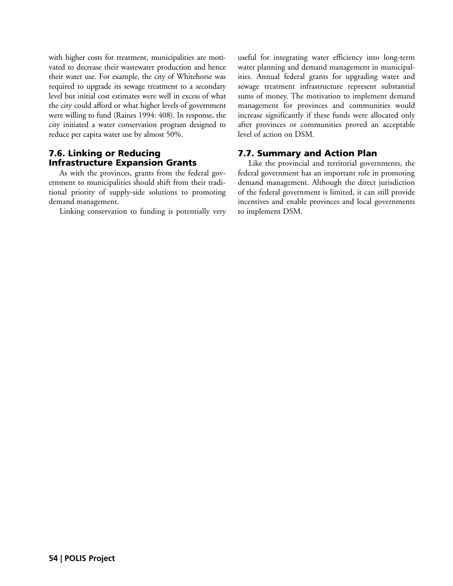with higher costs for treatment, municipalities are motivated to decrease their wastewater production and hence their water use. For example, the city of Whitehorse was required to upgrade its sewage treatment to a secondary level but initial cost estimates were well in excess of what the city could afford or what higher levels of government were willing to fund (Raines 1994: 408). In response, the city initiated a water conservation program designed to reduce per capita water use by almost 50%.

# 7.6. Linking or Reducing Infrastructure Expansion Grants

As with the provinces, grants from the federal government to municipalities should shift from their traditional priority of supply-side solutions to promoting demand management.

Linking conservation to funding is potentially very

useful for integrating water efficiency into long-term water planning and demand management in municipalities. Annual federal grants for upgrading water and sewage treatment infrastructure represent substantial sums of money. The motivation to implement demand management for provinces and communities would increase significantly if these funds were allocated only after provinces or communities proved an acceptable level of action on DSM.

# 7.7. Summary and Action Plan

Like the provincial and territorial governments, the federal government has an important role in promoting demand management. Although the direct jurisdiction of the federal government is limited, it can still provide incentives and enable provinces and local governments to implement DSM.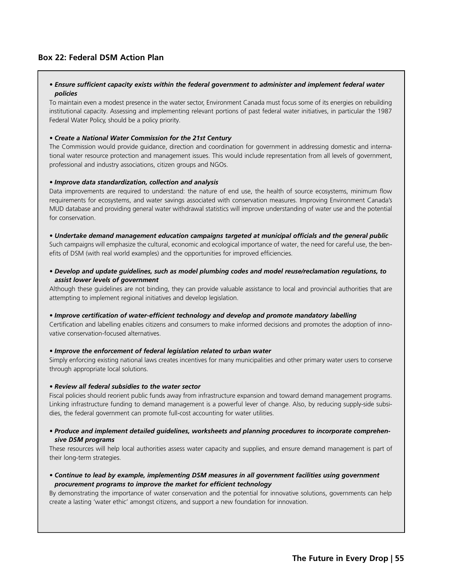## **Box 22: Federal DSM Action Plan**

#### *• Ensure sufficient capacity exists within the federal government to administer and implement federal water policies*

To maintain even a modest presence in the water sector, Environment Canada must focus some of its energies on rebuilding institutional capacity. Assessing and implementing relevant portions of past federal water initiatives, in particular the 1987 Federal Water Policy, should be a policy priority.

#### *• Create a National Water Commission for the 21st Century*

The Commission would provide guidance, direction and coordination for government in addressing domestic and international water resource protection and management issues. This would include representation from all levels of government, professional and industry associations, citizen groups and NGOs.

#### *• Improve data standardization, collection and analysis*

Data improvements are required to understand: the nature of end use, the health of source ecosystems, minimum flow requirements for ecosystems, and water savings associated with conservation measures. Improving Environment Canada's MUD database and providing general water withdrawal statistics will improve understanding of water use and the potential for conservation.

*• Undertake demand management education campaigns targeted at municipal officials and the general public* Such campaigns will emphasize the cultural, economic and ecological importance of water, the need for careful use, the benefits of DSM (with real world examples) and the opportunities for improved efficiencies.

*• Develop and update guidelines, such as model plumbing codes and model reuse/reclamation regulations, to assist lower levels of government*

Although these guidelines are not binding, they can provide valuable assistance to local and provincial authorities that are attempting to implement regional initiatives and develop legislation.

*• Improve certification of water-efficient technology and develop and promote mandatory labelling*

Certification and labelling enables citizens and consumers to make informed decisions and promotes the adoption of innovative conservation-focused alternatives.

#### *• Improve the enforcement of federal legislation related to urban water*

Simply enforcing existing national laws creates incentives for many municipalities and other primary water users to conserve through appropriate local solutions.

#### *• Review all federal subsidies to the water sector*

Fiscal policies should reorient public funds away from infrastructure expansion and toward demand management programs. Linking infrastructure funding to demand management is a powerful lever of change. Also, by reducing supply-side subsidies, the federal government can promote full-cost accounting for water utilities.

#### *• Produce and implement detailed guidelines, worksheets and planning procedures to incorporate comprehensive DSM programs*

These resources will help local authorities assess water capacity and supplies, and ensure demand management is part of their long-term strategies.

*• Continue to lead by example, implementing DSM measures in all government facilities using government procurement programs to improve the market for efficient technology*

By demonstrating the importance of water conservation and the potential for innovative solutions, governments can help create a lasting 'water ethic' amongst citizens, and support a new foundation for innovation.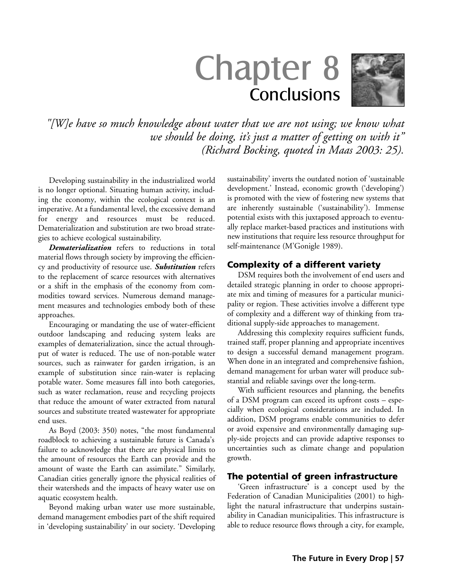# Chapter 8 **Conclusions**



*"[W]e have so much knowledge about water that we are not using; we know what we should be doing, it's just a matter of getting on with it" (Richard Bocking, quoted in Maas 2003: 25).*

Developing sustainability in the industrialized world is no longer optional. Situating human activity, including the economy, within the ecological context is an imperative. At a fundamental level, the excessive demand for energy and resources must be reduced. Dematerialization and substitution are two broad strategies to achieve ecological sustainability.

*Dematerialization* refers to reductions in total material flows through society by improving the efficiency and productivity of resource use. *Substitution* refers to the replacement of scarce resources with alternatives or a shift in the emphasis of the economy from commodities toward services. Numerous demand management measures and technologies embody both of these approaches.

Encouraging or mandating the use of water-efficient outdoor landscaping and reducing system leaks are examples of dematerialization, since the actual throughput of water is reduced. The use of non-potable water sources, such as rainwater for garden irrigation, is an example of substitution since rain-water is replacing potable water. Some measures fall into both categories, such as water reclamation, reuse and recycling projects that reduce the amount of water extracted from natural sources and substitute treated wastewater for appropriate end uses.

As Boyd (2003: 350) notes, "the most fundamental roadblock to achieving a sustainable future is Canada's failure to acknowledge that there are physical limits to the amount of resources the Earth can provide and the amount of waste the Earth can assimilate." Similarly, Canadian cities generally ignore the physical realities of their watersheds and the impacts of heavy water use on aquatic ecosystem health.

Beyond making urban water use more sustainable, demand management embodies part of the shift required in 'developing sustainability' in our society. 'Developing sustainability' inverts the outdated notion of 'sustainable development.' Instead, economic growth ('developing') is promoted with the view of fostering new systems that are inherently sustainable ('sustainability'). Immense potential exists with this juxtaposed approach to eventually replace market-based practices and institutions with new institutions that require less resource throughput for self-maintenance (M'Gonigle 1989).

## Complexity of a different variety

DSM requires both the involvement of end users and detailed strategic planning in order to choose appropriate mix and timing of measures for a particular municipality or region. These activities involve a different type of complexity and a different way of thinking from traditional supply-side approaches to management.

Addressing this complexity requires sufficient funds, trained staff, proper planning and appropriate incentives to design a successful demand management program. When done in an integrated and comprehensive fashion, demand management for urban water will produce substantial and reliable savings over the long-term.

With sufficient resources and planning, the benefits of a DSM program can exceed its upfront costs – especially when ecological considerations are included. In addition, DSM programs enable communities to defer or avoid expensive and environmentally damaging supply-side projects and can provide adaptive responses to uncertainties such as climate change and population growth.

## The potential of green infrastructure

'Green infrastructure' is a concept used by the Federation of Canadian Municipalities (2001) to highlight the natural infrastructure that underpins sustainability in Canadian municipalities. This infrastructure is able to reduce resource flows through a city, for example,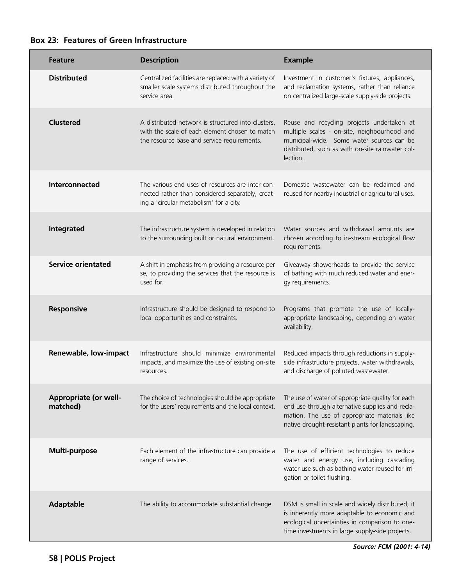| <b>Feature</b>                    | <b>Description</b>                                                                                                                                  | <b>Example</b>                                                                                                                                                                                           |
|-----------------------------------|-----------------------------------------------------------------------------------------------------------------------------------------------------|----------------------------------------------------------------------------------------------------------------------------------------------------------------------------------------------------------|
| <b>Distributed</b>                | Centralized facilities are replaced with a variety of<br>smaller scale systems distributed throughout the<br>service area.                          | Investment in customer's fixtures, appliances,<br>and reclamation systems, rather than reliance<br>on centralized large-scale supply-side projects.                                                      |
| <b>Clustered</b>                  | A distributed network is structured into clusters,<br>with the scale of each element chosen to match<br>the resource base and service requirements. | Reuse and recycling projects undertaken at<br>multiple scales - on-site, neighbourhood and<br>municipal-wide. Some water sources can be<br>distributed, such as with on-site rainwater col-<br>lection.  |
| Interconnected                    | The various end uses of resources are inter-con-<br>nected rather than considered separately, creat-<br>ing a 'circular metabolism' for a city.     | Domestic wastewater can be reclaimed and<br>reused for nearby industrial or agricultural uses.                                                                                                           |
| Integrated                        | The infrastructure system is developed in relation<br>to the surrounding built or natural environment.                                              | Water sources and withdrawal amounts are<br>chosen according to in-stream ecological flow<br>requirements.                                                                                               |
| <b>Service orientated</b>         | A shift in emphasis from providing a resource per<br>se, to providing the services that the resource is<br>used for.                                | Giveaway showerheads to provide the service<br>of bathing with much reduced water and ener-<br>gy requirements.                                                                                          |
| Responsive                        | Infrastructure should be designed to respond to<br>local opportunities and constraints.                                                             | Programs that promote the use of locally-<br>appropriate landscaping, depending on water<br>availability.                                                                                                |
| Renewable, low-impact             | Infrastructure should minimize environmental<br>impacts, and maximize the use of existing on-site<br>resources.                                     | Reduced impacts through reductions in supply-<br>side infrastructure projects, water withdrawals,<br>and discharge of polluted wastewater.                                                               |
| Appropriate (or well-<br>matched) | The choice of technologies should be appropriate<br>for the users' requirements and the local context.                                              | The use of water of appropriate quality for each<br>end use through alternative supplies and recla-<br>mation. The use of appropriate materials like<br>native drought-resistant plants for landscaping. |
| Multi-purpose                     | Each element of the infrastructure can provide a<br>range of services.                                                                              | The use of efficient technologies to reduce<br>water and energy use, including cascading<br>water use such as bathing water reused for irri-<br>gation or toilet flushing.                               |
| <b>Adaptable</b>                  | The ability to accommodate substantial change.                                                                                                      | DSM is small in scale and widely distributed; it<br>is inherently more adaptable to economic and<br>ecological uncertainties in comparison to one-<br>time investments in large supply-side projects.    |

**Box 23: Features of Green Infrastructure**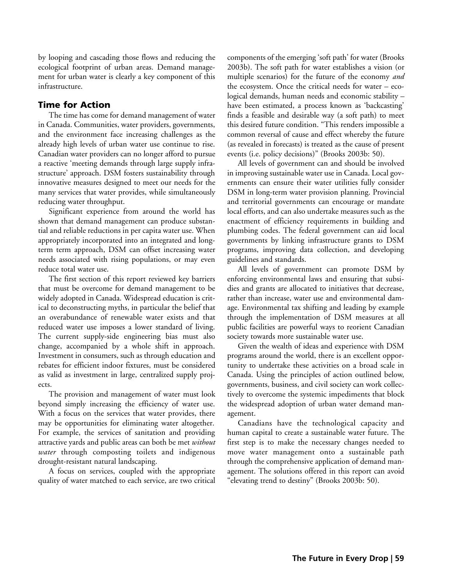by looping and cascading those flows and reducing the ecological footprint of urban areas. Demand management for urban water is clearly a key component of this infrastructure.

# Time for Action

The time has come for demand management of water in Canada. Communities, water providers, governments, and the environment face increasing challenges as the already high levels of urban water use continue to rise. Canadian water providers can no longer afford to pursue a reactive 'meeting demands through large supply infrastructure' approach. DSM fosters sustainability through innovative measures designed to meet our needs for the many services that water provides, while simultaneously reducing water throughput.

Significant experience from around the world has shown that demand management can produce substantial and reliable reductions in per capita water use. When appropriately incorporated into an integrated and longterm term approach, DSM can offset increasing water needs associated with rising populations, or may even reduce total water use.

The first section of this report reviewed key barriers that must be overcome for demand management to be widely adopted in Canada. Widespread education is critical to deconstructing myths, in particular the belief that an overabundance of renewable water exists and that reduced water use imposes a lower standard of living. The current supply-side engineering bias must also change, accompanied by a whole shift in approach. Investment in consumers, such as through education and rebates for efficient indoor fixtures, must be considered as valid as investment in large, centralized supply projects.

The provision and management of water must look beyond simply increasing the efficiency of water use. With a focus on the services that water provides, there may be opportunities for eliminating water altogether. For example, the services of sanitation and providing attractive yards and public areas can both be met *without water* through composting toilets and indigenous drought-resistant natural landscaping.

A focus on services, coupled with the appropriate quality of water matched to each service, are two critical components of the emerging 'soft path' for water (Brooks 2003b). The soft path for water establishes a vision (or multiple scenarios) for the future of the economy *and* the ecosystem. Once the critical needs for water – ecological demands, human needs and economic stability – have been estimated, a process known as 'backcasting' finds a feasible and desirable way (a soft path) to meet this desired future condition. "This renders impossible a common reversal of cause and effect whereby the future (as revealed in forecasts) is treated as the cause of present events (i.e. policy decisions)" (Brooks 2003b: 50).

All levels of government can and should be involved in improving sustainable water use in Canada. Local governments can ensure their water utilities fully consider DSM in long-term water provision planning. Provincial and territorial governments can encourage or mandate local efforts, and can also undertake measures such as the enactment of efficiency requirements in building and plumbing codes. The federal government can aid local governments by linking infrastructure grants to DSM programs, improving data collection, and developing guidelines and standards.

All levels of government can promote DSM by enforcing environmental laws and ensuring that subsidies and grants are allocated to initiatives that decrease, rather than increase, water use and environmental damage. Environmental tax shifting and leading by example through the implementation of DSM measures at all public facilities are powerful ways to reorient Canadian society towards more sustainable water use.

Given the wealth of ideas and experience with DSM programs around the world, there is an excellent opportunity to undertake these activities on a broad scale in Canada. Using the principles of action outlined below, governments, business, and civil society can work collectively to overcome the systemic impediments that block the widespread adoption of urban water demand management.

Canadians have the technological capacity and human capital to create a sustainable water future. The first step is to make the necessary changes needed to move water management onto a sustainable path through the comprehensive application of demand management. The solutions offered in this report can avoid "elevating trend to destiny" (Brooks 2003b: 50).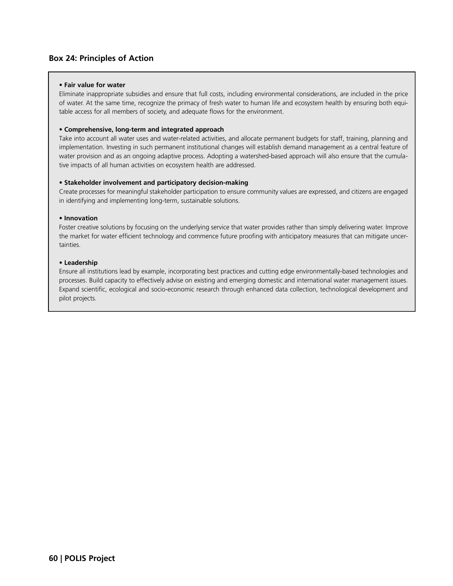## **Box 24: Principles of Action**

#### **• Fair value for water**

Eliminate inappropriate subsidies and ensure that full costs, including environmental considerations, are included in the price of water. At the same time, recognize the primacy of fresh water to human life and ecosystem health by ensuring both equitable access for all members of society, and adequate flows for the environment.

#### **• Comprehensive, long-term and integrated approach**

Take into account all water uses and water-related activities, and allocate permanent budgets for staff, training, planning and implementation. Investing in such permanent institutional changes will establish demand management as a central feature of water provision and as an ongoing adaptive process. Adopting a watershed-based approach will also ensure that the cumulative impacts of all human activities on ecosystem health are addressed.

#### **• Stakeholder involvement and participatory decision-making**

Create processes for meaningful stakeholder participation to ensure community values are expressed, and citizens are engaged in identifying and implementing long-term, sustainable solutions.

#### **• Innovation**

Foster creative solutions by focusing on the underlying service that water provides rather than simply delivering water. Improve the market for water efficient technology and commence future proofing with anticipatory measures that can mitigate uncertainties.

#### **• Leadership**

Ensure all institutions lead by example, incorporating best practices and cutting edge environmentally-based technologies and processes. Build capacity to effectively advise on existing and emerging domestic and international water management issues. Expand scientific, ecological and socio-economic research through enhanced data collection, technological development and pilot projects.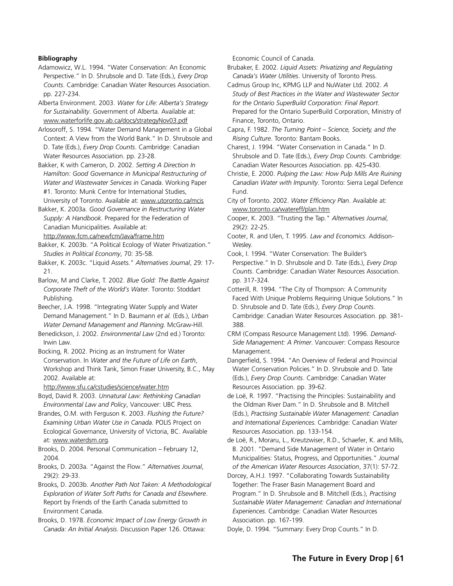#### **Bibliography**

- Adamowicz, W.L. 1994. "Water Conservation: An Economic Perspective." In D. Shrubsole and D. Tate (Eds.), *Every Drop Counts*. Cambridge: Canadian Water Resources Association. pp. 227-234.
- Alberta Environment. 2003. *Water for Life: Alberta's Strategy for Sustainability*. Government of Alberta. Available at: www.waterforlife.gov.ab.ca/docs/strategyNov03.pdf
- Arlosoroff, S. 1994. "Water Demand Management in a Global Context: A View from the World Bank." In D. Shrubsole and D. Tate (Eds.), *Every Drop Counts*. Cambridge: Canadian Water Resources Association. pp. 23-28.
- Bakker, K with Cameron, D. 2002. *Setting A Direction In Hamilton: Good Governance in Municipal Restructuring of Water and Wastewater Services in Canada*. Working Paper #1. Toronto: Munk Centre for International Studies,

University of Toronto. Available at: www.utoronto.ca/mcis Bakker, K. 2003a. *Good Governance in Restructuring Water Supply: A Handbook*. Prepared for the Federation of Canadian Municipalities. Available at: http://www.fcm.ca/newfcm/Java/frame.htm

- Bakker, K. 2003b. "A Political Ecology of Water Privatization." *Studies in Political Economy*, 70: 35-58.
- Bakker, K. 2003c. "Liquid Assets." *Alternatives Journal*, 29: 17- 21.

Barlow, M and Clarke, T. 2002. *Blue Gold: The Battle Against Corporate Theft of the World's Water*. Toronto: Stoddart Publishing.

Beecher, J.A. 1998. "Integrating Water Supply and Water Demand Management." In D. Baumann *et al.* (Eds.), *Urban Water Demand Management and Planning*. McGraw-Hill.

- Benedickson, J. 2002. *Environmental Law* (2nd ed.) Toronto: Irwin Law.
- Bocking, R. 2002. Pricing as an Instrument for Water Conservation. In *Water and the Future of Life on Earth*, Workshop and Think Tank, Simon Fraser University, B.C., May 2002. Available at:

http://www.sfu.ca/cstudies/science/water.htm

Boyd, David R. 2003. *Unnatural Law: Rethinking Canadian Environmental Law and Policy*, Vancouver: UBC Press.

- Brandes, O.M. with Ferguson K. 2003. *Flushing the Future? Examining Urban Water Use in Canada.* POLIS Project on Ecological Governance, University of Victoria, BC. Available at: www.waterdsm.org.
- Brooks, D. 2004. Personal Communication February 12, 2004.
- Brooks, D. 2003a. "Against the Flow." *Alternatives Journal*, 29(2): 29-33.
- Brooks, D. 2003b. *Another Path Not Taken: A Methodological Exploration of Water Soft Paths for Canada and Elsewhere*. Report by Friends of the Earth Canada submitted to Environment Canada.

Brooks, D. 1978. *Economic Impact of Low Energy Growth in Canada: An Initial Analysis*. Discussion Paper 126. Ottawa:

Economic Council of Canada.

Brubaker, E. 2002. *Liquid Assets: Privatizing and Regulating Canada's Water Utilities*. University of Toronto Press.

- Cadmus Group Inc, KPMG LLP and NuWater Ltd. 2002. *A Study of Best Practices in the Water and Wastewater Sector for the Ontario SuperBuild Corporation: Final Report*. Prepared for the Ontario SuperBuild Corporation, Ministry of Finance, Toronto, Ontario.
- Capra, F. 1982. *The Turning Point Science, Society, and the Rising Culture*. Toronto: Bantam Books.
- Charest, J. 1994. "Water Conservation in Canada." In D. Shrubsole and D. Tate (Eds.), *Every Drop Counts*. Cambridge: Canadian Water Resources Association. pp. 425-430.
- Christie, E. 2000. *Pulping the Law: How Pulp Mills Are Ruining Canadian Water with Impunity*. Toronto: Sierra Legal Defence Fund.
- City of Toronto. 2002. *Water Efficiency Plan*. Available at: www.toronto.ca/watereff/plan.htm
- Cooper, K. 2003. "Trusting the Tap." *Alternatives Journal*, 29(2): 22-25.
- Cooter, R. and Ulen, T. 1995. *Law and Economics*. Addison-Wesley.

Cook, I. 1994. "Water Conservation: The Builder's Perspective." In D. Shrubsole and D. Tate (Eds.), *Every Drop Counts*. Cambridge: Canadian Water Resources Association. pp. 317-324.

- Cotterill, R. 1994. "The City of Thompson: A Community Faced With Unique Problems Requiring Unique Solutions." In D. Shrubsole and D. Tate (Eds.), *Every Drop Counts*. Cambridge: Canadian Water Resources Association. pp. 381- 388.
- CRM (Compass Resource Management Ltd). 1996. *Demand-Side Management: A Primer*. Vancouver: Compass Resource Management.

Dangerfield, S. 1994. "An Overview of Federal and Provincial Water Conservation Policies." In D. Shrubsole and D. Tate (Eds.), *Every Drop Counts*. Cambridge: Canadian Water Resources Association. pp. 39-62.

- de Loë, R. 1997. "Practising the Principles: Sustainability and the Oldman River Dam." In D. Shrubsole and B. Mitchell (Eds.), *Practising Sustainable Water Management: Canadian and International Experiences*. Cambridge: Canadian Water Resources Association. pp. 133-154.
- de Loë, R., Moraru, L., Kreutzwiser, R.D., Schaefer, K. and Mills, B. 2001. "Demand Side Management of Water in Ontario Municipalities: Status, Progress, and Opportunities." *Journal of the American Water Resources Association*, 37(1): 57-72.
- Dorcey, A.H.J. 1997. "Collaborating Towards Sustainability Together: The Fraser Basin Management Board and Program." In D. Shrubsole and B. Mitchell (Eds.), *Practising Sustainable Water Management: Canadian and International Experiences*. Cambridge: Canadian Water Resources Association. pp. 167-199.
- Doyle, D. 1994. "Summary: Every Drop Counts." In D.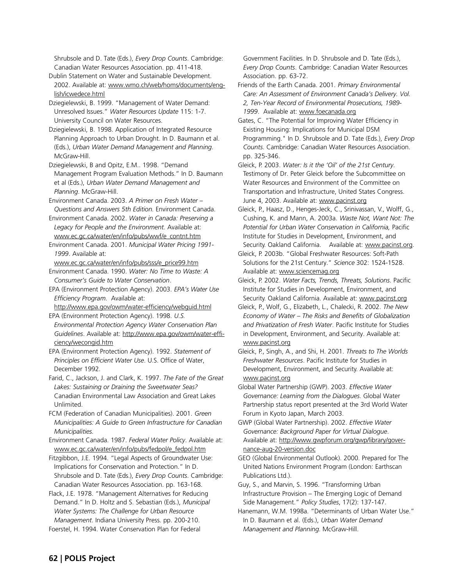Shrubsole and D. Tate (Eds.), *Every Drop Counts*. Cambridge: Canadian Water Resources Association. pp. 411-418.

Dublin Statement on Water and Sustainable Development. 2002. Available at: www.wmo.ch/web/homs/documents/english/icwedece.html

Dziegielewski, B. 1999. "Management of Water Demand: Unresolved Issues." *Water Resources Update* 115: 1-7. University Council on Water Resources.

Dziegielewski, B. 1998. Application of Integrated Resource Planning Approach to Urban Drought. In D. Baumann et al. (Eds.), *Urban Water Demand Management and Planning*. McGraw-Hill.

Dziegielewski, B and Opitz, E.M.. 1998. "Demand Management Program Evaluation Methods." In D. Baumann et al (Eds.), *Urban Water Demand Management and Planning*. McGraw-Hill.

Environment Canada. 2003. *A Primer on Fresh Water – Questions and Answers 5th Edition*. Environment Canada.

Environment Canada. 2002. *Water in Canada: Preserving a Legacy for People and the Environment.* Available at: www.ec.gc.ca/water/en/info/pubs/wwf/e\_contnt.htm

Environment Canada. 2001. *Municipal Water Pricing 1991- 1999*. Available at:

www.ec.gc.ca/water/en/info/pubs/sss/e\_price99.htm

Environment Canada. 1990. *Water: No Time to Waste: A Consumer's Guide to Water Conservation*.

EPA (Environment Protection Agency). 2003. *EPA's Water Use Efficiency Program*. Available at:

http://www.epa.gov/owm/water-efficiency/webguid.html EPA (Environment Protection Agency). 1998. *U.S.*

*Environmental Protection Agency Water Conservation Plan Guidelines*. Available at: http://www.epa.gov/owm/water-efficiency/wecongid.htm

EPA (Environment Protection Agency). 1992. *Statement of Principles on Efficient Water Use*. U.S. Office of Water, December 1992.

Farid, C., Jackson, J. and Clark, K. 1997. *The Fate of the Great Lakes: Sustaining or Draining the Sweetwater Seas?* Canadian Environmental Law Association and Great Lakes Unlimited.

FCM (Federation of Canadian Municipalities). 2001. *Green Municipalities: A Guide to Green Infrastructure for Canadian Municipalities.*

Environment Canada. 1987. *Federal Water Policy*. Available at: www.ec.gc.ca/water/en/info/pubs/fedpol/e\_fedpol.htm

Fitzgibbon, J.E. 1994. "Legal Aspects of Groundwater Use: Implications for Conservation and Protection." In D. Shrubsole and D. Tate (Eds.), *Every Drop Counts*. Cambridge: Canadian Water Resources Association. pp. 163-168.

Flack, J.E. 1978. "Management Alternatives for Reducing Demand." In D. Holtz and S. Sebastian (Eds.), *Municipal Water Systems: The Challenge for Urban Resource Management*. Indiana University Press. pp. 200-210. Foerstel, H. 1994. Water Conservation Plan for Federal

Government Facilities. In D. Shrubsole and D. Tate (Eds.), *Every Drop Counts*. Cambridge: Canadian Water Resources Association. pp. 63-72.

Friends of the Earth Canada. 2001. *Primary Environmental Care: An Assessment of Environment Canada's Delivery. Vol. 2, Ten-Year Record of Environmental Prosecutions, 1989- 1999*. Available at: www.foecanada.org

Gates, C. "The Potential for Improving Water Efficiency in Existing Housing: Implications for Municipal DSM Programming." In D. Shrubsole and D. Tate (Eds.), *Every Drop Counts*. Cambridge: Canadian Water Resources Association. pp. 325-346.

Gleick, P. 2003. *Water: Is it the 'Oil' of the 21st Century*. Testimony of Dr. Peter Gleick before the Subcommittee on Water Resources and Environment of the Committee on Transportation and Infrastructure, United States Congress. June 4, 2003. Available at: www.pacinst.org

Gleick, P., Haasz, D., Henges-Jeck, C., Srinivassan, V., Wolff, G., Cushing, K. and Mann, A. 2003a. *Waste Not, Want Not: The Potential for Urban Water Conservation in California,* Pacific Institute for Studies in Development, Environment, and Security. Oakland California. Available at: www.pacinst.org.

Gleick, P. 2003b. "Global Freshwater Resources: Soft-Path Solutions for the 21st Century." *Science* 302: 1524-1528. Available at: www.sciencemag.org

Gleick, P. 2002. *Water Facts, Trends, Threats, Solutions*. Pacific Institute for Studies in Development, Environment, and Security. Oakland California. Available at: www.pacinst.org

Gleick, P., Wolf, G., Elizabeth, L., Chalecki, R. 2002. *The New Economy of Water – The Risks and Benefits of Globalization and Privatization of Fresh Water*. Pacific Institute for Studies in Development, Environment, and Security. Available at: www.pacinst.org

Gleick, P., Singh, A., and Shi, H. 2001. *Threats to The Worlds Freshwater Resources*. Pacific Institute for Studies in Development, Environment, and Security. Available at: www.pacinst.org

Global Water Partnership (GWP). 2003. *Effective Water Governance: Learning from the Dialogues*. Global Water Partnership status report presented at the 3rd World Water Forum in Kyoto Japan, March 2003.

GWP (Global Water Partnership). 2002. *Effective Water Governance: Background Paper for Virtual Dialogue*. Available at: http://www.gwpforum.org/gwp/library/governance-aug-20-version.doc

GEO (Global Environmental Outlook). 2000. Prepared for The United Nations Environment Program (London: Earthscan Publications Ltd.).

Guy, S., and Marvin, S. 1996. "Transforming Urban Infrastructure Provision – The Emerging Logic of Demand Side Management." *Policy Studies*, 17(2): 137-147.

Hanemann, W.M. 1998a. "Determinants of Urban Water Use." In D. Baumann et al. (Eds.), *Urban Water Demand Management and Planning*. McGraw-Hill.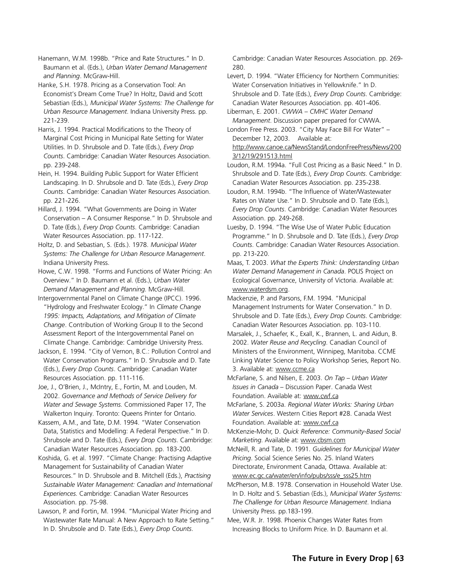Hanemann, W.M. 1998b. "Price and Rate Structures." In D. Baumann et al. (Eds.), *Urban Water Demand Management and Planning*. McGraw-Hill.

Hanke, S.H. 1978. Pricing as a Conservation Tool: An Economist's Dream Come True? In Holtz, David and Scott Sebastian (Eds.), *Municipal Water Systems: The Challenge for Urban Resource Management*. Indiana University Press. pp. 221-239.

Harris, J. 1994. Practical Modifications to the Theory of Marginal Cost Pricing in Municipal Rate Setting for Water Utilities. In D. Shrubsole and D. Tate (Eds.), *Every Drop Counts*. Cambridge: Canadian Water Resources Association. pp. 239-248.

Hein, H. 1994. Building Public Support for Water Efficient Landscaping. In D. Shrubsole and D. Tate (Eds.), *Every Drop Counts*. Cambridge: Canadian Water Resources Association. pp. 221-226.

Hillard, J. 1994. "What Governments are Doing in Water Conservation – A Consumer Response." In D. Shrubsole and D. Tate (Eds.), *Every Drop Counts*. Cambridge: Canadian Water Resources Association. pp. 117-122.

Holtz, D. and Sebastian, S. (Eds.). 1978. *Municipal Water Systems: The Challenge for Urban Resource Management*. Indiana University Press.

Howe, C.W. 1998. "Forms and Functions of Water Pricing: An Overview." In D. Baumann et al. (Eds.), *Urban Water Demand Management and Planning*. McGraw-Hill.

Intergovernmental Panel on Climate Change (IPCC). 1996. "Hydrology and Freshwater Ecology." In *Climate Change 1995: Impacts, Adaptations, and Mitigation of Climate Change*. Contribution of Working Group II to the Second Assessment Report of the Intergovernmental Panel on Climate Change. Cambridge: Cambridge University Press.

Jackson, E. 1994. "City of Vernon, B.C.: Pollution Control and Water Conservation Programs." In D. Shrubsole and D. Tate (Eds.), *Every Drop Counts*. Cambridge: Canadian Water Resources Association. pp. 111-116.

Joe, J., O'Brien, J., McIntry, E., Fortin, M. and Louden, M. 2002. *Governance and Methods of Service Delivery for Water and Sewage Systems*. Commissioned Paper 17, The Walkerton Inquiry. Toronto: Queens Printer for Ontario.

Kassem, A.M., and Tate, D.M. 1994. "Water Conservation Data, Statistics and Modelling: A Federal Perspective." In D. Shrubsole and D. Tate (Eds.), *Every Drop Counts*. Cambridge: Canadian Water Resources Association. pp. 183-200.

Koshida, G. et al. 1997. "Climate Change: Practising Adaptive Management for Sustainability of Canadian Water Resources." In D. Shrubsole and B. Mitchell (Eds.), *Practising Sustainable Water Management: Canadian and International Experiences*. Cambridge: Canadian Water Resources Association. pp. 75-98.

Lawson, P. and Fortin, M. 1994. "Municipal Water Pricing and Wastewater Rate Manual: A New Approach to Rate Setting." In D. Shrubsole and D. Tate (Eds.), *Every Drop Counts*.

Cambridge: Canadian Water Resources Association. pp. 269- 280.

Levert, D. 1994. "Water Efficiency for Northern Communities: Water Conservation Initiatives in Yellowknife." In D. Shrubsole and D. Tate (Eds.), *Every Drop Counts*. Cambridge: Canadian Water Resources Association. pp. 401-406.

Liberman, E. 2001. *CWWA – CMHC Water Demand Management*. Discussion paper prepared for CWWA.

London Free Press. 2003. "City May Face Bill For Water" – December 12, 2003. Available at:

http://www.canoe.ca/NewsStand/LondonFreePress/News/200 3/12/19/291513.html

Loudon, R.M. 1994a. "Full Cost Pricing as a Basic Need." In D. Shrubsole and D. Tate (Eds.), *Every Drop Counts*. Cambridge: Canadian Water Resources Association. pp. 235-238.

Loudon, R.M. 1994b. "The Influence of Water/Wastewater Rates on Water Use." In D. Shrubsole and D. Tate (Eds.), *Every Drop Counts*. Cambridge: Canadian Water Resources Association. pp. 249-268.

Luesby, D. 1994. "The Wise Use of Water Public Education Programme." In D. Shrubsole and D. Tate (Eds.), *Every Drop Counts*. Cambridge: Canadian Water Resources Association. pp. 213-220.

Maas, T. 2003. *What the Experts Think: Understanding Urban Water Demand Management in Canada*. POLIS Project on Ecological Governance, University of Victoria. Available at: www.waterdsm.org.

Mackenzie, P. and Parsons, F.M. 1994. "Municipal Management Instruments for Water Conservation." In D. Shrubsole and D. Tate (Eds.), *Every Drop Counts*. Cambridge: Canadian Water Resources Association. pp. 103-110.

Marsalek, J., Schaefer, K., Exall, K., Brannen, L. and Aidun, B. 2002. *Water Reuse and Recycling*. Canadian Council of Ministers of the Environment, Winnipeg, Manitoba. CCME Linking Water Science to Policy Workshop Series, Report No. 3. Available at: www.ccme.ca

McFarlane, S. and Nilsen, E. 2003. *On Tap – Urban Water Issues in Canada* – Discussion Paper. Canada West Foundation. Available at: www.cwf.ca

McFarlane, S. 2003a. *Regional Water Works: Sharing Urban Water Services*. Western Cities Report #28. Canada West Foundation. Available at: www.cwf.ca

McKenzie-Mohr, D. *Quick Reference: Community-Based Social Marketing*. Available at: www.cbsm.com

McNeill, R. and Tate, D. 1991. *Guidelines for Municipal Water Pricing*. Social Science Series No. 25. Inland Waters Directorate, Environment Canada, Ottawa. Available at: www.ec.gc.ca/water/en/info/pubs/sss/e\_sss25.htm

McPherson, M.B. 1978. Conservation in Household Water Use. In D. Holtz and S. Sebastian (Eds.), *Municipal Water Systems: The Challenge for Urban Resource Management*. Indiana University Press. pp.183-199.

Mee, W.R. Jr. 1998. Phoenix Changes Water Rates from Increasing Blocks to Uniform Price. In D. Baumann et al.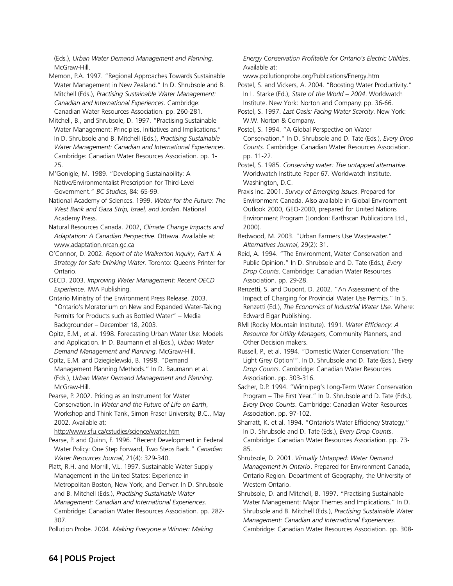(Eds.), *Urban Water Demand Management and Planning*. McGraw-Hill

Memon, P.A. 1997. "Regional Approaches Towards Sustainable Water Management in New Zealand." In D. Shrubsole and B. Mitchell (Eds.), *Practising Sustainable Water Management: Canadian and International Experiences*. Cambridge: Canadian Water Resources Association. pp. 260-281.

Mitchell, B., and Shrubsole, D. 1997. "Practising Sustainable Water Management: Principles, Initiatives and Implications." In D. Shrubsole and B. Mitchell (Eds.), *Practising Sustainable Water Management: Canadian and International Experiences*. Cambridge: Canadian Water Resources Association. pp. 1- 25.

M'Gonigle, M. 1989. "Developing Sustainability: A Native/Environmentalist Prescription for Third-Level Government." *BC Studies*, 84: 65-99.

National Academy of Sciences. 1999. *Water for the Future: The West Bank and Gaza Strip, Israel, and Jordan*. National Academy Press.

Natural Resources Canada. 2002, *Climate Change Impacts and Adaptation: A Canadian Perspective*. Ottawa. Available at: www.adaptation.nrcan.gc.ca

O'Connor, D. 2002. *Report of the Walkerton Inquiry, Part II. A Strategy for Safe Drinking Water*. Toronto: Queen's Printer for Ontario.

OECD. 2003. *Improving Water Management: Recent OECD Experience*. IWA Publishing.

Ontario Ministry of the Environment Press Release. 2003. "Ontario's Moratorium on New and Expanded Water-Taking Permits for Products such as Bottled Water" – Media Backgrounder – December 18, 2003.

Opitz, E.M., et al. 1998. Forecasting Urban Water Use: Models and Application. In D. Baumann et al (Eds.), *Urban Water Demand Management and Planning*. McGraw-Hill.

Opitz, E.M. and Dziegielewski, B. 1998. "Demand Management Planning Methods." In D. Baumann et al. (Eds.), *Urban Water Demand Management and Planning*. McGraw-Hill.

Pearse, P. 2002. Pricing as an Instrument for Water Conservation. In *Water and the Future of Life on Earth*, Workshop and Think Tank, Simon Fraser University, B.C., May 2002. Available at:

http://www.sfu.ca/cstudies/science/water.htm

Pearse, P. and Quinn, F. 1996. "Recent Development in Federal Water Policy: One Step Forward, Two Steps Back." *Canadian Water Resources Journal*, 21(4): 329-340.

Platt, R.H. and Morrill, V.L. 1997. Sustainable Water Supply Management in the United States: Experience in Metropolitan Boston, New York, and Denver. In D. Shrubsole and B. Mitchell (Eds.), *Practising Sustainable Water Management: Canadian and International Experiences*. Cambridge: Canadian Water Resources Association. pp. 282- 307.

Pollution Probe. 2004. *Making Everyone a Winner: Making*

## *Energy Conservation Profitable for Ontario's Electric Utilities*. Available at:

## www.pollutionprobe.org/Publications/Energy.htm

Postel, S. and Vickers, A. 2004. "Boosting Water Productivity." In L. Starke (Ed.), *State of the World – 2004*. Worldwatch Institute. New York: Norton and Company. pp. 36-66.

Postel, S. 1997. *Last Oasis: Facing Water Scarcity*. New York: W.W. Norton & Company.

Postel, S. 1994. "A Global Perspective on Water Conservation." In D. Shrubsole and D. Tate (Eds.), *Every Drop Counts*. Cambridge: Canadian Water Resources Association. pp. 11-22.

Postel, S. 1985. *Conserving water: The untapped alternative*. Worldwatch Institute Paper 67. Worldwatch Institute. Washington, D.C.

Praxis Inc. 2001. *Survey of Emerging Issues*. Prepared for Environment Canada. Also available in Global Environment Outlook 2000, GEO-2000, prepared for United Nations Environment Program (London: Earthscan Publications Ltd., 2000).

Redwood, M. 2003. "Urban Farmers Use Wastewater." *Alternatives Journal*, 29(2): 31.

Reid, A. 1994. "The Environment, Water Conservation and Public Opinion." In D. Shrubsole and D. Tate (Eds.), *Every Drop Counts*. Cambridge: Canadian Water Resources Association. pp. 29-28.

Renzetti, S. and Dupont, D. 2002. "An Assessment of the Impact of Charging for Provincial Water Use Permits." In S. Renzetti (Ed.), *The Economics of Industrial Water Use*. Where: Edward Elgar Publishing.

RMI (Rocky Mountain Institute). 1991. *Water Efficiency: A Resource for Utility Managers*, Community Planners, and Other Decision makers.

Russell, P., et al. 1994. "Domestic Water Conservation: 'The Light Grey Option'". In D. Shrubsole and D. Tate (Eds.), *Every Drop Counts*. Cambridge: Canadian Water Resources Association. pp. 303-316.

Sacher, D.P. 1994. "Winnipeg's Long-Term Water Conservation Program – The First Year." In D. Shrubsole and D. Tate (Eds.), *Every Drop Counts*. Cambridge: Canadian Water Resources Association. pp. 97-102.

Sharratt, K. et al. 1994. "Ontario's Water Efficiency Strategy." In D. Shrubsole and D. Tate (Eds.), *Every Drop Counts*. Cambridge: Canadian Water Resources Association. pp. 73- 85.

Shrubsole, D. 2001. *Virtually Untapped: Water Demand Management in Ontario*. Prepared for Environment Canada, Ontario Region. Department of Geography, the University of Western Ontario.

Shrubsole, D. and Mitchell, B. 1997. "Practising Sustainable Water Management: Major Themes and Implications." In D. Shrubsole and B. Mitchell (Eds.), *Practising Sustainable Water Management: Canadian and International Experiences.* Cambridge: Canadian Water Resources Association. pp. 308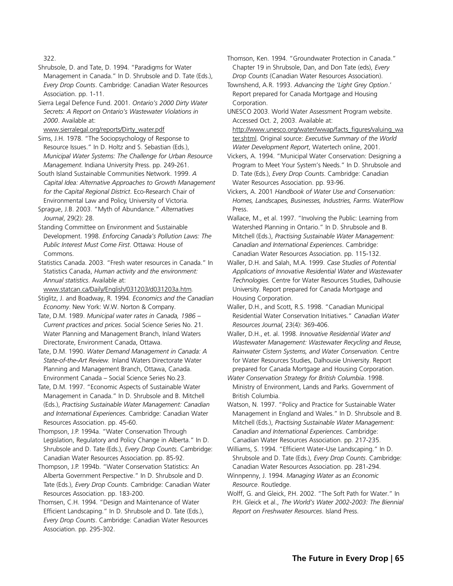322.

Shrubsole, D. and Tate, D. 1994. "Paradigms for Water Management in Canada." In D. Shrubsole and D. Tate (Eds.), *Every Drop Counts*. Cambridge: Canadian Water Resources Association. pp. 1-11.

Sierra Legal Defence Fund. 2001. *Ontario's 2000 Dirty Water Secrets: A Report on Ontario's Wastewater Violations in 2000*. Available at:

www.sierralegal.org/reports/Dirty\_water.pdf

Sims, J.H. 1978. "The Sociopsychology of Response to Resource Issues." In D. Holtz and S. Sebastian (Eds.), *Municipal Water Systems: The Challenge for Urban Resource Management*. Indiana University Press. pp. 249-261.

South Island Sustainable Communities Network. 1999. *A Capital Idea: Alternative Approaches to Growth Management for the Capital Regional District*. Eco-Research Chair of Environmental Law and Policy, University of Victoria.

Sprague, J.B. 2003. "Myth of Abundance." *Alternatives Journal*, 29(2): 28.

Standing Committee on Environment and Sustainable Development. 1998. *Enforcing Canada's Pollution Laws: The Public Interest Must Come First*. Ottawa: House of Commons.

Statistics Canada. 2003. "Fresh water resources in Canada." In Statistics Canada, *Human activity and the environment: Annual statistics*. Available at:

www.statcan.ca/Daily/English/031203/d031203a.htm.

Stiglitz, J. and Boadway, R. 1994. *Economics and the Canadian Economy*. New York: W.W. Norton & Company.

Tate, D.M. 1989. *Municipal water rates in Canada, 1986 – Current practices and prices*. Social Science Series No. 21. Water Planning and Management Branch, Inland Waters Directorate, Environment Canada, Ottawa.

Tate, D.M. 1990. *Water Demand Management in Canada: A State-of-the-Art Review.* Inland Waters Directorate Water Planning and Management Branch, Ottawa, Canada. Environment Canada – Social Science Series No.23.

Tate, D.M. 1997. "Economic Aspects of Sustainable Water Management in Canada." In D. Shrubsole and B. Mitchell (Eds.), *Practising Sustainable Water Management: Canadian and International Experiences*. Cambridge: Canadian Water Resources Association. pp. 45-60.

Thompson, J.P. 1994a. "Water Conservation Through Legislation, Regulatory and Policy Change in Alberta." In D. Shrubsole and D. Tate (Eds.), *Every Drop Counts.* Cambridge: Canadian Water Resources Association. pp. 85-92.

Thompson, J.P. 1994b. "Water Conservation Statistics: An Alberta Government Perspective." In D. Shrubsole and D. Tate (Eds.), *Every Drop Counts*. Cambridge: Canadian Water Resources Association. pp. 183-200.

Thomsen, C.H. 1994. "Design and Maintenance of Water Efficient Landscaping." In D. Shrubsole and D. Tate (Eds.), *Every Drop Counts*. Cambridge: Canadian Water Resources Association. pp. 295-302.

Thomson, Ken. 1994. "Groundwater Protection in Canada." Chapter 19 in Shrubsole, Dan, and Don Tate (eds), *Every Drop Counts* (Canadian Water Resources Association).

Townshend, A.R. 1993. *Advancing the 'Light Grey Option*.' Report prepared for Canada Mortgage and Housing Corporation.

UNESCO 2003. World Water Assessment Program website. Accessed Oct. 2, 2003. Available at:

http://www.unesco.org/water/wwap/facts\_figures/valuing\_wa ter.shtml. Original source: *Executive Summary of the World Water Development Report*, Watertech online, 2001.

Vickers, A. 1994. "Municipal Water Conservation: Designing a Program to Meet Your System's Needs." In D. Shrubsole and D. Tate (Eds.), *Every Drop Counts*. Cambridge: Canadian Water Resources Association. pp. 93-96.

Vickers, A. 2001 *Handbook of Water Use and Conservation: Homes, Landscapes, Businesses, Industries, Farms*. WaterPlow **Press** 

Wallace, M., et al. 1997. "Involving the Public: Learning from Watershed Planning in Ontario." In D. Shrubsole and B. Mitchell (Eds.), *Practising Sustainable Water Management: Canadian and International Experiences*. Cambridge: Canadian Water Resources Association. pp. 115-132.

Waller, D.H. and Salah, M.A. 1999. *Case Studies of Potential Applications of Innovative Residential Water and Wastewater Technologies.* Centre for Water Resources Studies, Dalhousie University. Report prepared for Canada Mortgage and Housing Corporation.

Waller, D.H., and Scott, R.S. 1998. "Canadian Municipal Residential Water Conservation Initiatives." *Canadian Water Resources Journal*, 23(4): 369-406.

Waller, D.H., et. al. 1998. *Innovative Residential Water and Wastewater Management: Wastewater Recycling and Reuse, Rainwater Cistern Systems, and Water Conservation.* Centre for Water Resources Studies, Dalhousie University. Report prepared for Canada Mortgage and Housing Corporation.

*Water Conservation Strategy for British Columbia*. 1998. Ministry of Environment, Lands and Parks. Government of British Columbia.

Watson, N. 1997. "Policy and Practice for Sustainable Water Management in England and Wales." In D. Shrubsole and B. Mitchell (Eds.), *Practising Sustainable Water Management: Canadian and International Experiences*. Cambridge: Canadian Water Resources Association. pp. 217-235.

Williams, S. 1994. "Efficient Water-Use Landscaping." In D. Shrubsole and D. Tate (Eds.), *Every Drop Counts*. Cambridge: Canadian Water Resources Association. pp. 281-294.

Winnpenny, J. 1994. *Managing Water as an Economic Resource*. Routledge.

Wolff, G. and Gleick, P.H. 2002. "The Soft Path for Water." In P.H. Gleick et al., *The World's Water 2002-2003: The Biennial Report on Freshwater Resources*. Island Press.